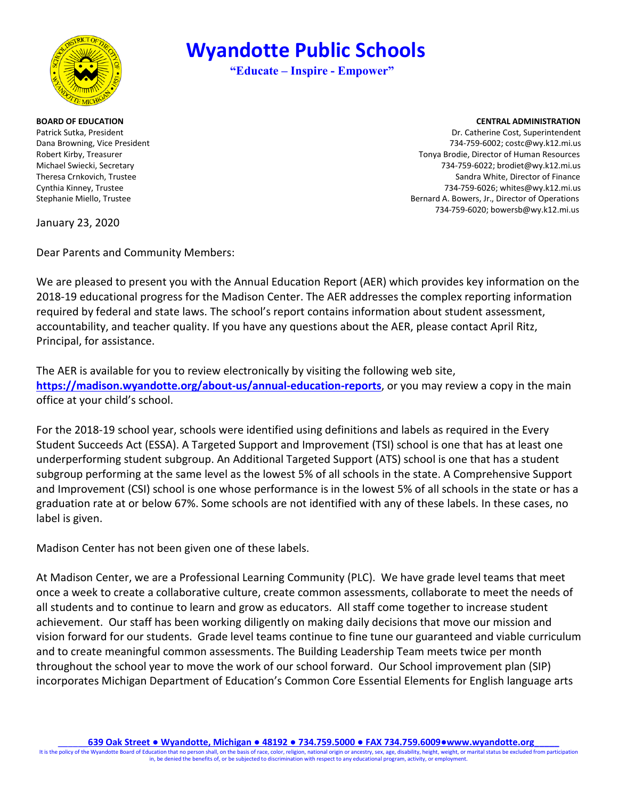

 **Wyandotte Public Schools**

**"Educate – Inspire - Empower"**

#### **BOARD OF EDUCATION CENTRAL ADMINISTRATION**

Patrick Sutka, President Dr. Catherine Cost, Superintendent Dana Browning, Vice President 734-759-6002; costc@wy.k12.mi.us Robert Kirby, Treasurer Tomagnet Communication of Human Resources and Tonya Brodie, Director of Human Resources Michael Swiecki, Secretary 734-759-6022; brodiet@wy.k12.mi.us Theresa Crnkovich, Trustee Sandra White, Director of Finance Cynthia Kinney, Trustee 734-759-6026; whites@wy.k12.mi.us Stephanie Miello, Trustee Bernard A. Bowers, Jr., Director of Operations 734-759-6020; bowersb@wy.k12.mi.us

January 23, 2020

Dear Parents and Community Members:

We are pleased to present you with the Annual Education Report (AER) which provides key information on the 2018-19 educational progress for the Madison Center. The AER addresses the complex reporting information required by federal and state laws. The school's report contains information about student assessment, accountability, and teacher quality. If you have any questions about the AER, please contact April Ritz, Principal, for assistance.

The AER is available for you to review electronically by visiting the following web site, **[https://madison.wyandotte.org/about](https://madison.wyandotte.org/about-us/annual-education-reports)-us/annual-education-reports**, or you may review a copy in the main office at your child's school.

For the 2018-19 school year, schools were identified using definitions and labels as required in the Every Student Succeeds Act (ESSA). A Targeted Support and Improvement (TSI) school is one that has at least one underperforming student subgroup. An Additional Targeted Support (ATS) school is one that has a student subgroup performing at the same level as the lowest 5% of all schools in the state. A Comprehensive Support and Improvement (CSI) school is one whose performance is in the lowest 5% of all schools in the state or has a graduation rate at or below 67%. Some schools are not identified with any of these labels. In these cases, no label is given.

Madison Center has not been given one of these labels.

At Madison Center, we are a Professional Learning Community (PLC). We have grade level teams that meet once a week to create a collaborative culture, create common assessments, collaborate to meet the needs of all students and to continue to learn and grow as educators. All staff come together to increase student achievement. Our staff has been working diligently on making daily decisions that move our mission and vision forward for our students. Grade level teams continue to fine tune our guaranteed and viable curriculum and to create meaningful common assessments. The Building Leadership Team meets twice per month throughout the school year to move the work of our school forward. Our School improvement plan (SIP) incorporates Michigan Department of Education's Common Core Essential Elements for English language arts

It is the policy of the Wyandotte Board of Education that no person shall, on the basis of race, color, religion, national origin or ancestry, sex, age, disability, height, weight, or marital status be excluded from partic in, be denied the benefits of, or be subjected to discrimination with respect to any educational program, activity, or employment.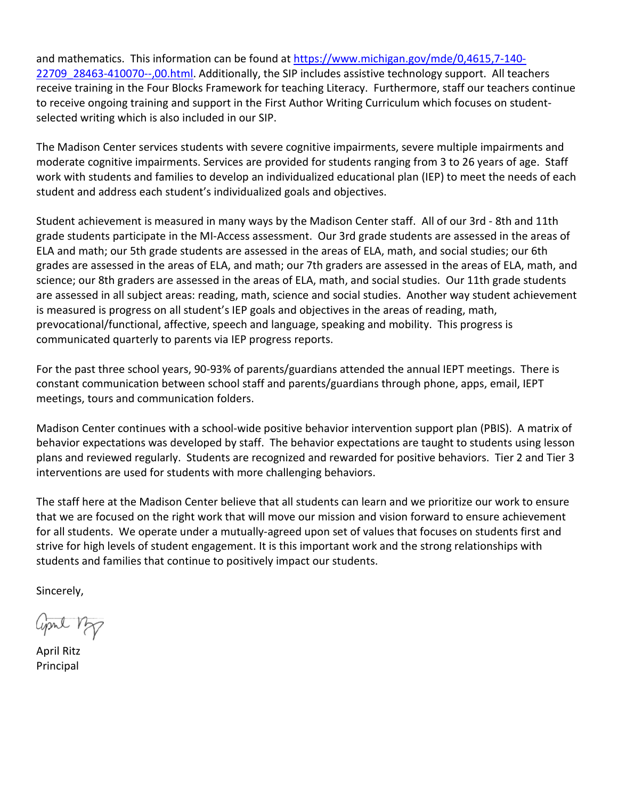and mathematics. This information can be found at [https://www.michigan.gov/mde/0,4615,7-140-](https://www.michigan.gov/mde/0,4615,7-140-22709_28463-410070--,00.html) 22709 28463-410070--,00.html. Additionally, the SIP includes assistive technology support. All teachers receive training in the Four Blocks Framework for teaching Literacy. Furthermore, staff our teachers continue to receive ongoing training and support in the First Author Writing Curriculum which focuses on studentselected writing which is also included in our SIP.

The Madison Center services students with severe cognitive impairments, severe multiple impairments and moderate cognitive impairments. Services are provided for students ranging from 3 to 26 years of age. Staff work with students and families to develop an individualized educational plan (IEP) to meet the needs of each student and address each student's individualized goals and objectives.

Student achievement is measured in many ways by the Madison Center staff. All of our 3rd - 8th and 11th grade students participate in the MI-Access assessment. Our 3rd grade students are assessed in the areas of ELA and math; our 5th grade students are assessed in the areas of ELA, math, and social studies; our 6th grades are assessed in the areas of ELA, and math; our 7th graders are assessed in the areas of ELA, math, and science; our 8th graders are assessed in the areas of ELA, math, and social studies. Our 11th grade students are assessed in all subject areas: reading, math, science and social studies. Another way student achievement is measured is progress on all student's IEP goals and objectives in the areas of reading, math, prevocational/functional, affective, speech and language, speaking and mobility. This progress is communicated quarterly to parents via IEP progress reports.

For the past three school years, 90-93% of parents/guardians attended the annual IEPT meetings. There is constant communication between school staff and parents/guardians through phone, apps, email, IEPT meetings, tours and communication folders.

Madison Center continues with a school-wide positive behavior intervention support plan (PBIS). A matrix of behavior expectations was developed by staff. The behavior expectations are taught to students using lesson plans and reviewed regularly. Students are recognized and rewarded for positive behaviors. Tier 2 and Tier 3 interventions are used for students with more challenging behaviors.

The staff here at the Madison Center believe that all students can learn and we prioritize our work to ensure that we are focused on the right work that will move our mission and vision forward to ensure achievement for all students. We operate under a mutually-agreed upon set of values that focuses on students first and strive for high levels of student engagement. It is this important work and the strong relationships with students and families that continue to positively impact our students.

Sincerely,

april 12p

April Ritz Principal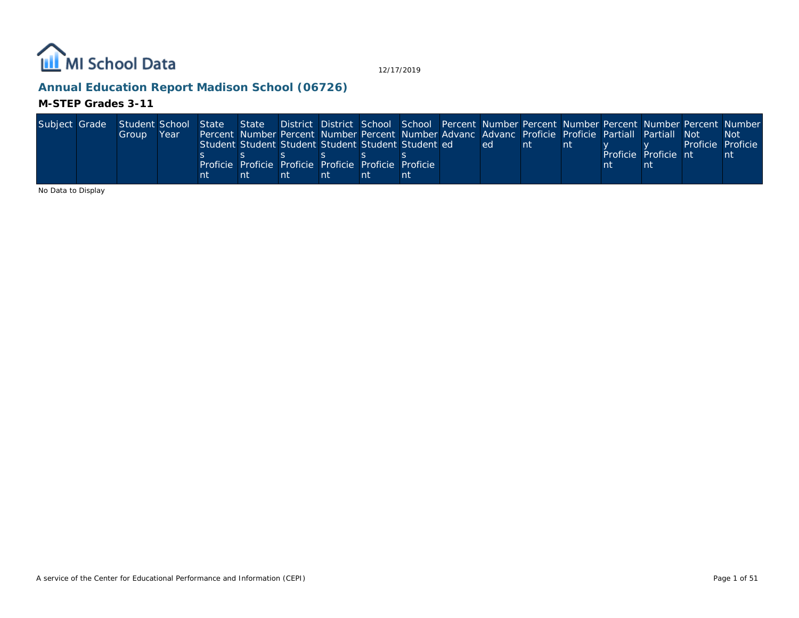

## **Annual Education Report Madison School (06726)**

## **M-STEP Grades 3-11**

|    | State District District School School Percent Number Percent Number Percent Number Percent Number                                      |
|----|----------------------------------------------------------------------------------------------------------------------------------------|
|    | <b>Not</b>                                                                                                                             |
|    | Proficie                                                                                                                               |
| nt |                                                                                                                                        |
|    |                                                                                                                                        |
|    |                                                                                                                                        |
|    | Percent Number Percent Number Percent Number Advanc Advanc Proficie Proficie Partiall Partiall Not<br>Proficie<br>Proficie Proficie nt |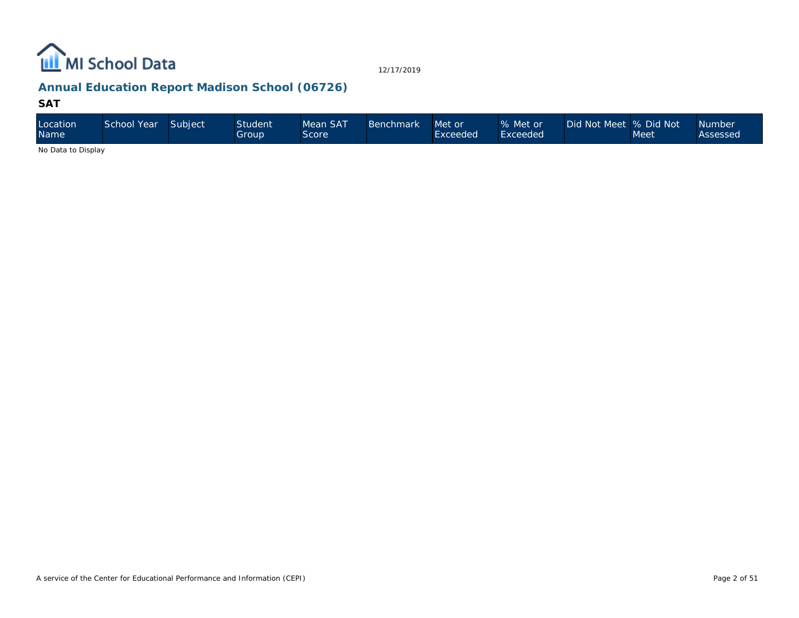

## **Annual Education Report Madison School (06726)**

#### **SAT**

| Location<br><b>Name</b>                                                                                | School Year | Subject | Student<br>Group | Mean SAT<br>Score | <b>Benchmark</b> | Met or<br>Exceeded | % Met or<br>Exceeded | Did Not Meet  % Did Not | Meet | <b>Number</b><br>Assessed |
|--------------------------------------------------------------------------------------------------------|-------------|---------|------------------|-------------------|------------------|--------------------|----------------------|-------------------------|------|---------------------------|
| $\mathbf{A}$ . $\mathbf{B}$ . $\mathbf{A}$ . $\mathbf{B}$ . $\mathbf{B}$ . $\mathbf{A}$ . $\mathbf{B}$ |             |         |                  |                   |                  |                    |                      |                         |      |                           |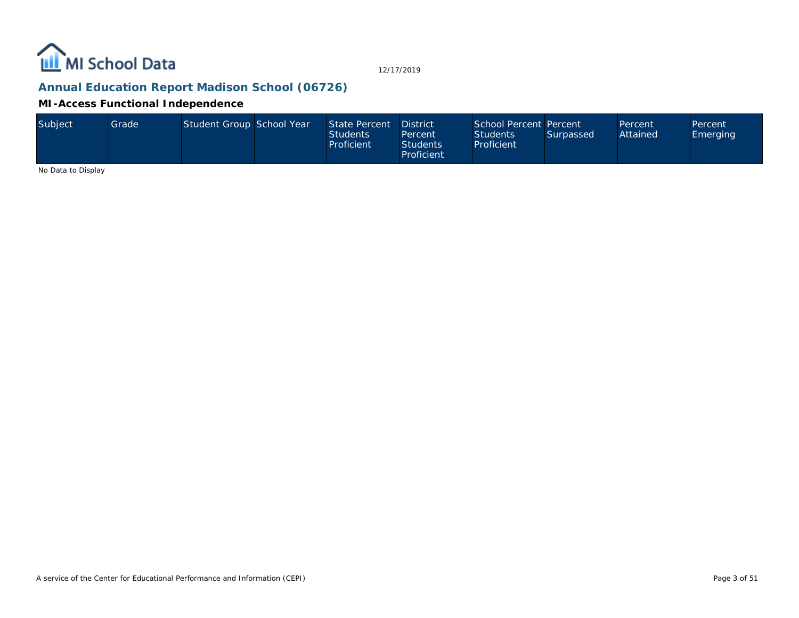

## **Annual Education Report Madison School (06726)**

#### **MI-Access Functional Independence**

| Subject | <b>Grade</b> | Student Group School Year |  | State Percent District<br><b>Students</b><br>Proficient | Percent<br><b>Students</b><br>Proficient | School Percent Percent<br><b>Students</b><br>Proficient | Surpassed | Percent<br>Attained | Percent<br>Emerging |
|---------|--------------|---------------------------|--|---------------------------------------------------------|------------------------------------------|---------------------------------------------------------|-----------|---------------------|---------------------|
|---------|--------------|---------------------------|--|---------------------------------------------------------|------------------------------------------|---------------------------------------------------------|-----------|---------------------|---------------------|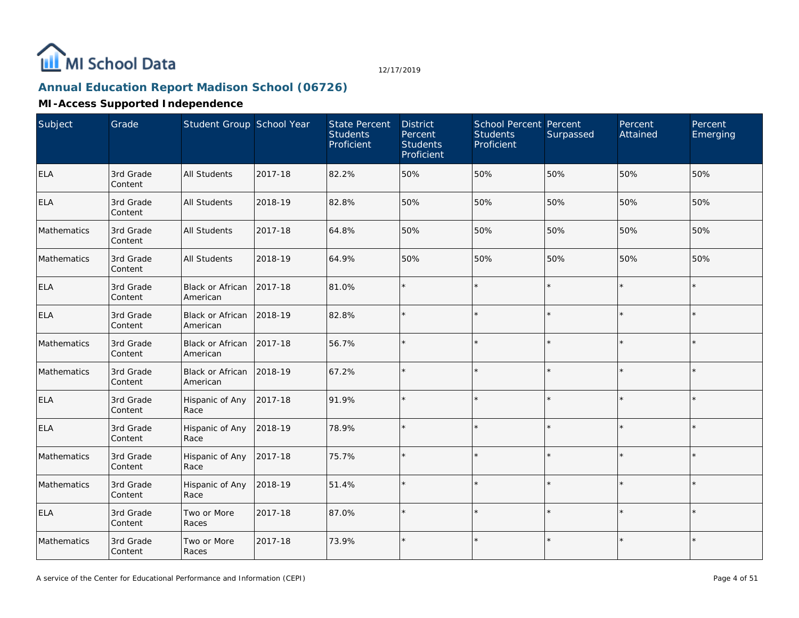

# **Annual Education Report Madison School (06726)**

| Subject     | Grade                | Student Group School Year           |         | <b>State Percent</b><br><b>Students</b><br>Proficient | <b>District</b><br>Percent<br><b>Students</b><br>Proficient | School Percent Percent<br><b>Students</b><br>Proficient | Surpassed | Percent<br>Attained | Percent<br>Emerging |
|-------------|----------------------|-------------------------------------|---------|-------------------------------------------------------|-------------------------------------------------------------|---------------------------------------------------------|-----------|---------------------|---------------------|
| <b>ELA</b>  | 3rd Grade<br>Content | <b>All Students</b>                 | 2017-18 | 82.2%                                                 | 50%                                                         | 50%                                                     | 50%       | 50%                 | 50%                 |
| <b>ELA</b>  | 3rd Grade<br>Content | All Students                        | 2018-19 | 82.8%                                                 | 50%                                                         | 50%                                                     | 50%       | 50%                 | 50%                 |
| Mathematics | 3rd Grade<br>Content | <b>All Students</b>                 | 2017-18 | 64.8%                                                 | 50%                                                         | 50%                                                     | 50%       | 50%                 | 50%                 |
| Mathematics | 3rd Grade<br>Content | All Students                        | 2018-19 | 64.9%                                                 | 50%                                                         | 50%                                                     | 50%       | 50%                 | 50%                 |
| <b>ELA</b>  | 3rd Grade<br>Content | Black or African<br>American        | 2017-18 | 81.0%                                                 | $\star$                                                     | $\star$                                                 |           |                     | $\star$             |
| <b>ELA</b>  | 3rd Grade<br>Content | <b>Black or African</b><br>American | 2018-19 | 82.8%                                                 | $\star$                                                     | $\star$                                                 |           |                     |                     |
| Mathematics | 3rd Grade<br>Content | Black or African<br>American        | 2017-18 | 56.7%                                                 | $\star$                                                     | $\star$                                                 |           |                     | $\star$             |
| Mathematics | 3rd Grade<br>Content | Black or African<br>American        | 2018-19 | 67.2%                                                 |                                                             | $\star$                                                 |           |                     |                     |
| <b>ELA</b>  | 3rd Grade<br>Content | Hispanic of Any<br>Race             | 2017-18 | 91.9%                                                 | $\star$                                                     | $\star$                                                 |           |                     | $\star$             |
| <b>ELA</b>  | 3rd Grade<br>Content | Hispanic of Any<br>Race             | 2018-19 | 78.9%                                                 | $\star$                                                     | $\star$                                                 |           |                     |                     |
| Mathematics | 3rd Grade<br>Content | Hispanic of Any<br>Race             | 2017-18 | 75.7%                                                 |                                                             | $\star$                                                 |           |                     |                     |
| Mathematics | 3rd Grade<br>Content | Hispanic of Any<br>Race             | 2018-19 | 51.4%                                                 | ÷.                                                          | $\star$                                                 | ×.        |                     | $\star$             |
| <b>ELA</b>  | 3rd Grade<br>Content | Two or More<br>Races                | 2017-18 | 87.0%                                                 | ÷                                                           | $\star$                                                 |           |                     | $\star$             |
| Mathematics | 3rd Grade<br>Content | Two or More<br>Races                | 2017-18 | 73.9%                                                 | $\star$                                                     | $\star$                                                 |           |                     | $\star$             |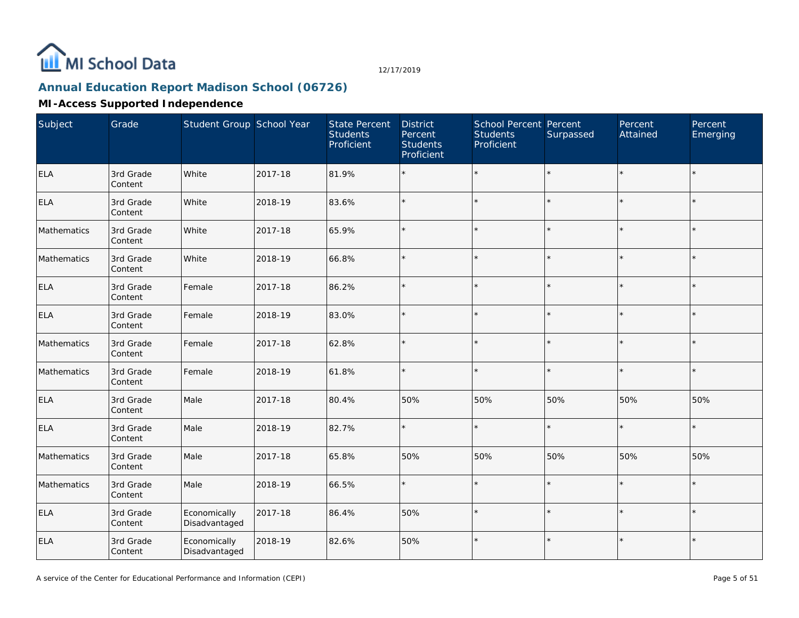

# **Annual Education Report Madison School (06726)**

| Subject     | Grade                | Student Group School Year     |         | <b>State Percent</b><br><b>Students</b><br>Proficient | <b>District</b><br>Percent<br><b>Students</b><br>Proficient | School Percent Percent<br><b>Students</b><br>Proficient | Surpassed | Percent<br>Attained | Percent<br>Emerging |
|-------------|----------------------|-------------------------------|---------|-------------------------------------------------------|-------------------------------------------------------------|---------------------------------------------------------|-----------|---------------------|---------------------|
| ELA         | 3rd Grade<br>Content | White                         | 2017-18 | 81.9%                                                 | $\star$                                                     | $\star$                                                 |           | ÷.                  | $\star$             |
| ELA         | 3rd Grade<br>Content | White                         | 2018-19 | 83.6%                                                 | $\star$                                                     | $\star$                                                 |           | $\star$             | $\star$             |
| Mathematics | 3rd Grade<br>Content | White                         | 2017-18 | 65.9%                                                 | $\star$                                                     | $\star$                                                 |           | $\star$             | $\star$             |
| Mathematics | 3rd Grade<br>Content | White                         | 2018-19 | 66.8%                                                 | $\star$                                                     | $\star$                                                 |           | $\star$             | $\star$             |
| ELA         | 3rd Grade<br>Content | Female                        | 2017-18 | 86.2%                                                 | $\star$                                                     | $\star$                                                 |           | $\star$             | $\star$             |
| ELA         | 3rd Grade<br>Content | Female                        | 2018-19 | 83.0%                                                 | $\star$                                                     | $\star$                                                 |           |                     | $\star$             |
| Mathematics | 3rd Grade<br>Content | Female                        | 2017-18 | 62.8%                                                 | $\star$                                                     | $\star$                                                 |           | $\star$             | $\star$             |
| Mathematics | 3rd Grade<br>Content | Female                        | 2018-19 | 61.8%                                                 | $\star$                                                     | $\star$                                                 |           |                     | $\star$             |
| <b>ELA</b>  | 3rd Grade<br>Content | Male                          | 2017-18 | 80.4%                                                 | 50%                                                         | 50%                                                     | 50%       | 50%                 | 50%                 |
| <b>ELA</b>  | 3rd Grade<br>Content | Male                          | 2018-19 | 82.7%                                                 | $\star$                                                     | $\star$                                                 |           | $\star$             | $\star$             |
| Mathematics | 3rd Grade<br>Content | Male                          | 2017-18 | 65.8%                                                 | 50%                                                         | 50%                                                     | 50%       | 50%                 | 50%                 |
| Mathematics | 3rd Grade<br>Content | Male                          | 2018-19 | 66.5%                                                 | $\star$                                                     | $\star$                                                 |           | $\star$             | $\star$             |
| <b>ELA</b>  | 3rd Grade<br>Content | Economically<br>Disadvantaged | 2017-18 | 86.4%                                                 | 50%                                                         | $\star$                                                 |           | $\star$             | $\star$             |
| <b>ELA</b>  | 3rd Grade<br>Content | Economically<br>Disadvantaged | 2018-19 | 82.6%                                                 | 50%                                                         | $\star$                                                 |           | $\star$             | $\star$             |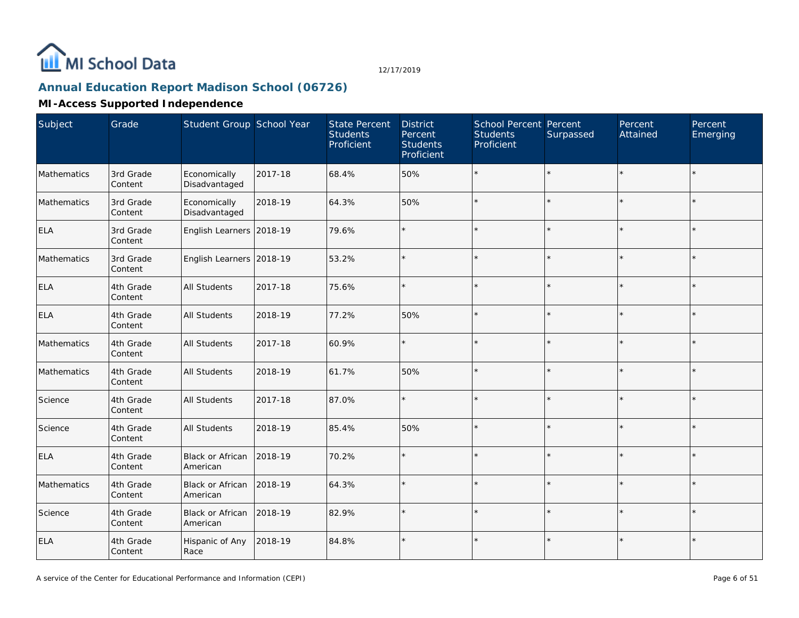

# **Annual Education Report Madison School (06726)**

| Subject     | Grade                | Student Group School Year     |         | <b>State Percent</b><br><b>Students</b><br>Proficient | <b>District</b><br>Percent<br><b>Students</b><br>Proficient | School Percent Percent<br><b>Students</b><br>Proficient | Surpassed | Percent<br>Attained | Percent<br>Emerging |
|-------------|----------------------|-------------------------------|---------|-------------------------------------------------------|-------------------------------------------------------------|---------------------------------------------------------|-----------|---------------------|---------------------|
| Mathematics | 3rd Grade<br>Content | Economically<br>Disadvantaged | 2017-18 | 68.4%                                                 | 50%                                                         | $\star$                                                 |           | $\star$             | $\star$             |
| Mathematics | 3rd Grade<br>Content | Economically<br>Disadvantaged | 2018-19 | 64.3%                                                 | 50%                                                         |                                                         |           | $\star$             |                     |
| <b>ELA</b>  | 3rd Grade<br>Content | English Learners 2018-19      |         | 79.6%                                                 | $\star$                                                     |                                                         |           | $\star$             |                     |
| Mathematics | 3rd Grade<br>Content | English Learners 2018-19      |         | 53.2%                                                 | $\star$                                                     |                                                         |           | $\star$             |                     |
| <b>ELA</b>  | 4th Grade<br>Content | <b>All Students</b>           | 2017-18 | 75.6%                                                 | $\star$                                                     |                                                         |           | $\star$             | $\star$             |
| <b>ELA</b>  | 4th Grade<br>Content | All Students                  | 2018-19 | 77.2%                                                 | 50%                                                         | $\star$                                                 |           | ÷                   |                     |
| Mathematics | 4th Grade<br>Content | All Students                  | 2017-18 | 60.9%                                                 | $\star$                                                     | $\star$                                                 |           | $\star$             | $\star$             |
| Mathematics | 4th Grade<br>Content | All Students                  | 2018-19 | 61.7%                                                 | 50%                                                         |                                                         |           |                     |                     |
| Science     | 4th Grade<br>Content | All Students                  | 2017-18 | 87.0%                                                 | $\star$                                                     | $\star$                                                 |           | $\star$             | $\star$             |
| Science     | 4th Grade<br>Content | <b>All Students</b>           | 2018-19 | 85.4%                                                 | 50%                                                         | $\star$                                                 |           | $\star$             | $\star$             |
| <b>ELA</b>  | 4th Grade<br>Content | Black or African<br>American  | 2018-19 | 70.2%                                                 | ¥                                                           | $\star$                                                 |           |                     |                     |
| Mathematics | 4th Grade<br>Content | Black or African<br>American  | 2018-19 | 64.3%                                                 | $\star$                                                     | $\star$                                                 |           | $\star$             |                     |
| Science     | 4th Grade<br>Content | Black or African<br>American  | 2018-19 | 82.9%                                                 | $\star$                                                     |                                                         |           | $\star$             |                     |
| ELA         | 4th Grade<br>Content | Hispanic of Any<br>Race       | 2018-19 | 84.8%                                                 | $\star$                                                     | $\star$                                                 |           | $\star$             |                     |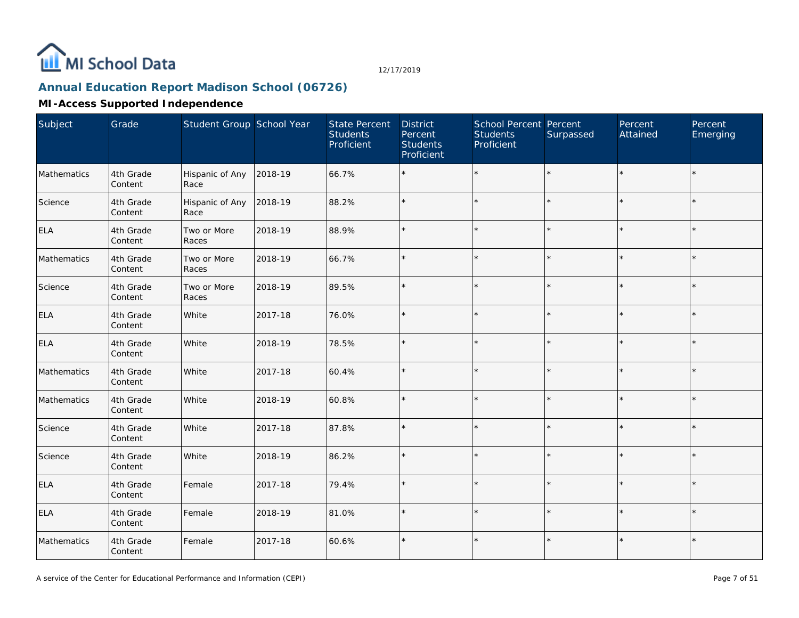

# **Annual Education Report Madison School (06726)**

| Subject     | Grade                | Student Group School Year |         | <b>State Percent</b><br><b>Students</b><br>Proficient | <b>District</b><br>Percent<br><b>Students</b><br>Proficient | School Percent Percent<br><b>Students</b><br>Proficient | Surpassed | Percent<br>Attained | Percent<br>Emerging |
|-------------|----------------------|---------------------------|---------|-------------------------------------------------------|-------------------------------------------------------------|---------------------------------------------------------|-----------|---------------------|---------------------|
| Mathematics | 4th Grade<br>Content | Hispanic of Any<br>Race   | 2018-19 | 66.7%                                                 |                                                             | $\star$                                                 |           | $\star$             | $\star$             |
| Science     | 4th Grade<br>Content | Hispanic of Any<br>Race   | 2018-19 | 88.2%                                                 | $\star$                                                     | $\star$                                                 |           | $\star$             | $\star$             |
| <b>ELA</b>  | 4th Grade<br>Content | Two or More<br>Races      | 2018-19 | 88.9%                                                 | $\star$                                                     | $\star$                                                 |           | $\star$             | $\star$             |
| Mathematics | 4th Grade<br>Content | Two or More<br>Races      | 2018-19 | 66.7%                                                 | $\star$                                                     | $\star$                                                 |           | $\star$             |                     |
| Science     | 4th Grade<br>Content | Two or More<br>Races      | 2018-19 | 89.5%                                                 | $\star$                                                     |                                                         |           | $\star$             | $\star$             |
| <b>ELA</b>  | 4th Grade<br>Content | White                     | 2017-18 | 76.0%                                                 | $\star$                                                     | $\star$                                                 |           | $\star$             |                     |
| <b>ELA</b>  | 4th Grade<br>Content | White                     | 2018-19 | 78.5%                                                 | ×.                                                          | $\star$                                                 |           | $\star$             | $\star$             |
| Mathematics | 4th Grade<br>Content | White                     | 2017-18 | 60.4%                                                 |                                                             |                                                         |           | $\star$             |                     |
| Mathematics | 4th Grade<br>Content | White                     | 2018-19 | 60.8%                                                 | $\star$                                                     | $\star$                                                 |           | $\star$             | $\star$             |
| Science     | 4th Grade<br>Content | White                     | 2017-18 | 87.8%                                                 | $\star$                                                     | $\star$                                                 |           | $\star$             |                     |
| Science     | 4th Grade<br>Content | White                     | 2018-19 | 86.2%                                                 | $\star$                                                     |                                                         |           | ÷.                  | $\star$             |
| <b>ELA</b>  | 4th Grade<br>Content | Female                    | 2017-18 | 79.4%                                                 | $\star$                                                     | $\star$                                                 |           | $\star$             |                     |
| ELA         | 4th Grade<br>Content | Female                    | 2018-19 | 81.0%                                                 | $\star$                                                     | $\star$                                                 |           | $\star$             | $\star$             |
| Mathematics | 4th Grade<br>Content | Female                    | 2017-18 | 60.6%                                                 | $\star$                                                     | $\star$                                                 |           | $\star$             |                     |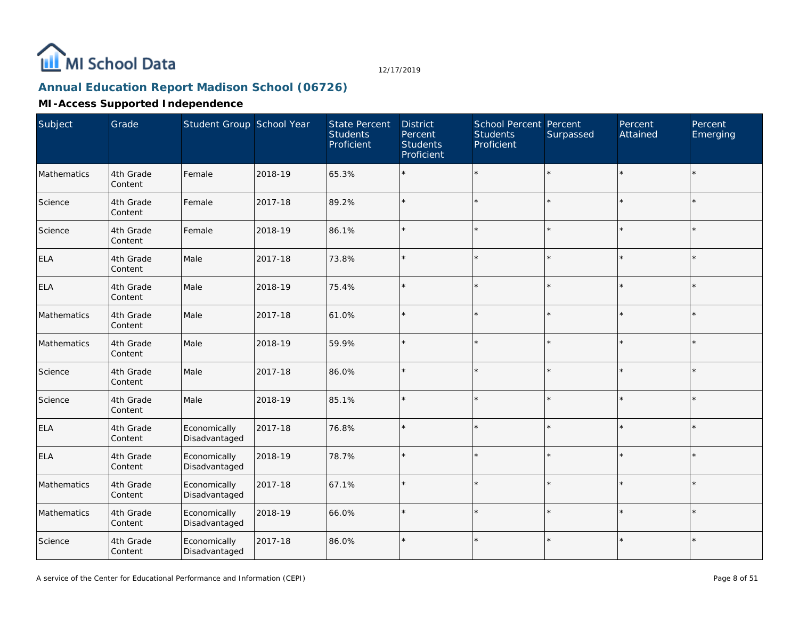

# **Annual Education Report Madison School (06726)**

| Subject     | Grade                | Student Group School Year     |         | <b>State Percent</b><br><b>Students</b><br>Proficient | <b>District</b><br>Percent<br><b>Students</b><br>Proficient | School Percent Percent<br><b>Students</b><br>Proficient | Surpassed | Percent<br>Attained | Percent<br>Emerging |
|-------------|----------------------|-------------------------------|---------|-------------------------------------------------------|-------------------------------------------------------------|---------------------------------------------------------|-----------|---------------------|---------------------|
| Mathematics | 4th Grade<br>Content | Female                        | 2018-19 | 65.3%                                                 |                                                             | $\star$                                                 | $\star$   |                     | $\star$             |
| Science     | 4th Grade<br>Content | Female                        | 2017-18 | 89.2%                                                 | $\star$                                                     | $\star$                                                 | $\star$   | $\star$             | $\star$             |
| Science     | 4th Grade<br>Content | Female                        | 2018-19 | 86.1%                                                 | $\star$                                                     | $\star$                                                 | $\star$   | $\star$             | $\star$             |
| <b>ELA</b>  | 4th Grade<br>Content | Male                          | 2017-18 | 73.8%                                                 |                                                             | $\star$                                                 | $\star$   |                     | $\star$             |
| <b>ELA</b>  | 4th Grade<br>Content | Male                          | 2018-19 | 75.4%                                                 | $\star$                                                     | $\star$                                                 | $\star$   | $\star$             | $\star$             |
| Mathematics | 4th Grade<br>Content | Male                          | 2017-18 | 61.0%                                                 | $\star$                                                     | $\star$                                                 | $\star$   |                     | $\star$             |
| Mathematics | 4th Grade<br>Content | Male                          | 2018-19 | 59.9%                                                 | $\star$                                                     | $\star$                                                 | $\star$   |                     | $\star$             |
| Science     | 4th Grade<br>Content | Male                          | 2017-18 | 86.0%                                                 |                                                             | $\star$                                                 | $\star$   |                     |                     |
| Science     | 4th Grade<br>Content | Male                          | 2018-19 | 85.1%                                                 | $\star$                                                     | $\star$                                                 | $\star$   | $\star$             | $\star$             |
| <b>ELA</b>  | 4th Grade<br>Content | Economically<br>Disadvantaged | 2017-18 | 76.8%                                                 | $\star$                                                     | $\star$                                                 | $\star$   |                     | $\star$             |
| <b>ELA</b>  | 4th Grade<br>Content | Economically<br>Disadvantaged | 2018-19 | 78.7%                                                 | $\star$                                                     | $\star$                                                 | $\star$   |                     | $\star$             |
| Mathematics | 4th Grade<br>Content | Economically<br>Disadvantaged | 2017-18 | 67.1%                                                 | ÷                                                           | $\star$                                                 | $\star$   |                     | $\star$             |
| Mathematics | 4th Grade<br>Content | Economically<br>Disadvantaged | 2018-19 | 66.0%                                                 | ÷                                                           | $\star$                                                 | $\star$   |                     | $\star$             |
| Science     | 4th Grade<br>Content | Economically<br>Disadvantaged | 2017-18 | 86.0%                                                 | $\star$                                                     | $\star$                                                 | $\star$   | $\star$             | $\star$             |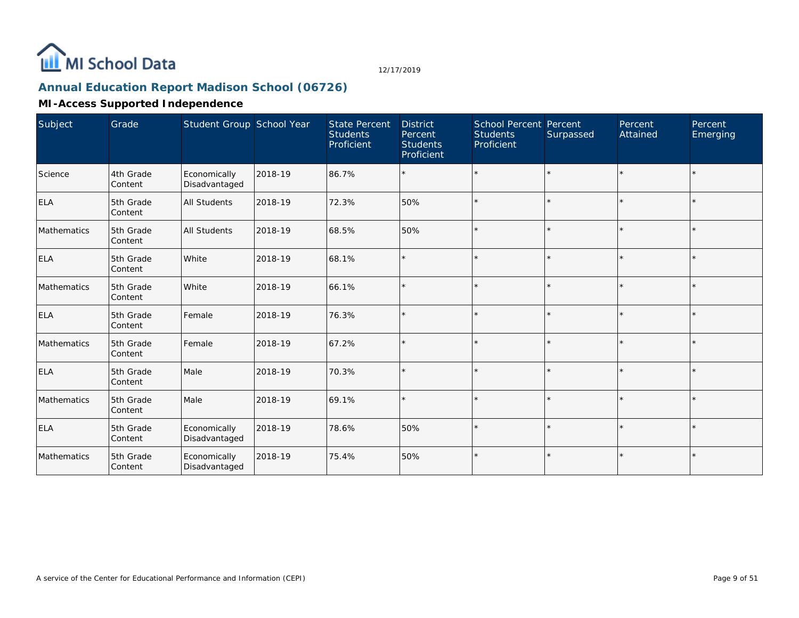

## **Annual Education Report Madison School (06726)**

| Subject     | Grade                | Student Group School Year     |         | <b>State Percent</b><br><b>Students</b><br>Proficient | <b>District</b><br>Percent<br><b>Students</b><br>Proficient | <b>School Percent Percent</b><br><b>Students</b><br>Proficient | Surpassed | Percent<br>Attained | Percent<br>Emerging |
|-------------|----------------------|-------------------------------|---------|-------------------------------------------------------|-------------------------------------------------------------|----------------------------------------------------------------|-----------|---------------------|---------------------|
| Science     | 4th Grade<br>Content | Economically<br>Disadvantaged | 2018-19 | 86.7%                                                 |                                                             | $\star$                                                        | $\star$   | $\star$             | $\star$             |
| ELA         | 5th Grade<br>Content | <b>All Students</b>           | 2018-19 | 72.3%                                                 | 50%                                                         | $\star$                                                        | $\star$   | $\star$             | $\star$             |
| Mathematics | 5th Grade<br>Content | <b>All Students</b>           | 2018-19 | 68.5%                                                 | 50%                                                         | $\star$                                                        | $\star$   | $\star$             | $\star$             |
| <b>ELA</b>  | 5th Grade<br>Content | White                         | 2018-19 | 68.1%                                                 | $\star$                                                     | $\star$                                                        | $\star$   | $\star$             | $\star$             |
| Mathematics | 5th Grade<br>Content | White                         | 2018-19 | 66.1%                                                 |                                                             | $\star$                                                        | $\star$   | $\star$             | $\star$             |
| <b>ELA</b>  | 5th Grade<br>Content | Female                        | 2018-19 | 76.3%                                                 |                                                             | $\star$                                                        | $\star$   | $\star$             | $\star$             |
| Mathematics | 5th Grade<br>Content | Female                        | 2018-19 | 67.2%                                                 |                                                             | $\star$                                                        | $\star$   | $\star$             | $\star$             |
| <b>ELA</b>  | 5th Grade<br>Content | Male                          | 2018-19 | 70.3%                                                 |                                                             | $\star$                                                        | $\star$   | $\star$             | $\star$             |
| Mathematics | 5th Grade<br>Content | Male                          | 2018-19 | 69.1%                                                 |                                                             | $\star$                                                        | $\star$   | $\star$             | $\star$             |
| <b>ELA</b>  | 5th Grade<br>Content | Economically<br>Disadvantaged | 2018-19 | 78.6%                                                 | 50%                                                         | $\star$                                                        | $\star$   | $\star$             | $\star$             |
| Mathematics | 5th Grade<br>Content | Economically<br>Disadvantaged | 2018-19 | 75.4%                                                 | 50%                                                         | $\star$                                                        | $\star$   | $\star$             | $\star$             |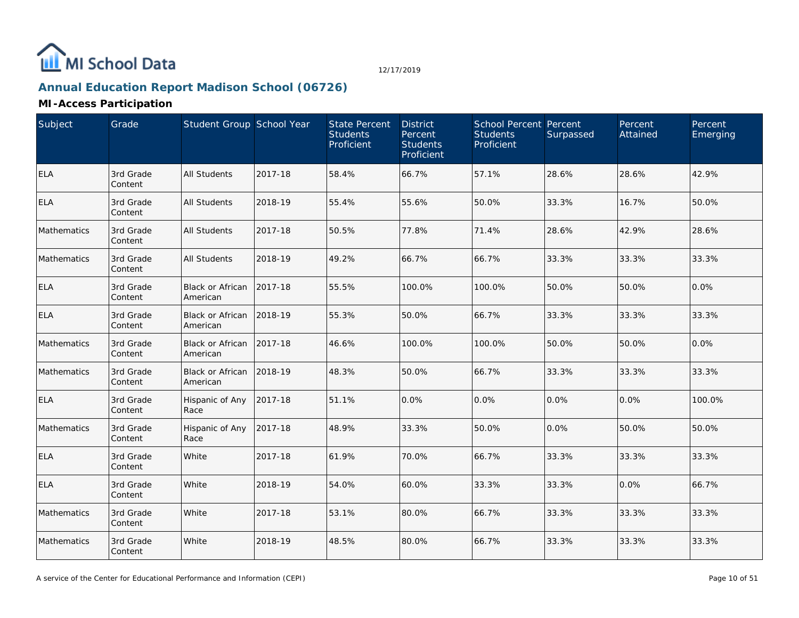

# **Annual Education Report Madison School (06726)**

| Subject     | Grade                | Student Group School Year           |         | <b>State Percent</b><br><b>Students</b><br>Proficient | <b>District</b><br>Percent<br><b>Students</b><br>Proficient | School Percent Percent<br><b>Students</b><br>Proficient | Surpassed | Percent<br>Attained | Percent<br>Emerging |
|-------------|----------------------|-------------------------------------|---------|-------------------------------------------------------|-------------------------------------------------------------|---------------------------------------------------------|-----------|---------------------|---------------------|
| <b>ELA</b>  | 3rd Grade<br>Content | <b>All Students</b>                 | 2017-18 | 58.4%                                                 | 66.7%                                                       | 57.1%                                                   | 28.6%     | 28.6%               | 42.9%               |
| <b>ELA</b>  | 3rd Grade<br>Content | <b>All Students</b>                 | 2018-19 | 55.4%                                                 | 55.6%                                                       | 50.0%                                                   | 33.3%     | 16.7%               | 50.0%               |
| Mathematics | 3rd Grade<br>Content | <b>All Students</b>                 | 2017-18 | 50.5%                                                 | 77.8%                                                       | 71.4%                                                   | 28.6%     | 42.9%               | 28.6%               |
| Mathematics | 3rd Grade<br>Content | <b>All Students</b>                 | 2018-19 | 49.2%                                                 | 66.7%                                                       | 66.7%                                                   | 33.3%     | 33.3%               | 33.3%               |
| <b>ELA</b>  | 3rd Grade<br>Content | <b>Black or African</b><br>American | 2017-18 | 55.5%                                                 | 100.0%                                                      | 100.0%                                                  | 50.0%     | 50.0%               | 0.0%                |
| <b>ELA</b>  | 3rd Grade<br>Content | <b>Black or African</b><br>American | 2018-19 | 55.3%                                                 | 50.0%                                                       | 66.7%                                                   | 33.3%     | 33.3%               | 33.3%               |
| Mathematics | 3rd Grade<br>Content | <b>Black or African</b><br>American | 2017-18 | 46.6%                                                 | 100.0%                                                      | 100.0%                                                  | 50.0%     | 50.0%               | 0.0%                |
| Mathematics | 3rd Grade<br>Content | Black or African<br>American        | 2018-19 | 48.3%                                                 | 50.0%                                                       | 66.7%                                                   | 33.3%     | 33.3%               | 33.3%               |
| <b>ELA</b>  | 3rd Grade<br>Content | Hispanic of Any<br>Race             | 2017-18 | 51.1%                                                 | 0.0%                                                        | 0.0%                                                    | 0.0%      | 0.0%                | 100.0%              |
| Mathematics | 3rd Grade<br>Content | Hispanic of Any<br>Race             | 2017-18 | 48.9%                                                 | 33.3%                                                       | 50.0%                                                   | 0.0%      | 50.0%               | 50.0%               |
| <b>ELA</b>  | 3rd Grade<br>Content | White                               | 2017-18 | 61.9%                                                 | 70.0%                                                       | 66.7%                                                   | 33.3%     | 33.3%               | 33.3%               |
| <b>ELA</b>  | 3rd Grade<br>Content | White                               | 2018-19 | 54.0%                                                 | 60.0%                                                       | 33.3%                                                   | 33.3%     | 0.0%                | 66.7%               |
| Mathematics | 3rd Grade<br>Content | White                               | 2017-18 | 53.1%                                                 | 80.0%                                                       | 66.7%                                                   | 33.3%     | 33.3%               | 33.3%               |
| Mathematics | 3rd Grade<br>Content | White                               | 2018-19 | 48.5%                                                 | 80.0%                                                       | 66.7%                                                   | 33.3%     | 33.3%               | 33.3%               |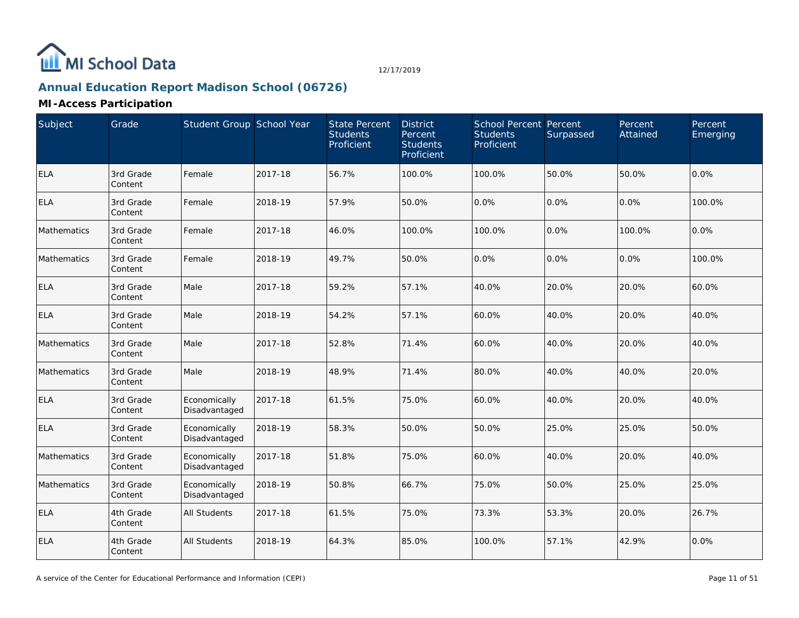

# **Annual Education Report Madison School (06726)**

| Subject     | Grade                | Student Group School Year     |         | State Percent<br><b>Students</b><br>Proficient | <b>District</b><br>Percent<br><b>Students</b><br>Proficient | <b>School Percent Percent</b><br><b>Students</b><br>Proficient | Surpassed | Percent<br>Attained | Percent<br>Emerging |
|-------------|----------------------|-------------------------------|---------|------------------------------------------------|-------------------------------------------------------------|----------------------------------------------------------------|-----------|---------------------|---------------------|
| <b>ELA</b>  | 3rd Grade<br>Content | Female                        | 2017-18 | 56.7%                                          | 100.0%                                                      | 100.0%                                                         | 50.0%     | 50.0%               | 0.0%                |
| <b>ELA</b>  | 3rd Grade<br>Content | Female                        | 2018-19 | 57.9%                                          | 50.0%                                                       | 0.0%                                                           | 0.0%      | 0.0%                | 100.0%              |
| Mathematics | 3rd Grade<br>Content | Female                        | 2017-18 | 46.0%                                          | 100.0%                                                      | 100.0%                                                         | 0.0%      | 100.0%              | 0.0%                |
| Mathematics | 3rd Grade<br>Content | Female                        | 2018-19 | 49.7%                                          | 50.0%                                                       | 0.0%                                                           | 0.0%      | 0.0%                | 100.0%              |
| <b>ELA</b>  | 3rd Grade<br>Content | Male                          | 2017-18 | 59.2%                                          | 57.1%                                                       | 40.0%                                                          | 20.0%     | 20.0%               | 60.0%               |
| <b>ELA</b>  | 3rd Grade<br>Content | Male                          | 2018-19 | 54.2%                                          | 57.1%                                                       | 60.0%                                                          | 40.0%     | 20.0%               | 40.0%               |
| Mathematics | 3rd Grade<br>Content | Male                          | 2017-18 | 52.8%                                          | 71.4%                                                       | 60.0%                                                          | 40.0%     | 20.0%               | 40.0%               |
| Mathematics | 3rd Grade<br>Content | Male                          | 2018-19 | 48.9%                                          | 71.4%                                                       | 80.0%                                                          | 40.0%     | 40.0%               | 20.0%               |
| <b>ELA</b>  | 3rd Grade<br>Content | Economically<br>Disadvantaged | 2017-18 | 61.5%                                          | 75.0%                                                       | 60.0%                                                          | 40.0%     | 20.0%               | 40.0%               |
| <b>ELA</b>  | 3rd Grade<br>Content | Economically<br>Disadvantaged | 2018-19 | 58.3%                                          | 50.0%                                                       | 50.0%                                                          | 25.0%     | 25.0%               | 50.0%               |
| Mathematics | 3rd Grade<br>Content | Economically<br>Disadvantaged | 2017-18 | 51.8%                                          | 75.0%                                                       | 60.0%                                                          | 40.0%     | 20.0%               | 40.0%               |
| Mathematics | 3rd Grade<br>Content | Economically<br>Disadvantaged | 2018-19 | 50.8%                                          | 66.7%                                                       | 75.0%                                                          | 50.0%     | 25.0%               | 25.0%               |
| <b>ELA</b>  | 4th Grade<br>Content | <b>All Students</b>           | 2017-18 | 61.5%                                          | 75.0%                                                       | 73.3%                                                          | 53.3%     | 20.0%               | 26.7%               |
| <b>ELA</b>  | 4th Grade<br>Content | <b>All Students</b>           | 2018-19 | 64.3%                                          | 85.0%                                                       | 100.0%                                                         | 57.1%     | 42.9%               | 0.0%                |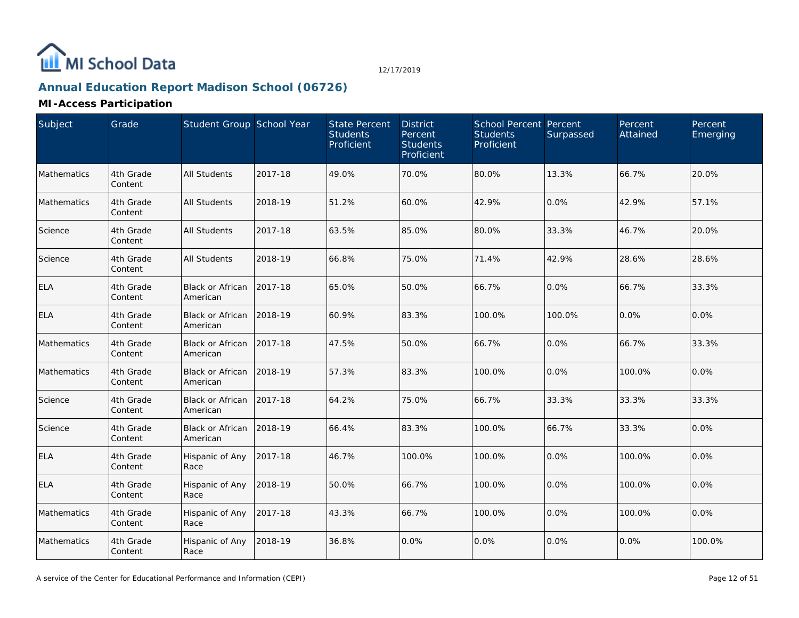

# **Annual Education Report Madison School (06726)**

| Subject     | Grade                | Student Group School Year           |         | <b>State Percent</b><br><b>Students</b><br>Proficient | <b>District</b><br>Percent<br><b>Students</b><br>Proficient | <b>School Percent Percent</b><br><b>Students</b><br>Proficient | Surpassed | Percent<br>Attained | Percent<br>Emerging |
|-------------|----------------------|-------------------------------------|---------|-------------------------------------------------------|-------------------------------------------------------------|----------------------------------------------------------------|-----------|---------------------|---------------------|
| Mathematics | 4th Grade<br>Content | <b>All Students</b>                 | 2017-18 | 49.0%                                                 | 70.0%                                                       | 80.0%                                                          | 13.3%     | 66.7%               | 20.0%               |
| Mathematics | 4th Grade<br>Content | <b>All Students</b>                 | 2018-19 | 51.2%                                                 | 60.0%                                                       | 42.9%                                                          | 0.0%      | 42.9%               | 57.1%               |
| Science     | 4th Grade<br>Content | <b>All Students</b>                 | 2017-18 | 63.5%                                                 | 85.0%                                                       | 80.0%                                                          | 33.3%     | 46.7%               | 20.0%               |
| Science     | 4th Grade<br>Content | <b>All Students</b>                 | 2018-19 | 66.8%                                                 | 75.0%                                                       | 71.4%                                                          | 42.9%     | 28.6%               | 28.6%               |
| <b>ELA</b>  | 4th Grade<br>Content | <b>Black or African</b><br>American | 2017-18 | 65.0%                                                 | 50.0%                                                       | 66.7%                                                          | 0.0%      | 66.7%               | 33.3%               |
| <b>ELA</b>  | 4th Grade<br>Content | Black or African<br>American        | 2018-19 | 60.9%                                                 | 83.3%                                                       | 100.0%                                                         | 100.0%    | 0.0%                | 0.0%                |
| Mathematics | 4th Grade<br>Content | Black or African<br>American        | 2017-18 | 47.5%                                                 | 50.0%                                                       | 66.7%                                                          | 0.0%      | 66.7%               | 33.3%               |
| Mathematics | 4th Grade<br>Content | Black or African<br>American        | 2018-19 | 57.3%                                                 | 83.3%                                                       | 100.0%                                                         | 0.0%      | 100.0%              | 0.0%                |
| Science     | 4th Grade<br>Content | <b>Black or African</b><br>American | 2017-18 | 64.2%                                                 | 75.0%                                                       | 66.7%                                                          | 33.3%     | 33.3%               | 33.3%               |
| Science     | 4th Grade<br>Content | <b>Black or African</b><br>American | 2018-19 | 66.4%                                                 | 83.3%                                                       | 100.0%                                                         | 66.7%     | 33.3%               | 0.0%                |
| <b>ELA</b>  | 4th Grade<br>Content | Hispanic of Any<br>Race             | 2017-18 | 46.7%                                                 | 100.0%                                                      | 100.0%                                                         | 0.0%      | 100.0%              | 0.0%                |
| <b>ELA</b>  | 4th Grade<br>Content | Hispanic of Any<br>Race             | 2018-19 | 50.0%                                                 | 66.7%                                                       | 100.0%                                                         | 0.0%      | 100.0%              | 0.0%                |
| Mathematics | 4th Grade<br>Content | Hispanic of Any<br>Race             | 2017-18 | 43.3%                                                 | 66.7%                                                       | 100.0%                                                         | 0.0%      | 100.0%              | 0.0%                |
| Mathematics | 4th Grade<br>Content | Hispanic of Any<br>Race             | 2018-19 | 36.8%                                                 | 0.0%                                                        | 0.0%                                                           | 0.0%      | 0.0%                | 100.0%              |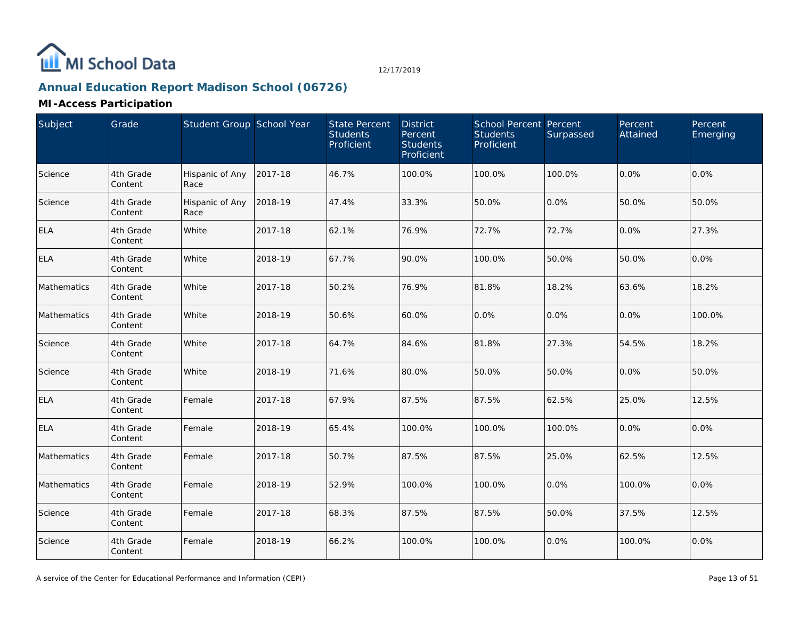

# **Annual Education Report Madison School (06726)**

| Subject     | Grade                | Student Group School Year |         | <b>State Percent</b><br><b>Students</b><br>Proficient | <b>District</b><br>Percent<br><b>Students</b><br>Proficient | School Percent Percent<br><b>Students</b><br>Proficient | Surpassed | Percent<br>Attained | Percent<br>Emerging |
|-------------|----------------------|---------------------------|---------|-------------------------------------------------------|-------------------------------------------------------------|---------------------------------------------------------|-----------|---------------------|---------------------|
| Science     | 4th Grade<br>Content | Hispanic of Any<br>Race   | 2017-18 | 46.7%                                                 | 100.0%                                                      | 100.0%                                                  | 100.0%    | 0.0%                | 0.0%                |
| Science     | 4th Grade<br>Content | Hispanic of Any<br>Race   | 2018-19 | 47.4%                                                 | 33.3%                                                       | 50.0%                                                   | 0.0%      | 50.0%               | 50.0%               |
| <b>ELA</b>  | 4th Grade<br>Content | White                     | 2017-18 | 62.1%                                                 | 76.9%                                                       | 72.7%                                                   | 72.7%     | 0.0%                | 27.3%               |
| <b>ELA</b>  | 4th Grade<br>Content | White                     | 2018-19 | 67.7%                                                 | 90.0%                                                       | 100.0%                                                  | 50.0%     | 50.0%               | 0.0%                |
| Mathematics | 4th Grade<br>Content | White                     | 2017-18 | 50.2%                                                 | 76.9%                                                       | 81.8%                                                   | 18.2%     | 63.6%               | 18.2%               |
| Mathematics | 4th Grade<br>Content | White                     | 2018-19 | 50.6%                                                 | 60.0%                                                       | 0.0%                                                    | 0.0%      | 0.0%                | 100.0%              |
| Science     | 4th Grade<br>Content | White                     | 2017-18 | 64.7%                                                 | 84.6%                                                       | 81.8%                                                   | 27.3%     | 54.5%               | 18.2%               |
| Science     | 4th Grade<br>Content | White                     | 2018-19 | 71.6%                                                 | 80.0%                                                       | 50.0%                                                   | 50.0%     | 0.0%                | 50.0%               |
| <b>ELA</b>  | 4th Grade<br>Content | Female                    | 2017-18 | 67.9%                                                 | 87.5%                                                       | 87.5%                                                   | 62.5%     | 25.0%               | 12.5%               |
| <b>ELA</b>  | 4th Grade<br>Content | Female                    | 2018-19 | 65.4%                                                 | 100.0%                                                      | 100.0%                                                  | 100.0%    | 0.0%                | 0.0%                |
| Mathematics | 4th Grade<br>Content | Female                    | 2017-18 | 50.7%                                                 | 87.5%                                                       | 87.5%                                                   | 25.0%     | 62.5%               | 12.5%               |
| Mathematics | 4th Grade<br>Content | Female                    | 2018-19 | 52.9%                                                 | 100.0%                                                      | 100.0%                                                  | 0.0%      | 100.0%              | 0.0%                |
| Science     | 4th Grade<br>Content | Female                    | 2017-18 | 68.3%                                                 | 87.5%                                                       | 87.5%                                                   | 50.0%     | 37.5%               | 12.5%               |
| Science     | 4th Grade<br>Content | Female                    | 2018-19 | 66.2%                                                 | 100.0%                                                      | 100.0%                                                  | 0.0%      | 100.0%              | 0.0%                |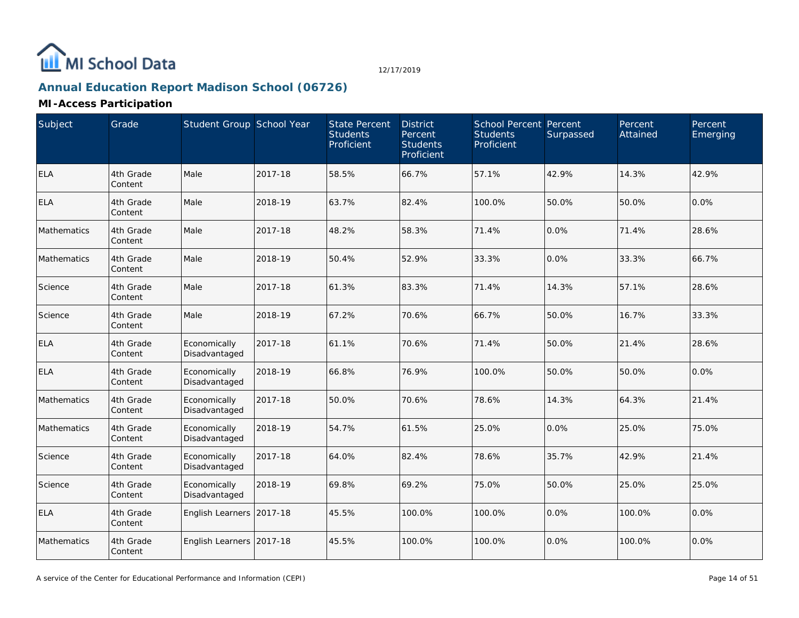

# **Annual Education Report Madison School (06726)**

| Subject     | Grade                | Student Group School Year     |         | <b>State Percent</b><br><b>Students</b><br>Proficient | <b>District</b><br>Percent<br><b>Students</b><br>Proficient | <b>School Percent Percent</b><br><b>Students</b><br>Proficient | Surpassed | Percent<br>Attained | Percent<br>Emerging |
|-------------|----------------------|-------------------------------|---------|-------------------------------------------------------|-------------------------------------------------------------|----------------------------------------------------------------|-----------|---------------------|---------------------|
| ELA         | 4th Grade<br>Content | Male                          | 2017-18 | 58.5%                                                 | 66.7%                                                       | 57.1%                                                          | 42.9%     | 14.3%               | 42.9%               |
| <b>ELA</b>  | 4th Grade<br>Content | Male                          | 2018-19 | 63.7%                                                 | 82.4%                                                       | 100.0%                                                         | 50.0%     | 50.0%               | 0.0%                |
| Mathematics | 4th Grade<br>Content | Male                          | 2017-18 | 48.2%                                                 | 58.3%                                                       | 71.4%                                                          | 0.0%      | 71.4%               | 28.6%               |
| Mathematics | 4th Grade<br>Content | Male                          | 2018-19 | 50.4%                                                 | 52.9%                                                       | 33.3%                                                          | 0.0%      | 33.3%               | 66.7%               |
| Science     | 4th Grade<br>Content | Male                          | 2017-18 | 61.3%                                                 | 83.3%                                                       | 71.4%                                                          | 14.3%     | 57.1%               | 28.6%               |
| Science     | 4th Grade<br>Content | Male                          | 2018-19 | 67.2%                                                 | 70.6%                                                       | 66.7%                                                          | 50.0%     | 16.7%               | 33.3%               |
| <b>ELA</b>  | 4th Grade<br>Content | Economically<br>Disadvantaged | 2017-18 | 61.1%                                                 | 70.6%                                                       | 71.4%                                                          | 50.0%     | 21.4%               | 28.6%               |
| <b>ELA</b>  | 4th Grade<br>Content | Economically<br>Disadvantaged | 2018-19 | 66.8%                                                 | 76.9%                                                       | 100.0%                                                         | 50.0%     | 50.0%               | 0.0%                |
| Mathematics | 4th Grade<br>Content | Economically<br>Disadvantaged | 2017-18 | 50.0%                                                 | 70.6%                                                       | 78.6%                                                          | 14.3%     | 64.3%               | 21.4%               |
| Mathematics | 4th Grade<br>Content | Economically<br>Disadvantaged | 2018-19 | 54.7%                                                 | 61.5%                                                       | 25.0%                                                          | 0.0%      | 25.0%               | 75.0%               |
| Science     | 4th Grade<br>Content | Economically<br>Disadvantaged | 2017-18 | 64.0%                                                 | 82.4%                                                       | 78.6%                                                          | 35.7%     | 42.9%               | 21.4%               |
| Science     | 4th Grade<br>Content | Economically<br>Disadvantaged | 2018-19 | 69.8%                                                 | 69.2%                                                       | 75.0%                                                          | 50.0%     | 25.0%               | 25.0%               |
| <b>ELA</b>  | 4th Grade<br>Content | English Learners 2017-18      |         | 45.5%                                                 | 100.0%                                                      | 100.0%                                                         | 0.0%      | 100.0%              | 0.0%                |
| Mathematics | 4th Grade<br>Content | English Learners 2017-18      |         | 45.5%                                                 | 100.0%                                                      | 100.0%                                                         | 0.0%      | 100.0%              | 0.0%                |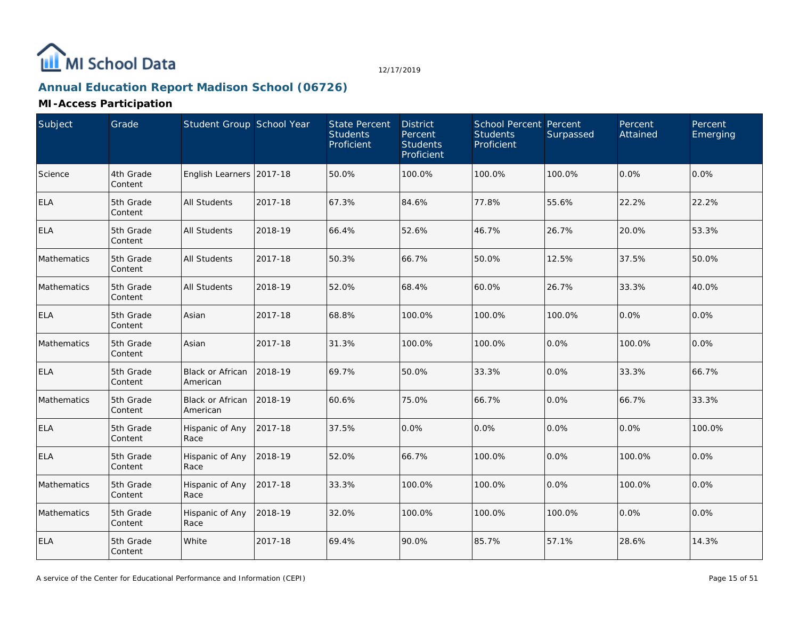

# **Annual Education Report Madison School (06726)**

| Subject            | Grade                | Student Group School Year           |         | <b>State Percent</b><br><b>Students</b><br>Proficient | <b>District</b><br>Percent<br><b>Students</b><br>Proficient | School Percent Percent<br><b>Students</b><br>Proficient | Surpassed | Percent<br>Attained | Percent<br>Emerging |
|--------------------|----------------------|-------------------------------------|---------|-------------------------------------------------------|-------------------------------------------------------------|---------------------------------------------------------|-----------|---------------------|---------------------|
| Science            | 4th Grade<br>Content | English Learners 2017-18            |         | 50.0%                                                 | 100.0%                                                      | 100.0%                                                  | 100.0%    | 0.0%                | 0.0%                |
| <b>ELA</b>         | 5th Grade<br>Content | <b>All Students</b>                 | 2017-18 | 67.3%                                                 | 84.6%                                                       | 77.8%                                                   | 55.6%     | 22.2%               | 22.2%               |
| <b>ELA</b>         | 5th Grade<br>Content | <b>All Students</b>                 | 2018-19 | 66.4%                                                 | 52.6%                                                       | 46.7%                                                   | 26.7%     | 20.0%               | 53.3%               |
| <b>Mathematics</b> | 5th Grade<br>Content | <b>All Students</b>                 | 2017-18 | 50.3%                                                 | 66.7%                                                       | 50.0%                                                   | 12.5%     | 37.5%               | 50.0%               |
| Mathematics        | 5th Grade<br>Content | <b>All Students</b>                 | 2018-19 | 52.0%                                                 | 68.4%                                                       | 60.0%                                                   | 26.7%     | 33.3%               | 40.0%               |
| <b>ELA</b>         | 5th Grade<br>Content | Asian                               | 2017-18 | 68.8%                                                 | 100.0%                                                      | 100.0%                                                  | 100.0%    | 0.0%                | 0.0%                |
| Mathematics        | 5th Grade<br>Content | Asian                               | 2017-18 | 31.3%                                                 | 100.0%                                                      | 100.0%                                                  | 0.0%      | 100.0%              | 0.0%                |
| <b>ELA</b>         | 5th Grade<br>Content | Black or African<br>American        | 2018-19 | 69.7%                                                 | 50.0%                                                       | 33.3%                                                   | 0.0%      | 33.3%               | 66.7%               |
| Mathematics        | 5th Grade<br>Content | <b>Black or African</b><br>American | 2018-19 | 60.6%                                                 | 75.0%                                                       | 66.7%                                                   | 0.0%      | 66.7%               | 33.3%               |
| <b>ELA</b>         | 5th Grade<br>Content | Hispanic of Any<br>Race             | 2017-18 | 37.5%                                                 | 0.0%                                                        | 0.0%                                                    | 0.0%      | 0.0%                | 100.0%              |
| <b>ELA</b>         | 5th Grade<br>Content | Hispanic of Any<br>Race             | 2018-19 | 52.0%                                                 | 66.7%                                                       | 100.0%                                                  | 0.0%      | 100.0%              | 0.0%                |
| Mathematics        | 5th Grade<br>Content | Hispanic of Any<br>Race             | 2017-18 | 33.3%                                                 | 100.0%                                                      | 100.0%                                                  | 0.0%      | 100.0%              | 0.0%                |
| Mathematics        | 5th Grade<br>Content | Hispanic of Any<br>Race             | 2018-19 | 32.0%                                                 | 100.0%                                                      | 100.0%                                                  | 100.0%    | 0.0%                | 0.0%                |
| <b>ELA</b>         | 5th Grade<br>Content | White                               | 2017-18 | 69.4%                                                 | 90.0%                                                       | 85.7%                                                   | 57.1%     | 28.6%               | 14.3%               |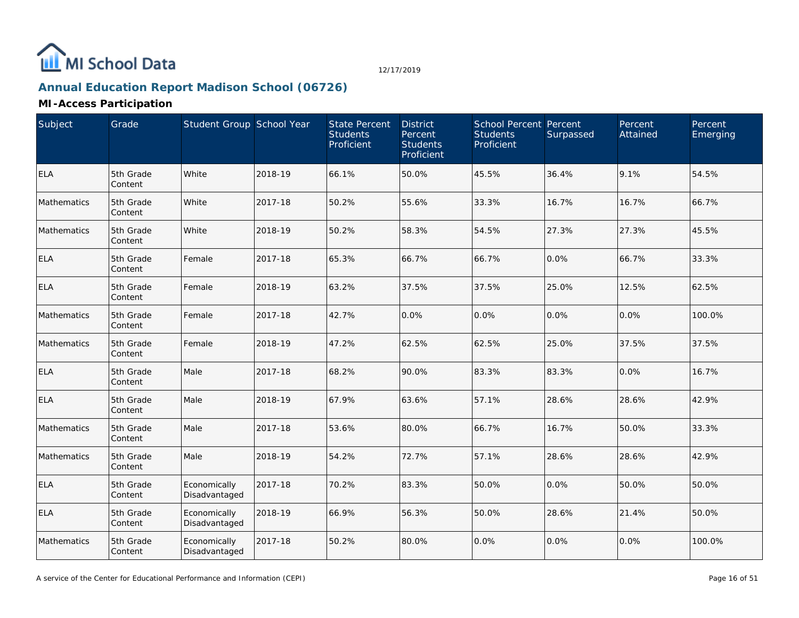

# **Annual Education Report Madison School (06726)**

| Subject            | Grade                | Student Group School Year     |         | <b>State Percent</b><br><b>Students</b><br>Proficient | <b>District</b><br>Percent<br><b>Students</b><br>Proficient | <b>School Percent Percent</b><br><b>Students</b><br>Proficient | Surpassed | Percent<br>Attained | Percent<br>Emerging |
|--------------------|----------------------|-------------------------------|---------|-------------------------------------------------------|-------------------------------------------------------------|----------------------------------------------------------------|-----------|---------------------|---------------------|
| <b>ELA</b>         | 5th Grade<br>Content | White                         | 2018-19 | 66.1%                                                 | 50.0%                                                       | 45.5%                                                          | 36.4%     | 9.1%                | 54.5%               |
| <b>Mathematics</b> | 5th Grade<br>Content | White                         | 2017-18 | 50.2%                                                 | 55.6%                                                       | 33.3%                                                          | 16.7%     | 16.7%               | 66.7%               |
| Mathematics        | 5th Grade<br>Content | White                         | 2018-19 | 50.2%                                                 | 58.3%                                                       | 54.5%                                                          | 27.3%     | 27.3%               | 45.5%               |
| <b>ELA</b>         | 5th Grade<br>Content | Female                        | 2017-18 | 65.3%                                                 | 66.7%                                                       | 66.7%                                                          | 0.0%      | 66.7%               | 33.3%               |
| <b>ELA</b>         | 5th Grade<br>Content | Female                        | 2018-19 | 63.2%                                                 | 37.5%                                                       | 37.5%                                                          | 25.0%     | 12.5%               | 62.5%               |
| Mathematics        | 5th Grade<br>Content | Female                        | 2017-18 | 42.7%                                                 | 0.0%                                                        | 0.0%                                                           | 0.0%      | 0.0%                | 100.0%              |
| Mathematics        | 5th Grade<br>Content | Female                        | 2018-19 | 47.2%                                                 | 62.5%                                                       | 62.5%                                                          | 25.0%     | 37.5%               | 37.5%               |
| <b>ELA</b>         | 5th Grade<br>Content | Male                          | 2017-18 | 68.2%                                                 | 90.0%                                                       | 83.3%                                                          | 83.3%     | 0.0%                | 16.7%               |
| <b>ELA</b>         | 5th Grade<br>Content | Male                          | 2018-19 | 67.9%                                                 | 63.6%                                                       | 57.1%                                                          | 28.6%     | 28.6%               | 42.9%               |
| Mathematics        | 5th Grade<br>Content | Male                          | 2017-18 | 53.6%                                                 | 80.0%                                                       | 66.7%                                                          | 16.7%     | 50.0%               | 33.3%               |
| Mathematics        | 5th Grade<br>Content | Male                          | 2018-19 | 54.2%                                                 | 72.7%                                                       | 57.1%                                                          | 28.6%     | 28.6%               | 42.9%               |
| <b>ELA</b>         | 5th Grade<br>Content | Economically<br>Disadvantaged | 2017-18 | 70.2%                                                 | 83.3%                                                       | 50.0%                                                          | 0.0%      | 50.0%               | 50.0%               |
| <b>ELA</b>         | 5th Grade<br>Content | Economically<br>Disadvantaged | 2018-19 | 66.9%                                                 | 56.3%                                                       | 50.0%                                                          | 28.6%     | 21.4%               | 50.0%               |
| Mathematics        | 5th Grade<br>Content | Economically<br>Disadvantaged | 2017-18 | 50.2%                                                 | 80.0%                                                       | 0.0%                                                           | 0.0%      | 0.0%                | 100.0%              |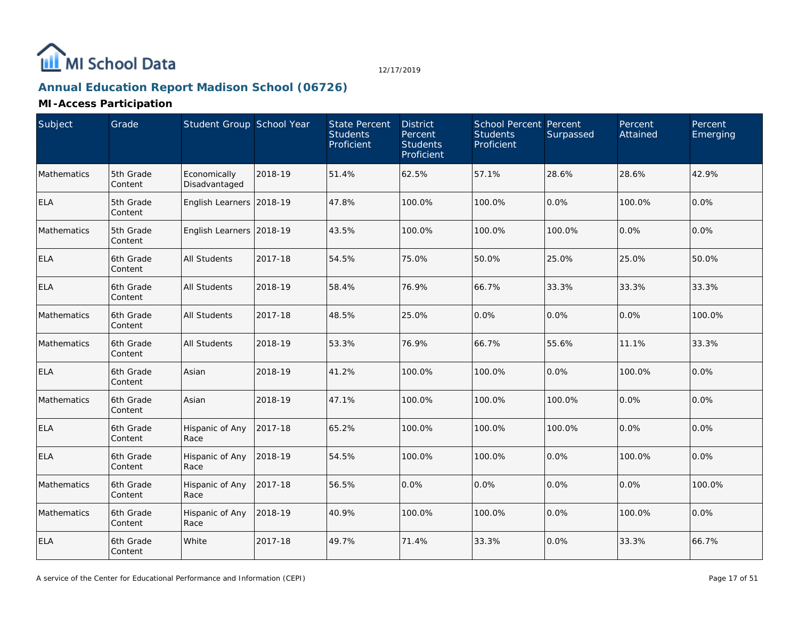

# **Annual Education Report Madison School (06726)**

| Subject     | Grade                | Student Group School Year     |         | <b>State Percent</b><br><b>Students</b><br>Proficient | <b>District</b><br>Percent<br><b>Students</b><br>Proficient | <b>School Percent Percent</b><br><b>Students</b><br>Proficient | Surpassed | Percent<br>Attained | Percent<br>Emerging |
|-------------|----------------------|-------------------------------|---------|-------------------------------------------------------|-------------------------------------------------------------|----------------------------------------------------------------|-----------|---------------------|---------------------|
| Mathematics | 5th Grade<br>Content | Economically<br>Disadvantaged | 2018-19 | 51.4%                                                 | 62.5%                                                       | 57.1%                                                          | 28.6%     | 28.6%               | 42.9%               |
| <b>ELA</b>  | 5th Grade<br>Content | English Learners 2018-19      |         | 47.8%                                                 | 100.0%                                                      | 100.0%                                                         | 0.0%      | 100.0%              | 0.0%                |
| Mathematics | 5th Grade<br>Content | English Learners 2018-19      |         | 43.5%                                                 | 100.0%                                                      | 100.0%                                                         | 100.0%    | 0.0%                | 0.0%                |
| <b>ELA</b>  | 6th Grade<br>Content | <b>All Students</b>           | 2017-18 | 54.5%                                                 | 75.0%                                                       | 50.0%                                                          | 25.0%     | 25.0%               | 50.0%               |
| <b>ELA</b>  | 6th Grade<br>Content | All Students                  | 2018-19 | 58.4%                                                 | 76.9%                                                       | 66.7%                                                          | 33.3%     | 33.3%               | 33.3%               |
| Mathematics | 6th Grade<br>Content | <b>All Students</b>           | 2017-18 | 48.5%                                                 | 25.0%                                                       | 0.0%                                                           | 0.0%      | 0.0%                | 100.0%              |
| Mathematics | 6th Grade<br>Content | All Students                  | 2018-19 | 53.3%                                                 | 76.9%                                                       | 66.7%                                                          | 55.6%     | 11.1%               | 33.3%               |
| <b>ELA</b>  | 6th Grade<br>Content | Asian                         | 2018-19 | 41.2%                                                 | 100.0%                                                      | 100.0%                                                         | 0.0%      | 100.0%              | 0.0%                |
| Mathematics | 6th Grade<br>Content | Asian                         | 2018-19 | 47.1%                                                 | 100.0%                                                      | 100.0%                                                         | 100.0%    | 0.0%                | 0.0%                |
| <b>ELA</b>  | 6th Grade<br>Content | Hispanic of Any<br>Race       | 2017-18 | 65.2%                                                 | 100.0%                                                      | 100.0%                                                         | 100.0%    | 0.0%                | 0.0%                |
| <b>ELA</b>  | 6th Grade<br>Content | Hispanic of Any<br>Race       | 2018-19 | 54.5%                                                 | 100.0%                                                      | 100.0%                                                         | 0.0%      | 100.0%              | 0.0%                |
| Mathematics | 6th Grade<br>Content | Hispanic of Any<br>Race       | 2017-18 | 56.5%                                                 | 0.0%                                                        | 0.0%                                                           | 0.0%      | 0.0%                | 100.0%              |
| Mathematics | 6th Grade<br>Content | Hispanic of Any<br>Race       | 2018-19 | 40.9%                                                 | 100.0%                                                      | 100.0%                                                         | 0.0%      | 100.0%              | 0.0%                |
| <b>ELA</b>  | 6th Grade<br>Content | White                         | 2017-18 | 49.7%                                                 | 71.4%                                                       | 33.3%                                                          | 0.0%      | 33.3%               | 66.7%               |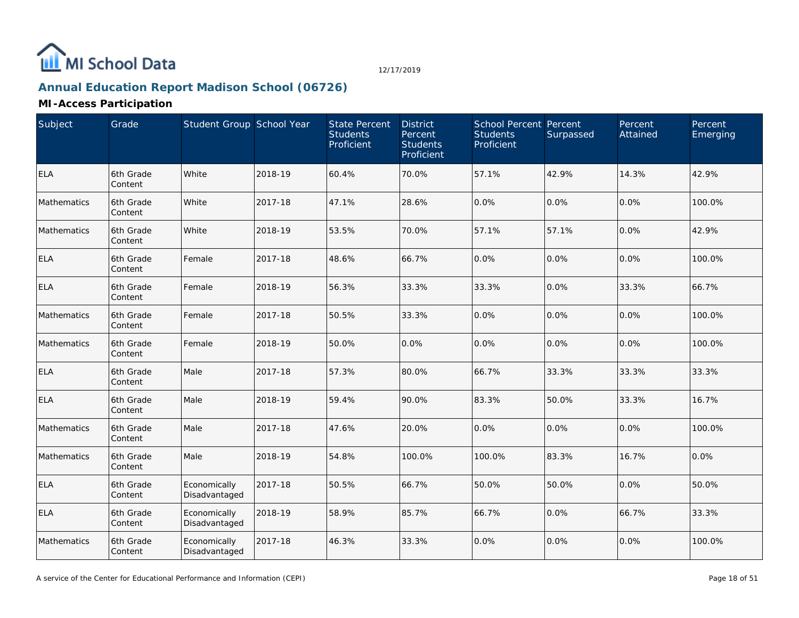

# **Annual Education Report Madison School (06726)**

| Subject     | Grade                | Student Group School Year     |         | <b>State Percent</b><br><b>Students</b><br>Proficient | <b>District</b><br>Percent<br><b>Students</b><br>Proficient | <b>School Percent Percent</b><br><b>Students</b><br>Proficient | Surpassed | Percent<br>Attained | Percent<br>Emerging |
|-------------|----------------------|-------------------------------|---------|-------------------------------------------------------|-------------------------------------------------------------|----------------------------------------------------------------|-----------|---------------------|---------------------|
| <b>ELA</b>  | 6th Grade<br>Content | White                         | 2018-19 | 60.4%                                                 | 70.0%                                                       | 57.1%                                                          | 42.9%     | 14.3%               | 42.9%               |
| Mathematics | 6th Grade<br>Content | White                         | 2017-18 | 47.1%                                                 | 28.6%                                                       | 0.0%                                                           | 0.0%      | 0.0%                | 100.0%              |
| Mathematics | 6th Grade<br>Content | White                         | 2018-19 | 53.5%                                                 | 70.0%                                                       | 57.1%                                                          | 57.1%     | 0.0%                | 42.9%               |
| <b>ELA</b>  | 6th Grade<br>Content | Female                        | 2017-18 | 48.6%                                                 | 66.7%                                                       | 0.0%                                                           | 0.0%      | 0.0%                | 100.0%              |
| <b>ELA</b>  | 6th Grade<br>Content | Female                        | 2018-19 | 56.3%                                                 | 33.3%                                                       | 33.3%                                                          | 0.0%      | 33.3%               | 66.7%               |
| Mathematics | 6th Grade<br>Content | Female                        | 2017-18 | 50.5%                                                 | 33.3%                                                       | 0.0%                                                           | 0.0%      | 0.0%                | 100.0%              |
| Mathematics | 6th Grade<br>Content | Female                        | 2018-19 | 50.0%                                                 | 0.0%                                                        | 0.0%                                                           | 0.0%      | 0.0%                | 100.0%              |
| <b>ELA</b>  | 6th Grade<br>Content | Male                          | 2017-18 | 57.3%                                                 | 80.0%                                                       | 66.7%                                                          | 33.3%     | 33.3%               | 33.3%               |
| <b>ELA</b>  | 6th Grade<br>Content | Male                          | 2018-19 | 59.4%                                                 | 90.0%                                                       | 83.3%                                                          | 50.0%     | 33.3%               | 16.7%               |
| Mathematics | 6th Grade<br>Content | Male                          | 2017-18 | 47.6%                                                 | 20.0%                                                       | 0.0%                                                           | 0.0%      | 0.0%                | 100.0%              |
| Mathematics | 6th Grade<br>Content | Male                          | 2018-19 | 54.8%                                                 | 100.0%                                                      | 100.0%                                                         | 83.3%     | 16.7%               | 0.0%                |
| <b>ELA</b>  | 6th Grade<br>Content | Economically<br>Disadvantaged | 2017-18 | 50.5%                                                 | 66.7%                                                       | 50.0%                                                          | 50.0%     | 0.0%                | 50.0%               |
| <b>ELA</b>  | 6th Grade<br>Content | Economically<br>Disadvantaged | 2018-19 | 58.9%                                                 | 85.7%                                                       | 66.7%                                                          | 0.0%      | 66.7%               | 33.3%               |
| Mathematics | 6th Grade<br>Content | Economically<br>Disadvantaged | 2017-18 | 46.3%                                                 | 33.3%                                                       | 0.0%                                                           | 0.0%      | 0.0%                | 100.0%              |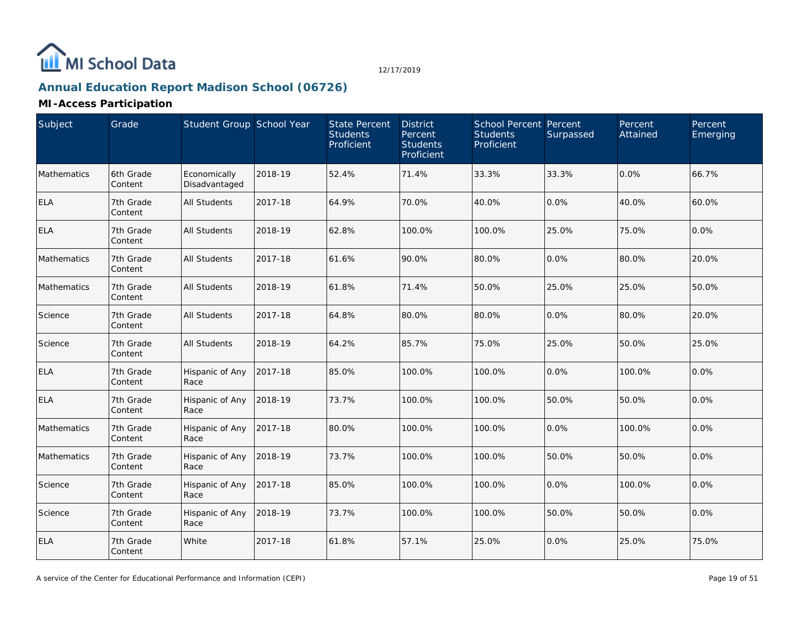

# **Annual Education Report Madison School (06726)**

| Subject     | Grade                | Student Group School Year     |         | <b>State Percent</b><br><b>Students</b><br>Proficient | <b>District</b><br>Percent<br><b>Students</b><br>Proficient | School Percent Percent<br><b>Students</b><br>Proficient | Surpassed | Percent<br>Attained | Percent<br>Emerging |
|-------------|----------------------|-------------------------------|---------|-------------------------------------------------------|-------------------------------------------------------------|---------------------------------------------------------|-----------|---------------------|---------------------|
| Mathematics | 6th Grade<br>Content | Economically<br>Disadvantaged | 2018-19 | 52.4%                                                 | 71.4%                                                       | 33.3%                                                   | 33.3%     | 0.0%                | 66.7%               |
| <b>ELA</b>  | 7th Grade<br>Content | All Students                  | 2017-18 | 64.9%                                                 | 70.0%                                                       | 40.0%                                                   | 0.0%      | 40.0%               | 60.0%               |
| <b>ELA</b>  | 7th Grade<br>Content | All Students                  | 2018-19 | 62.8%                                                 | 100.0%                                                      | 100.0%                                                  | 25.0%     | 75.0%               | 0.0%                |
| Mathematics | 7th Grade<br>Content | <b>All Students</b>           | 2017-18 | 61.6%                                                 | 90.0%                                                       | 80.0%                                                   | 0.0%      | 80.0%               | 20.0%               |
| Mathematics | 7th Grade<br>Content | All Students                  | 2018-19 | 61.8%                                                 | 71.4%                                                       | 50.0%                                                   | 25.0%     | 25.0%               | 50.0%               |
| Science     | 7th Grade<br>Content | <b>All Students</b>           | 2017-18 | 64.8%                                                 | 80.0%                                                       | 80.0%                                                   | 0.0%      | 80.0%               | 20.0%               |
| Science     | 7th Grade<br>Content | <b>All Students</b>           | 2018-19 | 64.2%                                                 | 85.7%                                                       | 75.0%                                                   | 25.0%     | 50.0%               | 25.0%               |
| <b>ELA</b>  | 7th Grade<br>Content | Hispanic of Any<br>Race       | 2017-18 | 85.0%                                                 | 100.0%                                                      | 100.0%                                                  | 0.0%      | 100.0%              | 0.0%                |
| <b>ELA</b>  | 7th Grade<br>Content | Hispanic of Any<br>Race       | 2018-19 | 73.7%                                                 | 100.0%                                                      | 100.0%                                                  | 50.0%     | 50.0%               | 0.0%                |
| Mathematics | 7th Grade<br>Content | Hispanic of Any<br>Race       | 2017-18 | 80.0%                                                 | 100.0%                                                      | 100.0%                                                  | 0.0%      | 100.0%              | 0.0%                |
| Mathematics | 7th Grade<br>Content | Hispanic of Any<br>Race       | 2018-19 | 73.7%                                                 | 100.0%                                                      | 100.0%                                                  | 50.0%     | 50.0%               | 0.0%                |
| Science     | 7th Grade<br>Content | Hispanic of Any<br>Race       | 2017-18 | 85.0%                                                 | 100.0%                                                      | 100.0%                                                  | 0.0%      | 100.0%              | 0.0%                |
| Science     | 7th Grade<br>Content | Hispanic of Any<br>Race       | 2018-19 | 73.7%                                                 | 100.0%                                                      | 100.0%                                                  | 50.0%     | 50.0%               | 0.0%                |
| <b>ELA</b>  | 7th Grade<br>Content | White                         | 2017-18 | 61.8%                                                 | 57.1%                                                       | 25.0%                                                   | 0.0%      | 25.0%               | 75.0%               |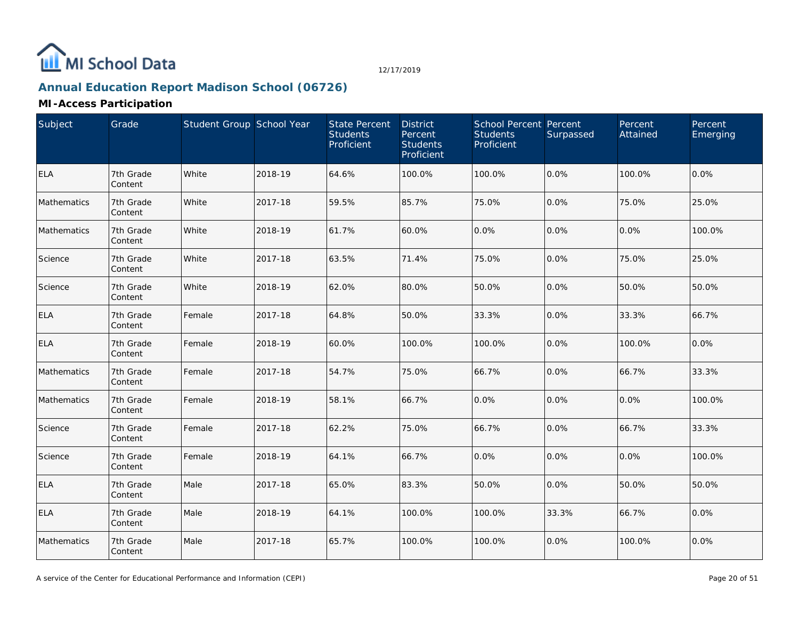

# **Annual Education Report Madison School (06726)**

| Subject     | Grade                | Student Group School Year |         | State Percent<br><b>Students</b><br>Proficient | <b>District</b><br>Percent<br><b>Students</b><br>Proficient | <b>School Percent Percent</b><br><b>Students</b><br>Proficient | Surpassed | Percent<br>Attained | Percent<br>Emerging |
|-------------|----------------------|---------------------------|---------|------------------------------------------------|-------------------------------------------------------------|----------------------------------------------------------------|-----------|---------------------|---------------------|
| <b>ELA</b>  | 7th Grade<br>Content | White                     | 2018-19 | 64.6%                                          | 100.0%                                                      | 100.0%                                                         | 0.0%      | 100.0%              | 0.0%                |
| Mathematics | 7th Grade<br>Content | White                     | 2017-18 | 59.5%                                          | 85.7%                                                       | 75.0%                                                          | 0.0%      | 75.0%               | 25.0%               |
| Mathematics | 7th Grade<br>Content | White                     | 2018-19 | 61.7%                                          | 60.0%                                                       | 0.0%                                                           | 0.0%      | 0.0%                | 100.0%              |
| Science     | 7th Grade<br>Content | White                     | 2017-18 | 63.5%                                          | 71.4%                                                       | 75.0%                                                          | 0.0%      | 75.0%               | 25.0%               |
| Science     | 7th Grade<br>Content | White                     | 2018-19 | 62.0%                                          | 80.0%                                                       | 50.0%                                                          | 0.0%      | 50.0%               | 50.0%               |
| <b>ELA</b>  | 7th Grade<br>Content | Female                    | 2017-18 | 64.8%                                          | 50.0%                                                       | 33.3%                                                          | 0.0%      | 33.3%               | 66.7%               |
| <b>ELA</b>  | 7th Grade<br>Content | Female                    | 2018-19 | 60.0%                                          | 100.0%                                                      | 100.0%                                                         | 0.0%      | 100.0%              | 0.0%                |
| Mathematics | 7th Grade<br>Content | Female                    | 2017-18 | 54.7%                                          | 75.0%                                                       | 66.7%                                                          | 0.0%      | 66.7%               | 33.3%               |
| Mathematics | 7th Grade<br>Content | Female                    | 2018-19 | 58.1%                                          | 66.7%                                                       | 0.0%                                                           | 0.0%      | 0.0%                | 100.0%              |
| Science     | 7th Grade<br>Content | Female                    | 2017-18 | 62.2%                                          | 75.0%                                                       | 66.7%                                                          | 0.0%      | 66.7%               | 33.3%               |
| Science     | 7th Grade<br>Content | Female                    | 2018-19 | 64.1%                                          | 66.7%                                                       | 0.0%                                                           | 0.0%      | 0.0%                | 100.0%              |
| <b>ELA</b>  | 7th Grade<br>Content | Male                      | 2017-18 | 65.0%                                          | 83.3%                                                       | 50.0%                                                          | 0.0%      | 50.0%               | 50.0%               |
| <b>ELA</b>  | 7th Grade<br>Content | Male                      | 2018-19 | 64.1%                                          | 100.0%                                                      | 100.0%                                                         | 33.3%     | 66.7%               | 0.0%                |
| Mathematics | 7th Grade<br>Content | Male                      | 2017-18 | 65.7%                                          | 100.0%                                                      | 100.0%                                                         | 0.0%      | 100.0%              | 0.0%                |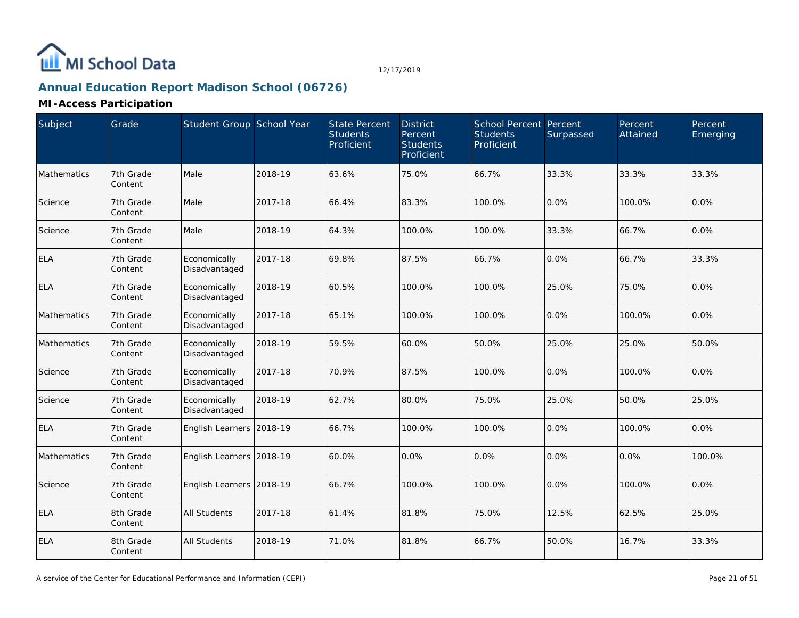

# **Annual Education Report Madison School (06726)**

| Subject     | Grade                | Student Group School Year     |         | <b>State Percent</b><br><b>Students</b><br>Proficient | <b>District</b><br>Percent<br><b>Students</b><br>Proficient | <b>School Percent Percent</b><br><b>Students</b><br>Proficient | Surpassed | Percent<br>Attained | Percent<br>Emerging |
|-------------|----------------------|-------------------------------|---------|-------------------------------------------------------|-------------------------------------------------------------|----------------------------------------------------------------|-----------|---------------------|---------------------|
| Mathematics | 7th Grade<br>Content | Male                          | 2018-19 | 63.6%                                                 | 75.0%                                                       | 66.7%                                                          | 33.3%     | 33.3%               | 33.3%               |
| Science     | 7th Grade<br>Content | Male                          | 2017-18 | 66.4%                                                 | 83.3%                                                       | 100.0%                                                         | 0.0%      | 100.0%              | 0.0%                |
| Science     | 7th Grade<br>Content | Male                          | 2018-19 | 64.3%                                                 | 100.0%                                                      | 100.0%                                                         | 33.3%     | 66.7%               | 0.0%                |
| <b>ELA</b>  | 7th Grade<br>Content | Economically<br>Disadvantaged | 2017-18 | 69.8%                                                 | 87.5%                                                       | 66.7%                                                          | 0.0%      | 66.7%               | 33.3%               |
| <b>ELA</b>  | 7th Grade<br>Content | Economically<br>Disadvantaged | 2018-19 | 60.5%                                                 | 100.0%                                                      | 100.0%                                                         | 25.0%     | 75.0%               | 0.0%                |
| Mathematics | 7th Grade<br>Content | Economically<br>Disadvantaged | 2017-18 | 65.1%                                                 | 100.0%                                                      | 100.0%                                                         | 0.0%      | 100.0%              | 0.0%                |
| Mathematics | 7th Grade<br>Content | Economically<br>Disadvantaged | 2018-19 | 59.5%                                                 | 60.0%                                                       | 50.0%                                                          | 25.0%     | 25.0%               | 50.0%               |
| Science     | 7th Grade<br>Content | Economically<br>Disadvantaged | 2017-18 | 70.9%                                                 | 87.5%                                                       | 100.0%                                                         | 0.0%      | 100.0%              | 0.0%                |
| Science     | 7th Grade<br>Content | Economically<br>Disadvantaged | 2018-19 | 62.7%                                                 | 80.0%                                                       | 75.0%                                                          | 25.0%     | 50.0%               | 25.0%               |
| <b>ELA</b>  | 7th Grade<br>Content | English Learners 2018-19      |         | 66.7%                                                 | 100.0%                                                      | 100.0%                                                         | 0.0%      | 100.0%              | 0.0%                |
| Mathematics | 7th Grade<br>Content | English Learners 2018-19      |         | 60.0%                                                 | 0.0%                                                        | 0.0%                                                           | 0.0%      | 0.0%                | 100.0%              |
| Science     | 7th Grade<br>Content | English Learners 2018-19      |         | 66.7%                                                 | 100.0%                                                      | 100.0%                                                         | 0.0%      | 100.0%              | 0.0%                |
| <b>ELA</b>  | 8th Grade<br>Content | <b>All Students</b>           | 2017-18 | 61.4%                                                 | 81.8%                                                       | 75.0%                                                          | 12.5%     | 62.5%               | 25.0%               |
| <b>ELA</b>  | 8th Grade<br>Content | <b>All Students</b>           | 2018-19 | 71.0%                                                 | 81.8%                                                       | 66.7%                                                          | 50.0%     | 16.7%               | 33.3%               |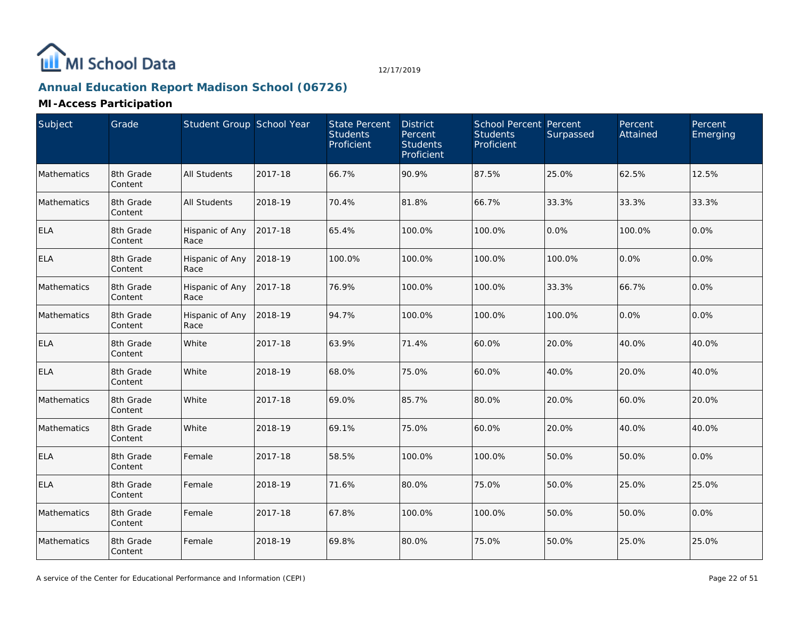

# **Annual Education Report Madison School (06726)**

| Subject     | Grade                | Student Group School Year |         | <b>State Percent</b><br><b>Students</b><br>Proficient | <b>District</b><br>Percent<br><b>Students</b><br>Proficient | <b>School Percent Percent</b><br><b>Students</b><br>Proficient | Surpassed | Percent<br>Attained | Percent<br>Emerging |
|-------------|----------------------|---------------------------|---------|-------------------------------------------------------|-------------------------------------------------------------|----------------------------------------------------------------|-----------|---------------------|---------------------|
| Mathematics | 8th Grade<br>Content | <b>All Students</b>       | 2017-18 | 66.7%                                                 | 90.9%                                                       | 87.5%                                                          | 25.0%     | 62.5%               | 12.5%               |
| Mathematics | 8th Grade<br>Content | <b>All Students</b>       | 2018-19 | 70.4%                                                 | 81.8%                                                       | 66.7%                                                          | 33.3%     | 33.3%               | 33.3%               |
| <b>ELA</b>  | 8th Grade<br>Content | Hispanic of Any<br>Race   | 2017-18 | 65.4%                                                 | 100.0%                                                      | 100.0%                                                         | 0.0%      | 100.0%              | 0.0%                |
| <b>ELA</b>  | 8th Grade<br>Content | Hispanic of Any<br>Race   | 2018-19 | 100.0%                                                | 100.0%                                                      | 100.0%                                                         | 100.0%    | 0.0%                | 0.0%                |
| Mathematics | 8th Grade<br>Content | Hispanic of Any<br>Race   | 2017-18 | 76.9%                                                 | 100.0%                                                      | 100.0%                                                         | 33.3%     | 66.7%               | 0.0%                |
| Mathematics | 8th Grade<br>Content | Hispanic of Any<br>Race   | 2018-19 | 94.7%                                                 | 100.0%                                                      | 100.0%                                                         | 100.0%    | 0.0%                | 0.0%                |
| <b>ELA</b>  | 8th Grade<br>Content | White                     | 2017-18 | 63.9%                                                 | 71.4%                                                       | 60.0%                                                          | 20.0%     | 40.0%               | 40.0%               |
| ELA         | 8th Grade<br>Content | White                     | 2018-19 | 68.0%                                                 | 75.0%                                                       | 60.0%                                                          | 40.0%     | 20.0%               | 40.0%               |
| Mathematics | 8th Grade<br>Content | White                     | 2017-18 | 69.0%                                                 | 85.7%                                                       | 80.0%                                                          | 20.0%     | 60.0%               | 20.0%               |
| Mathematics | 8th Grade<br>Content | White                     | 2018-19 | 69.1%                                                 | 75.0%                                                       | 60.0%                                                          | 20.0%     | 40.0%               | 40.0%               |
| <b>ELA</b>  | 8th Grade<br>Content | Female                    | 2017-18 | 58.5%                                                 | 100.0%                                                      | 100.0%                                                         | 50.0%     | 50.0%               | 0.0%                |
| <b>ELA</b>  | 8th Grade<br>Content | Female                    | 2018-19 | 71.6%                                                 | 80.0%                                                       | 75.0%                                                          | 50.0%     | 25.0%               | 25.0%               |
| Mathematics | 8th Grade<br>Content | Female                    | 2017-18 | 67.8%                                                 | 100.0%                                                      | 100.0%                                                         | 50.0%     | 50.0%               | 0.0%                |
| Mathematics | 8th Grade<br>Content | Female                    | 2018-19 | 69.8%                                                 | 80.0%                                                       | 75.0%                                                          | 50.0%     | 25.0%               | 25.0%               |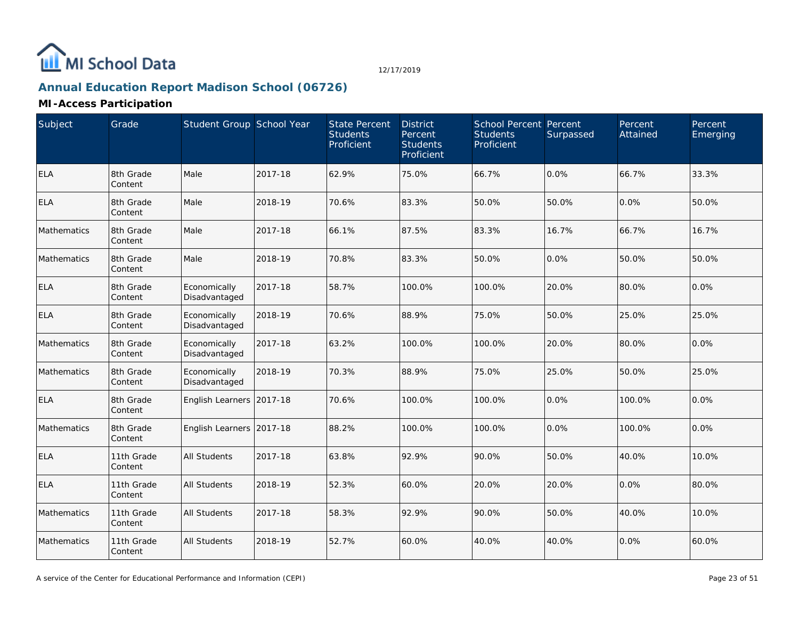

# **Annual Education Report Madison School (06726)**

| Subject     | Grade                 | Student Group School Year     |         | <b>State Percent</b><br><b>Students</b><br>Proficient | <b>District</b><br>Percent<br><b>Students</b><br>Proficient | <b>School Percent Percent</b><br><b>Students</b><br>Proficient | Surpassed | Percent<br>Attained | Percent<br>Emerging |
|-------------|-----------------------|-------------------------------|---------|-------------------------------------------------------|-------------------------------------------------------------|----------------------------------------------------------------|-----------|---------------------|---------------------|
| <b>ELA</b>  | 8th Grade<br>Content  | Male                          | 2017-18 | 62.9%                                                 | 75.0%                                                       | 66.7%                                                          | 0.0%      | 66.7%               | 33.3%               |
| <b>ELA</b>  | 8th Grade<br>Content  | Male                          | 2018-19 | 70.6%                                                 | 83.3%                                                       | 50.0%                                                          | 50.0%     | 0.0%                | 50.0%               |
| Mathematics | 8th Grade<br>Content  | Male                          | 2017-18 | 66.1%                                                 | 87.5%                                                       | 83.3%                                                          | 16.7%     | 66.7%               | 16.7%               |
| Mathematics | 8th Grade<br>Content  | Male                          | 2018-19 | 70.8%                                                 | 83.3%                                                       | 50.0%                                                          | 0.0%      | 50.0%               | 50.0%               |
| <b>ELA</b>  | 8th Grade<br>Content  | Economically<br>Disadvantaged | 2017-18 | 58.7%                                                 | 100.0%                                                      | 100.0%                                                         | 20.0%     | 80.0%               | 0.0%                |
| <b>ELA</b>  | 8th Grade<br>Content  | Economically<br>Disadvantaged | 2018-19 | 70.6%                                                 | 88.9%                                                       | 75.0%                                                          | 50.0%     | 25.0%               | 25.0%               |
| Mathematics | 8th Grade<br>Content  | Economically<br>Disadvantaged | 2017-18 | 63.2%                                                 | 100.0%                                                      | 100.0%                                                         | 20.0%     | 80.0%               | 0.0%                |
| Mathematics | 8th Grade<br>Content  | Economically<br>Disadvantaged | 2018-19 | 70.3%                                                 | 88.9%                                                       | 75.0%                                                          | 25.0%     | 50.0%               | 25.0%               |
| <b>ELA</b>  | 8th Grade<br>Content  | English Learners 2017-18      |         | 70.6%                                                 | 100.0%                                                      | 100.0%                                                         | 0.0%      | 100.0%              | 0.0%                |
| Mathematics | 8th Grade<br>Content  | English Learners 2017-18      |         | 88.2%                                                 | 100.0%                                                      | 100.0%                                                         | 0.0%      | 100.0%              | 0.0%                |
| <b>ELA</b>  | 11th Grade<br>Content | All Students                  | 2017-18 | 63.8%                                                 | 92.9%                                                       | 90.0%                                                          | 50.0%     | 40.0%               | 10.0%               |
| <b>ELA</b>  | 11th Grade<br>Content | All Students                  | 2018-19 | 52.3%                                                 | 60.0%                                                       | 20.0%                                                          | 20.0%     | 0.0%                | 80.0%               |
| Mathematics | 11th Grade<br>Content | All Students                  | 2017-18 | 58.3%                                                 | 92.9%                                                       | 90.0%                                                          | 50.0%     | 40.0%               | 10.0%               |
| Mathematics | 11th Grade<br>Content | <b>All Students</b>           | 2018-19 | 52.7%                                                 | 60.0%                                                       | 40.0%                                                          | 40.0%     | 0.0%                | 60.0%               |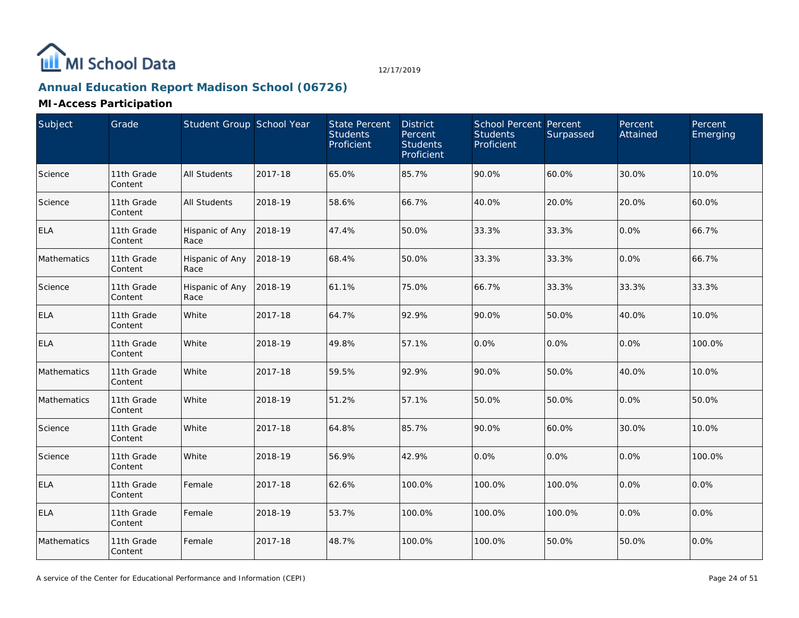

# **Annual Education Report Madison School (06726)**

| Subject     | Grade                 | Student Group School Year |         | State Percent<br><b>Students</b><br>Proficient | <b>District</b><br>Percent<br><b>Students</b><br>Proficient | School Percent Percent<br><b>Students</b><br>Proficient | Surpassed | Percent<br>Attained | Percent<br>Emerging |
|-------------|-----------------------|---------------------------|---------|------------------------------------------------|-------------------------------------------------------------|---------------------------------------------------------|-----------|---------------------|---------------------|
| Science     | 11th Grade<br>Content | <b>All Students</b>       | 2017-18 | 65.0%                                          | 85.7%                                                       | 90.0%                                                   | 60.0%     | 30.0%               | 10.0%               |
| Science     | 11th Grade<br>Content | <b>All Students</b>       | 2018-19 | 58.6%                                          | 66.7%                                                       | 40.0%                                                   | 20.0%     | 20.0%               | 60.0%               |
| <b>ELA</b>  | 11th Grade<br>Content | Hispanic of Any<br>Race   | 2018-19 | 47.4%                                          | 50.0%                                                       | 33.3%                                                   | 33.3%     | 0.0%                | 66.7%               |
| Mathematics | 11th Grade<br>Content | Hispanic of Any<br>Race   | 2018-19 | 68.4%                                          | 50.0%                                                       | 33.3%                                                   | 33.3%     | 0.0%                | 66.7%               |
| Science     | 11th Grade<br>Content | Hispanic of Any<br>Race   | 2018-19 | 61.1%                                          | 75.0%                                                       | 66.7%                                                   | 33.3%     | 33.3%               | 33.3%               |
| <b>ELA</b>  | 11th Grade<br>Content | White                     | 2017-18 | 64.7%                                          | 92.9%                                                       | 90.0%                                                   | 50.0%     | 40.0%               | 10.0%               |
| <b>ELA</b>  | 11th Grade<br>Content | White                     | 2018-19 | 49.8%                                          | 57.1%                                                       | 0.0%                                                    | 0.0%      | 0.0%                | 100.0%              |
| Mathematics | 11th Grade<br>Content | White                     | 2017-18 | 59.5%                                          | 92.9%                                                       | 90.0%                                                   | 50.0%     | 40.0%               | 10.0%               |
| Mathematics | 11th Grade<br>Content | White                     | 2018-19 | 51.2%                                          | 57.1%                                                       | 50.0%                                                   | 50.0%     | 0.0%                | 50.0%               |
| Science     | 11th Grade<br>Content | White                     | 2017-18 | 64.8%                                          | 85.7%                                                       | 90.0%                                                   | 60.0%     | 30.0%               | 10.0%               |
| Science     | 11th Grade<br>Content | White                     | 2018-19 | 56.9%                                          | 42.9%                                                       | 0.0%                                                    | 0.0%      | 0.0%                | 100.0%              |
| <b>ELA</b>  | 11th Grade<br>Content | Female                    | 2017-18 | 62.6%                                          | 100.0%                                                      | 100.0%                                                  | 100.0%    | 0.0%                | 0.0%                |
| <b>ELA</b>  | 11th Grade<br>Content | Female                    | 2018-19 | 53.7%                                          | 100.0%                                                      | 100.0%                                                  | 100.0%    | 0.0%                | 0.0%                |
| Mathematics | 11th Grade<br>Content | Female                    | 2017-18 | 48.7%                                          | 100.0%                                                      | 100.0%                                                  | 50.0%     | 50.0%               | 0.0%                |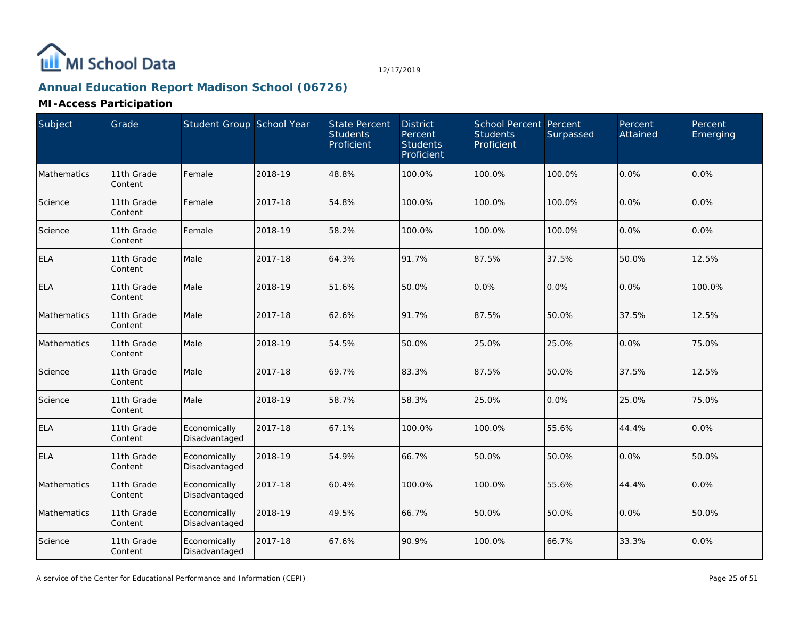

# **Annual Education Report Madison School (06726)**

| Subject     | Grade                 | Student Group School Year     |         | State Percent<br><b>Students</b><br>Proficient | <b>District</b><br>Percent<br><b>Students</b><br>Proficient | <b>School Percent Percent</b><br><b>Students</b><br>Proficient | Surpassed | Percent<br>Attained | Percent<br>Emerging |
|-------------|-----------------------|-------------------------------|---------|------------------------------------------------|-------------------------------------------------------------|----------------------------------------------------------------|-----------|---------------------|---------------------|
| Mathematics | 11th Grade<br>Content | Female                        | 2018-19 | 48.8%                                          | 100.0%                                                      | 100.0%                                                         | 100.0%    | 0.0%                | 0.0%                |
| Science     | 11th Grade<br>Content | Female                        | 2017-18 | 54.8%                                          | 100.0%                                                      | 100.0%                                                         | 100.0%    | 0.0%                | 0.0%                |
| Science     | 11th Grade<br>Content | Female                        | 2018-19 | 58.2%                                          | 100.0%                                                      | 100.0%                                                         | 100.0%    | 0.0%                | 0.0%                |
| <b>ELA</b>  | 11th Grade<br>Content | Male                          | 2017-18 | 64.3%                                          | 91.7%                                                       | 87.5%                                                          | 37.5%     | 50.0%               | 12.5%               |
| <b>ELA</b>  | 11th Grade<br>Content | Male                          | 2018-19 | 51.6%                                          | 50.0%                                                       | 0.0%                                                           | 0.0%      | 0.0%                | 100.0%              |
| Mathematics | 11th Grade<br>Content | Male                          | 2017-18 | 62.6%                                          | 91.7%                                                       | 87.5%                                                          | 50.0%     | 37.5%               | 12.5%               |
| Mathematics | 11th Grade<br>Content | Male                          | 2018-19 | 54.5%                                          | 50.0%                                                       | 25.0%                                                          | 25.0%     | 0.0%                | 75.0%               |
| Science     | 11th Grade<br>Content | Male                          | 2017-18 | 69.7%                                          | 83.3%                                                       | 87.5%                                                          | 50.0%     | 37.5%               | 12.5%               |
| Science     | 11th Grade<br>Content | Male                          | 2018-19 | 58.7%                                          | 58.3%                                                       | 25.0%                                                          | 0.0%      | 25.0%               | 75.0%               |
| <b>ELA</b>  | 11th Grade<br>Content | Economically<br>Disadvantaged | 2017-18 | 67.1%                                          | 100.0%                                                      | 100.0%                                                         | 55.6%     | 44.4%               | 0.0%                |
| <b>ELA</b>  | 11th Grade<br>Content | Economically<br>Disadvantaged | 2018-19 | 54.9%                                          | 66.7%                                                       | 50.0%                                                          | 50.0%     | 0.0%                | 50.0%               |
| Mathematics | 11th Grade<br>Content | Economically<br>Disadvantaged | 2017-18 | 60.4%                                          | 100.0%                                                      | 100.0%                                                         | 55.6%     | 44.4%               | 0.0%                |
| Mathematics | 11th Grade<br>Content | Economically<br>Disadvantaged | 2018-19 | 49.5%                                          | 66.7%                                                       | 50.0%                                                          | 50.0%     | 0.0%                | 50.0%               |
| Science     | 11th Grade<br>Content | Economically<br>Disadvantaged | 2017-18 | 67.6%                                          | 90.9%                                                       | 100.0%                                                         | 66.7%     | 33.3%               | 0.0%                |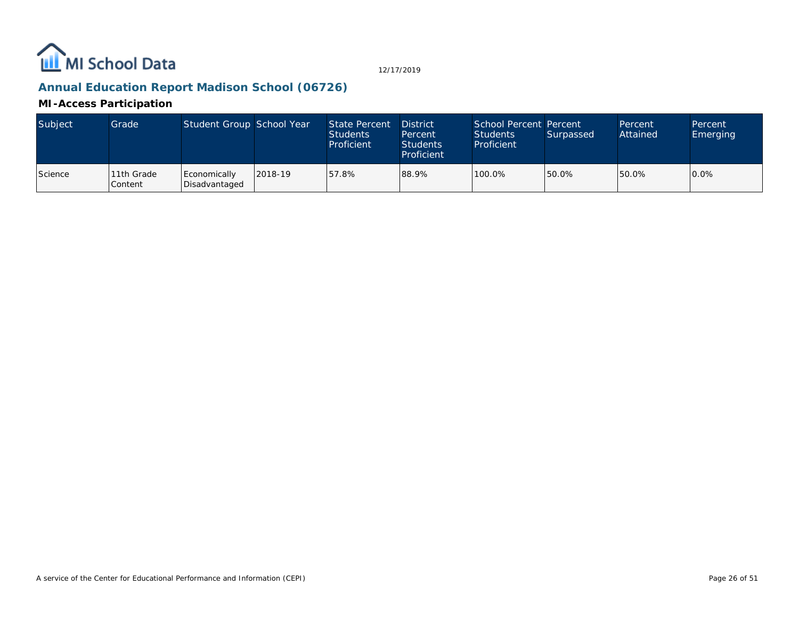

## **Annual Education Report Madison School (06726)**

| Subject | Grade                        | Student Group School Year     |         | State Percent<br><b>Students</b><br>Proficient | <b>District</b><br>Percent<br><b>Students</b><br>Proficient | School Percent Percent<br>Students<br>Proficient | Surpassed | Percent<br>Attained | Percent<br>Emerging |
|---------|------------------------------|-------------------------------|---------|------------------------------------------------|-------------------------------------------------------------|--------------------------------------------------|-----------|---------------------|---------------------|
| Science | 11th Grade<br><b>Content</b> | Economically<br>Disadvantaged | 2018-19 | 57.8%                                          | 88.9%                                                       | 100.0%                                           | 50.0%     | 50.0%               | 0.0%                |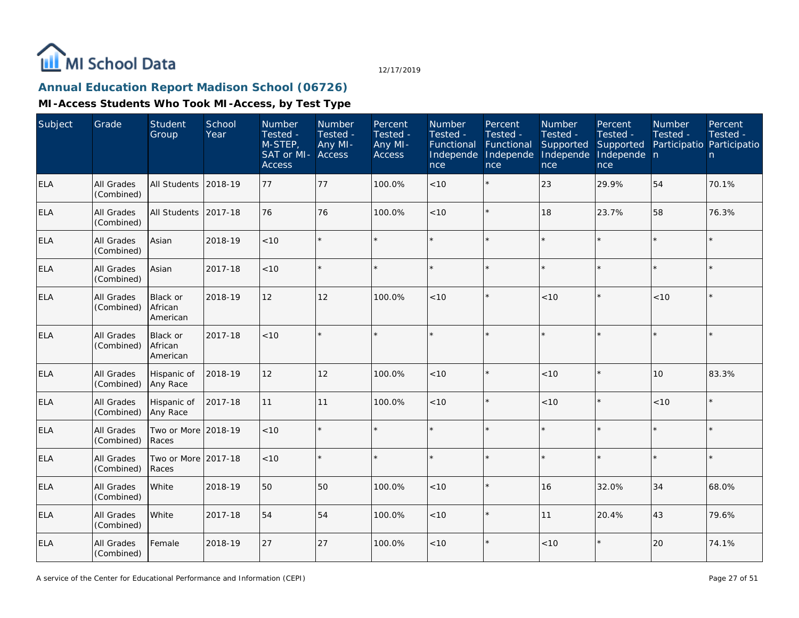

## **Annual Education Report Madison School (06726)**

| Subject    | Grade                           | Student<br>Group                       | School<br>Year | Number<br>Tested -<br>$M-STEP$<br>SAT or MI- Access<br><b>Access</b> | Number<br>Tested -<br>Any MI- | Percent<br>Tested -<br>Any MI-<br><b>Access</b> | Number<br>Tested -<br>Functional<br>Independe<br>nce | Percent<br>Tested -<br>Functional<br>Independe<br>nce | Number<br>Tested -<br>Supported<br>Independe<br>nce | Percent<br>Tested -<br>Supported<br>Independe n<br>nce | Number<br>Tested -<br>Participatio Participatio | Percent<br>Tested -<br>n |
|------------|---------------------------------|----------------------------------------|----------------|----------------------------------------------------------------------|-------------------------------|-------------------------------------------------|------------------------------------------------------|-------------------------------------------------------|-----------------------------------------------------|--------------------------------------------------------|-------------------------------------------------|--------------------------|
| <b>ELA</b> | <b>All Grades</b><br>(Combined) | <b>All Students</b>                    | 2018-19        | 77                                                                   | 77                            | 100.0%                                          | $<10$                                                | $\star$                                               | 23                                                  | 29.9%                                                  | 54                                              | 70.1%                    |
| <b>ELA</b> | All Grades<br>(Combined)        | <b>All Students</b>                    | 2017-18        | 76                                                                   | 76                            | 100.0%                                          | < 10                                                 | $\star$                                               | 18                                                  | 23.7%                                                  | 58                                              | 76.3%                    |
| <b>ELA</b> | All Grades<br>(Combined)        | Asian                                  | 2018-19        | < 10                                                                 | $\star$                       |                                                 |                                                      | $\star$                                               | ÷                                                   | $\star$                                                | $\star$                                         | $\star$                  |
| ELA        | All Grades<br>(Combined)        | Asian                                  | 2017-18        | <10                                                                  | $\star$                       |                                                 |                                                      | $\star$                                               | ÷                                                   | $\star$                                                |                                                 | $\star$                  |
| ELA        | All Grades<br>(Combined)        | Black or<br>African<br>American        | 2018-19        | 12                                                                   | 12                            | 100.0%                                          | < 10                                                 | $\star$                                               | < 10                                                | $\star$                                                | < 10                                            | $\star$                  |
| <b>ELA</b> | All Grades<br>(Combined)        | <b>Black or</b><br>African<br>American | 2017-18        | < 10                                                                 | $\star$                       |                                                 |                                                      | $\star$                                               |                                                     | $\star$                                                | $\star$                                         | $\star$                  |
| <b>ELA</b> | All Grades<br>(Combined)        | Hispanic of<br>Any Race                | 2018-19        | 12                                                                   | 12                            | 100.0%                                          | < 10                                                 | $\star$                                               | < 10                                                | $\star$                                                | 10                                              | 83.3%                    |
| <b>ELA</b> | All Grades<br>(Combined)        | Hispanic of<br>Any Race                | 2017-18        | 11                                                                   | 11                            | 100.0%                                          | < 10                                                 | $\star$                                               | < 10                                                | $\star$                                                | < 10                                            | $\star$                  |
| <b>ELA</b> | All Grades<br>(Combined)        | Two or More 2018-19<br>Races           |                | < 10                                                                 | $\star$                       |                                                 |                                                      |                                                       |                                                     | $\star$                                                |                                                 | $\star$                  |
| <b>ELA</b> | All Grades<br>(Combined)        | Two or More 2017-18<br>Races           |                | $<10$                                                                | $\star$                       |                                                 |                                                      | $\star$                                               | ÷                                                   | $\star$                                                |                                                 | $\star$                  |
| ELA        | All Grades<br>(Combined)        | White                                  | 2018-19        | 50                                                                   | 50                            | 100.0%                                          | < 10                                                 | $\star$                                               | 16                                                  | 32.0%                                                  | 34                                              | 68.0%                    |
| <b>ELA</b> | All Grades<br>(Combined)        | White                                  | 2017-18        | 54                                                                   | 54                            | 100.0%                                          | < 10                                                 | $\star$                                               | 11                                                  | 20.4%                                                  | 43                                              | 79.6%                    |
| ELA        | All Grades<br>(Combined)        | Female                                 | 2018-19        | 27                                                                   | 27                            | 100.0%                                          | < 10                                                 | $\star$                                               | < 10                                                | $\star$                                                | 20                                              | 74.1%                    |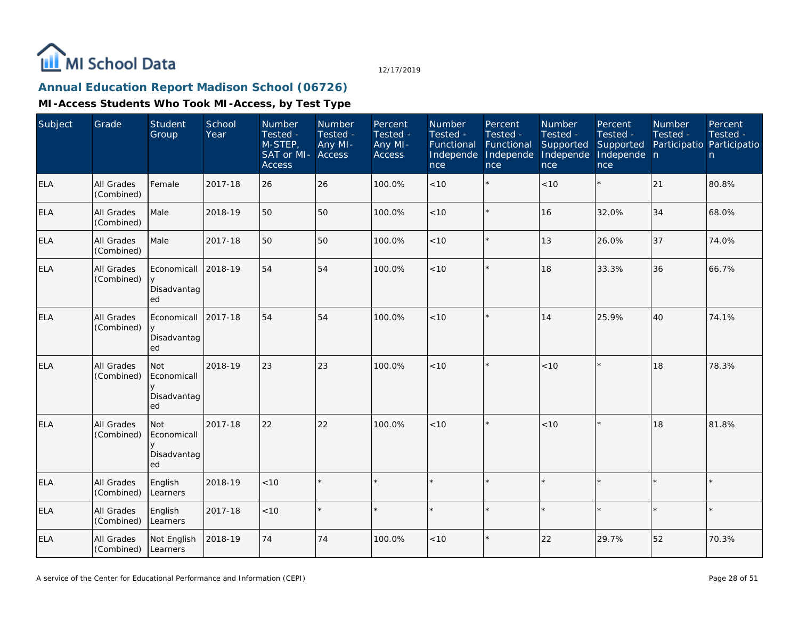

## **Annual Education Report Madison School (06726)**

| Subject    | Grade                    | Student<br>Group                               | School<br>Year | Number<br>Tested -<br>M-STEP,<br>SAT or MI-<br><b>Access</b> | Number<br>Tested -<br>Any MI-<br>Access | Percent<br>Tested -<br>Any MI-<br>Access | Number<br>Tested -<br>Functional<br>Independe<br>nce | Percent<br>Tested -<br>Functional<br>Independe<br>nce | Number<br>Tested -<br>Supported<br>Independe<br>nce | Percent<br>Tested -<br>Supported<br>Independe n<br>nce | Number<br>Tested -<br>Participatio Participatio | Percent<br>Tested -<br>n. |
|------------|--------------------------|------------------------------------------------|----------------|--------------------------------------------------------------|-----------------------------------------|------------------------------------------|------------------------------------------------------|-------------------------------------------------------|-----------------------------------------------------|--------------------------------------------------------|-------------------------------------------------|---------------------------|
| <b>ELA</b> | All Grades<br>(Combined) | Female                                         | 2017-18        | 26                                                           | 26                                      | 100.0%                                   | < 10                                                 | $\star$                                               | < 10                                                | $\star$                                                | 21                                              | 80.8%                     |
| <b>ELA</b> | All Grades<br>(Combined) | Male                                           | 2018-19        | 50                                                           | 50                                      | 100.0%                                   | < 10                                                 | $\star$                                               | 16                                                  | 32.0%                                                  | 34                                              | 68.0%                     |
| <b>ELA</b> | All Grades<br>(Combined) | Male                                           | 2017-18        | 50                                                           | 50                                      | 100.0%                                   | <10                                                  | $\star$                                               | 13                                                  | 26.0%                                                  | 37                                              | 74.0%                     |
| ELA        | All Grades<br>(Combined) | Economicall<br>Disadvantag<br>ed               | 2018-19        | 54                                                           | 54                                      | 100.0%                                   | < 10                                                 | $\star$                                               | 18                                                  | 33.3%                                                  | 36                                              | 66.7%                     |
| ELA        | All Grades<br>(Combined) | Economicall<br>y<br>Disadvantag<br>ed          | 2017-18        | 54                                                           | 54                                      | 100.0%                                   | <10                                                  | $\star$                                               | 14                                                  | 25.9%                                                  | 40                                              | 74.1%                     |
| ELA        | All Grades<br>(Combined) | Not<br>Economicall<br>Disadvantag<br>ed        | 2018-19        | 23                                                           | 23                                      | 100.0%                                   | < 10                                                 | $\star$                                               | < 10                                                | $\star$                                                | 18                                              | 78.3%                     |
| ELA        | All Grades<br>(Combined) | <b>Not</b><br>Economicall<br>Disadvantag<br>ed | 2017-18        | 22                                                           | 22                                      | 100.0%                                   | < 10                                                 | $\star$                                               | < 10                                                | ×.                                                     | 18                                              | 81.8%                     |
| <b>ELA</b> | All Grades<br>(Combined) | English<br>Learners                            | 2018-19        | 10<                                                          |                                         |                                          |                                                      | $\star$                                               | $\star$                                             | $\star$                                                |                                                 |                           |
| <b>ELA</b> | All Grades<br>(Combined) | English<br>Learners                            | 2017-18        | < 10                                                         |                                         |                                          |                                                      | $\star$                                               |                                                     | k.                                                     |                                                 |                           |
| <b>ELA</b> | All Grades<br>(Combined) | Not English<br>Learners                        | 2018-19        | 74                                                           | 74                                      | 100.0%                                   | < 10                                                 | $\star$                                               | 22                                                  | 29.7%                                                  | 52                                              | 70.3%                     |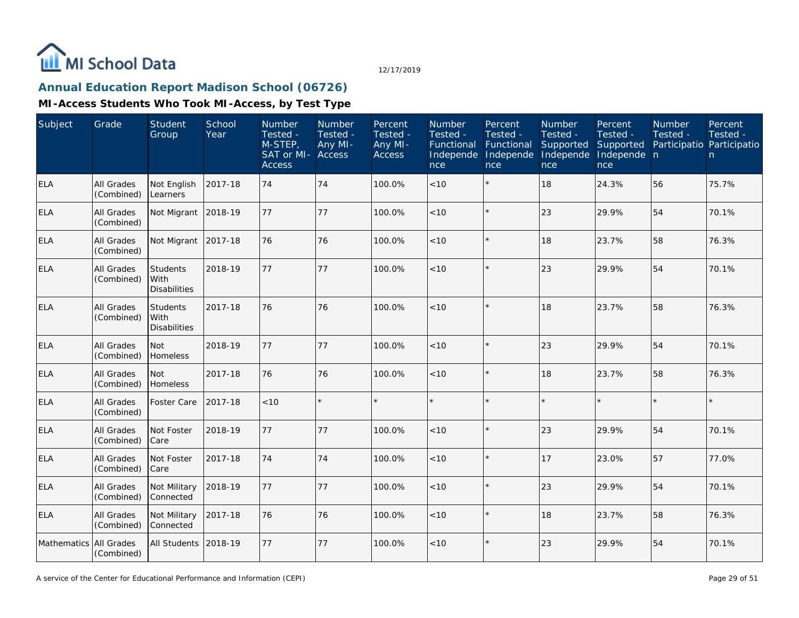

# **Annual Education Report Madison School (06726)**

| Subject     | Grade                           | Student<br>Group                               | School<br>Year | <b>Number</b><br>Tested -<br>M-STEP,<br>SAT or MI-<br><b>Access</b> | Number<br>Tested -<br>Any MI-<br>Access | Percent<br>Tested -<br>Any MI-<br>Access | Number<br>Tested -<br>Functional<br>Independe<br>nce | Percent<br>Tested -<br>Functional<br>Independe<br>nce | Number<br>Tested -<br>Supported<br>Independe<br>nce | Percent<br>Tested -<br>Supported<br>Independe n<br>nce | Number<br>Tested -<br>Participatio Participatio | Percent<br>Tested -<br>n. |
|-------------|---------------------------------|------------------------------------------------|----------------|---------------------------------------------------------------------|-----------------------------------------|------------------------------------------|------------------------------------------------------|-------------------------------------------------------|-----------------------------------------------------|--------------------------------------------------------|-------------------------------------------------|---------------------------|
| <b>ELA</b>  | <b>All Grades</b><br>(Combined) | Not English<br>Learners                        | 2017-18        | 74                                                                  | 74                                      | 100.0%                                   | < 10                                                 | $\star$                                               | 18                                                  | 24.3%                                                  | 56                                              | 75.7%                     |
| ELA         | All Grades<br>(Combined)        | Not Migrant                                    | 2018-19        | 77                                                                  | 77                                      | 100.0%                                   | < 10                                                 | $\star$                                               | 23                                                  | 29.9%                                                  | 54                                              | 70.1%                     |
| <b>ELA</b>  | All Grades<br>(Combined)        | Not Migrant                                    | 2017-18        | 76                                                                  | 76                                      | 100.0%                                   | < 10                                                 | $\star$                                               | 18                                                  | 23.7%                                                  | 58                                              | 76.3%                     |
| ELA         | All Grades<br>(Combined)        | Students<br><b>With</b><br><b>Disabilities</b> | 2018-19        | 77                                                                  | 77                                      | 100.0%                                   | < 10                                                 | $\star$                                               | 23                                                  | 29.9%                                                  | 54                                              | 70.1%                     |
| <b>ELA</b>  | All Grades<br>(Combined)        | Students<br>l With<br><b>Disabilities</b>      | 2017-18        | 76                                                                  | 76                                      | 100.0%                                   | < 10                                                 | $\star$                                               | 18                                                  | 23.7%                                                  | 58                                              | 76.3%                     |
| <b>ELA</b>  | <b>All Grades</b><br>(Combined) | Not<br>Homeless                                | 2018-19        | 77                                                                  | 77                                      | 100.0%                                   | <10                                                  | $\star$                                               | 23                                                  | 29.9%                                                  | 54                                              | 70.1%                     |
| <b>ELA</b>  | All Grades<br>(Combined)        | Not<br>Homeless                                | 2017-18        | 76                                                                  | 76                                      | 100.0%                                   | < 10                                                 | $\star$                                               | 18                                                  | 23.7%                                                  | 58                                              | 76.3%                     |
| <b>ELA</b>  | All Grades<br>(Combined)        | Foster Care                                    | 2017-18        | < 10                                                                |                                         |                                          |                                                      | $\star$                                               |                                                     |                                                        | $\star$                                         | $\star$                   |
| <b>ELA</b>  | All Grades<br>(Combined)        | Not Foster<br> Care                            | 2018-19        | 77                                                                  | 77                                      | 100.0%                                   | < 10                                                 | $\star$                                               | 23                                                  | 29.9%                                                  | 54                                              | 70.1%                     |
| <b>ELA</b>  | All Grades<br>(Combined)        | Not Foster<br>Care                             | 2017-18        | 74                                                                  | 74                                      | 100.0%                                   | < 10                                                 | $\star$                                               | 17                                                  | 23.0%                                                  | 57                                              | 77.0%                     |
| <b>ELA</b>  | All Grades<br>(Combined)        | Not Military<br>Connected                      | 2018-19        | 77                                                                  | 77                                      | 100.0%                                   | < 10                                                 | $\star$                                               | 23                                                  | 29.9%                                                  | 54                                              | 70.1%                     |
| <b>ELA</b>  | All Grades<br>(Combined)        | Not Military<br>Connected                      | 2017-18        | 76                                                                  | 76                                      | 100.0%                                   | < 10                                                 | $\star$                                               | 18                                                  | 23.7%                                                  | 58                                              | 76.3%                     |
| Mathematics | All Grades<br>(Combined)        | All Students                                   | 2018-19        | 77                                                                  | 77                                      | 100.0%                                   | < 10                                                 | $\star$                                               | 23                                                  | 29.9%                                                  | 54                                              | 70.1%                     |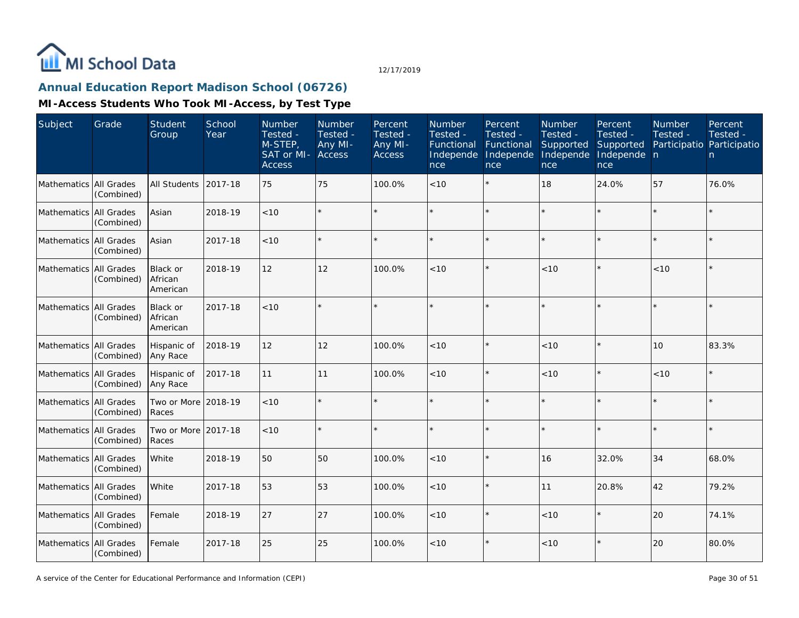

## **Annual Education Report Madison School (06726)**

| Subject                | Grade                    | <b>Student</b><br>Group         | School<br>Year | Number<br>Tested -<br>M-STEP,<br>SAT or MI- Access<br><b>Access</b> | Number<br>Tested -<br>Any MI- | Percent<br>Tested -<br>Any MI-<br><b>Access</b> | Number<br>Tested -<br>Functional<br>Independe<br>nce | Percent<br>Tested -<br>Functional<br>Independe<br>nce | Number<br>Tested -<br>Supported<br>Independe<br>nce | Percent<br>Tested -<br>Supported<br>Independe n<br>nce | Number<br>Tested -<br>Participatio Participatio | Percent<br>Tested -<br>n. |
|------------------------|--------------------------|---------------------------------|----------------|---------------------------------------------------------------------|-------------------------------|-------------------------------------------------|------------------------------------------------------|-------------------------------------------------------|-----------------------------------------------------|--------------------------------------------------------|-------------------------------------------------|---------------------------|
| Mathematics All Grades | (Combined)               | <b>All Students</b>             | 2017-18        | 75                                                                  | 75                            | 100.0%                                          | < 10                                                 | $\star$                                               | 18                                                  | 24.0%                                                  | 57                                              | 76.0%                     |
| <b>Mathematics</b>     | All Grades<br>(Combined) | Asian                           | 2018-19        | < 10                                                                |                               |                                                 |                                                      | $\star$                                               |                                                     | $\star$                                                | $\star$                                         | $\star$                   |
| Mathematics All Grades | (Combined)               | Asian                           | 2017-18        | < 10                                                                |                               |                                                 |                                                      |                                                       |                                                     | $\star$                                                | $\star$                                         | k.                        |
| Mathematics All Grades | (Combined)               | Black or<br>African<br>American | 2018-19        | 12                                                                  | 12                            | 100.0%                                          | < 10                                                 | $\star$                                               | < 10                                                | $\star$                                                | < 10                                            | $\star$                   |
| Mathematics All Grades | (Combined)               | Black or<br>African<br>American | 2017-18        | < 10                                                                |                               |                                                 |                                                      |                                                       |                                                     | $\star$                                                | $\star$                                         | $\star$                   |
| Mathematics            | All Grades<br>(Combined) | Hispanic of<br>Any Race         | 2018-19        | 12                                                                  | 12                            | 100.0%                                          | < 10                                                 | $\star$                                               | < 10                                                | $\star$                                                | 10                                              | 83.3%                     |
| Mathematics All Grades | (Combined)               | Hispanic of<br>Any Race         | 2017-18        | 11                                                                  | 11                            | 100.0%                                          | <10                                                  | $\star$                                               | < 10                                                | $\star$                                                | < 10                                            | $\star$                   |
| Mathematics All Grades | (Combined)               | Two or More 2018-19<br>Races    |                | 10                                                                  |                               |                                                 |                                                      |                                                       |                                                     | $\star$                                                | $\star$                                         | $\star$                   |
| Mathematics All Grades | (Combined)               | Two or More 2017-18<br>Races    |                | < 10                                                                |                               |                                                 |                                                      |                                                       |                                                     | $\star$                                                | $\star$                                         | ×                         |
| Mathematics All Grades | (Combined)               | White                           | 2018-19        | 50                                                                  | 50                            | 100.0%                                          | < 10                                                 | $\star$                                               | 16                                                  | 32.0%                                                  | 34                                              | 68.0%                     |
| <b>Mathematics</b>     | All Grades<br>(Combined) | White                           | 2017-18        | 53                                                                  | 53                            | 100.0%                                          | < 10                                                 |                                                       | 11                                                  | 20.8%                                                  | 42                                              | 79.2%                     |
| Mathematics All Grades | (Combined)               | Female                          | 2018-19        | 27                                                                  | 27                            | 100.0%                                          | < 10                                                 | $\star$                                               | < 10                                                | $\star$                                                | 20                                              | 74.1%                     |
| Mathematics All Grades | (Combined)               | Female                          | 2017-18        | 25                                                                  | 25                            | 100.0%                                          | < 10                                                 | $\star$                                               | < 10                                                | $\star$                                                | 20                                              | 80.0%                     |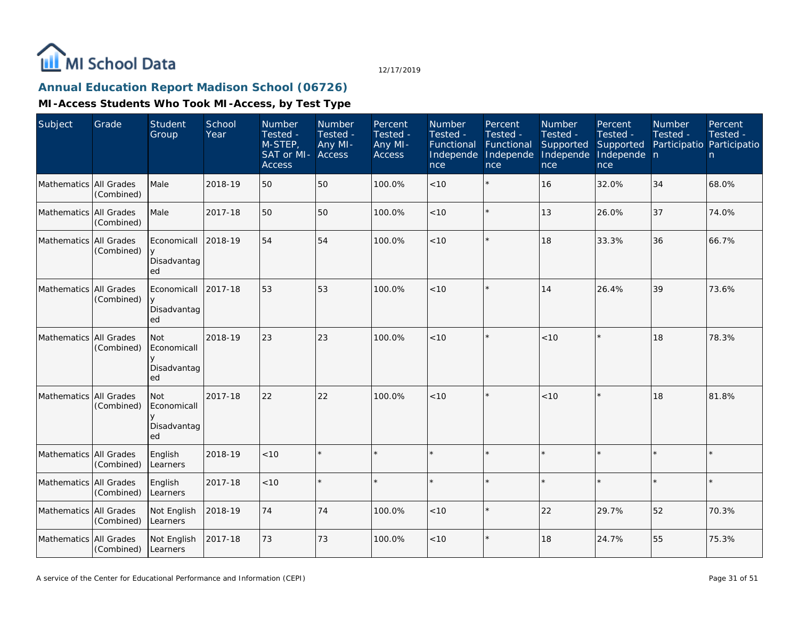

## **Annual Education Report Madison School (06726)**

| Subject                | Grade                    | <b>Student</b><br>Group                 | School<br>Year | Number<br>Tested -<br>M-STEP,<br>SAT or MI- Access<br><b>Access</b> | Number<br>Tested -<br>Any MI- | Percent<br>Tested -<br>Any MI-<br>Access | Number<br>Tested -<br>Functional<br>Independe<br>nce | Percent<br>Tested -<br>Functional<br>Independe<br>nce | Number<br>Tested -<br>Supported<br>Independe<br>nce | Percent<br>Tested -<br>Supported<br>Independe n<br>nce | <b>Number</b><br>Tested -<br>Participatio Participatio | Percent<br>Tested -<br>n |
|------------------------|--------------------------|-----------------------------------------|----------------|---------------------------------------------------------------------|-------------------------------|------------------------------------------|------------------------------------------------------|-------------------------------------------------------|-----------------------------------------------------|--------------------------------------------------------|--------------------------------------------------------|--------------------------|
| Mathematics All Grades | (Combined)               | Male                                    | 2018-19        | 50                                                                  | 50                            | 100.0%                                   | < 10                                                 | $\star$                                               | 16                                                  | 32.0%                                                  | 34                                                     | 68.0%                    |
| Mathematics            | All Grades<br>(Combined) | Male                                    | 2017-18        | 50                                                                  | 50                            | 100.0%                                   | < 10                                                 | $\star$                                               | 13                                                  | 26.0%                                                  | 37                                                     | 74.0%                    |
| Mathematics All Grades | (Combined)               | Economicall<br>Disadvantag<br>ed        | 2018-19        | 54                                                                  | 54                            | 100.0%                                   | < 10                                                 | $\star$                                               | 18                                                  | 33.3%                                                  | 36                                                     | 66.7%                    |
| Mathematics            | All Grades<br>(Combined) | Economicall<br>Disadvantag<br>ed        | 2017-18        | 53                                                                  | 53                            | 100.0%                                   | <10                                                  | $\star$                                               | 14                                                  | 26.4%                                                  | 39                                                     | 73.6%                    |
| Mathematics            | All Grades<br>(Combined) | Not<br>Economicall<br>Disadvantag<br>ed | 2018-19        | 23                                                                  | 23                            | 100.0%                                   | < 10                                                 | $\star$                                               | < 10                                                | $\star$                                                | 18                                                     | 78.3%                    |
| Mathematics            | All Grades<br>(Combined) | Not<br>Economicall<br>Disadvantag<br>ed | 2017-18        | 22                                                                  | 22                            | 100.0%                                   | < 10                                                 | $\star$                                               | < 10                                                |                                                        | 18                                                     | 81.8%                    |
| Mathematics            | All Grades<br>(Combined) | English<br>Learners                     | 2018-19        | < 10                                                                |                               |                                          |                                                      |                                                       |                                                     |                                                        |                                                        | $\star$                  |
| Mathematics All Grades | (Combined)               | English<br>Learners                     | 2017-18        | < 10                                                                |                               |                                          |                                                      | $\star$                                               |                                                     | $\star$                                                | $\star$                                                | $\star$                  |
| Mathematics All Grades | (Combined)               | Not English<br>Learners                 | 2018-19        | 74                                                                  | 74                            | 100.0%                                   | < 10                                                 | $\star$                                               | 22                                                  | 29.7%                                                  | 52                                                     | 70.3%                    |
| Mathematics All Grades | (Combined)               | Not English<br>Learners                 | 2017-18        | 73                                                                  | 73                            | 100.0%                                   | < 10                                                 | $\star$                                               | 18                                                  | 24.7%                                                  | 55                                                     | 75.3%                    |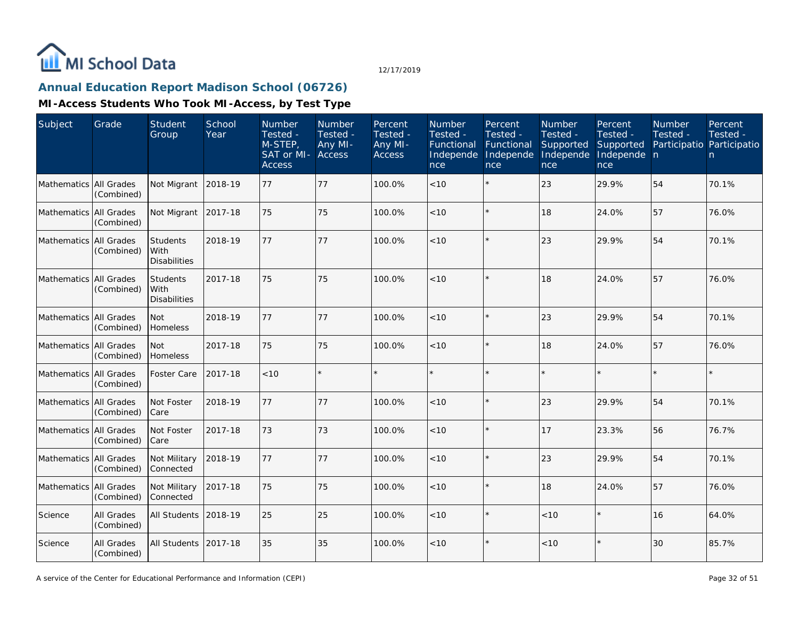

## **Annual Education Report Madison School (06726)**

| Subject                | Grade                           | <b>Student</b><br>Group                 | School<br>Year | Number<br>Tested -<br>M-STEP<br>SAT or MI-<br><b>Access</b> | <b>Number</b><br>Tested -<br>Any MI-<br>Access | Percent<br>Tested -<br>Any MI-<br><b>Access</b> | Number<br>Tested -<br>Functional<br>Independe<br>nce | Percent<br>Tested -<br>Functional<br>Independe<br>nce | Number<br>Tested -<br>Supported<br>Independe<br>nce | Percent<br>Tested -<br>Supported<br>Independe n<br>nce | Number<br>Tested -<br>Participatio Participatio | Percent<br>Tested -<br>n. |
|------------------------|---------------------------------|-----------------------------------------|----------------|-------------------------------------------------------------|------------------------------------------------|-------------------------------------------------|------------------------------------------------------|-------------------------------------------------------|-----------------------------------------------------|--------------------------------------------------------|-------------------------------------------------|---------------------------|
| Mathematics All Grades | (Combined)                      | Not Migrant                             | 2018-19        | 77                                                          | 77                                             | 100.0%                                          | < 10                                                 | $\star$                                               | 23                                                  | 29.9%                                                  | 54                                              | 70.1%                     |
| <b>Mathematics</b>     | All Grades<br>(Combined)        | Not Migrant                             | 2017-18        | 75                                                          | 75                                             | 100.0%                                          | < 10                                                 | $\star$                                               | 18                                                  | 24.0%                                                  | 57                                              | 76.0%                     |
| Mathematics All Grades | (Combined)                      | Students<br>With<br><b>Disabilities</b> | 2018-19        | 77                                                          | 77                                             | 100.0%                                          | < 10                                                 | $\star$                                               | 23                                                  | 29.9%                                                  | 54                                              | 70.1%                     |
| Mathematics            | All Grades<br>(Combined)        | Students<br>With<br><b>Disabilities</b> | 2017-18        | 75                                                          | 75                                             | 100.0%                                          | < 10                                                 | $\star$                                               | 18                                                  | 24.0%                                                  | 57                                              | 76.0%                     |
| Mathematics            | <b>All Grades</b><br>(Combined) | <b>Not</b><br>Homeless                  | 2018-19        | 77                                                          | 77                                             | 100.0%                                          | < 10                                                 | $\star$                                               | 23                                                  | 29.9%                                                  | 54                                              | 70.1%                     |
| Mathematics All Grades | (Combined)                      | Not<br><b>Homeless</b>                  | 2017-18        | 75                                                          | 75                                             | 100.0%                                          | < 10                                                 | $\star$                                               | 18                                                  | 24.0%                                                  | 57                                              | 76.0%                     |
| Mathematics All Grades | (Combined)                      | Foster Care                             | 2017-18        | < 10                                                        | $\star$                                        |                                                 |                                                      | $\star$                                               |                                                     | $\star$                                                |                                                 |                           |
| Mathematics All Grades | (Combined)                      | Not Foster<br>Care                      | 2018-19        | 77                                                          | 77                                             | 100.0%                                          | < 10                                                 | $\star$                                               | 23                                                  | 29.9%                                                  | 54                                              | 70.1%                     |
| Mathematics All Grades | (Combined)                      | Not Foster<br>Care                      | 2017-18        | 73                                                          | 73                                             | 100.0%                                          | < 10                                                 | $\star$                                               | 17                                                  | 23.3%                                                  | 56                                              | 76.7%                     |
| Mathematics All Grades | (Combined)                      | Not Military<br>Connected               | 2018-19        | 77                                                          | 77                                             | 100.0%                                          | < 10                                                 | $\star$                                               | 23                                                  | 29.9%                                                  | 54                                              | 70.1%                     |
| <b>Mathematics</b>     | All Grades<br>(Combined)        | Not Military<br>Connected               | 2017-18        | 75                                                          | 75                                             | 100.0%                                          | < 10                                                 | $\star$                                               | 18                                                  | 24.0%                                                  | 57                                              | 76.0%                     |
| Science                | All Grades<br>(Combined)        | All Students 2018-19                    |                | 25                                                          | 25                                             | 100.0%                                          | < 10                                                 | $\star$                                               | < 10                                                | $\star$                                                | 16                                              | 64.0%                     |
| Science                | All Grades<br>(Combined)        | All Students 2017-18                    |                | 35                                                          | 35                                             | 100.0%                                          | < 10                                                 | $\star$                                               | < 10                                                | $\star$                                                | 30                                              | 85.7%                     |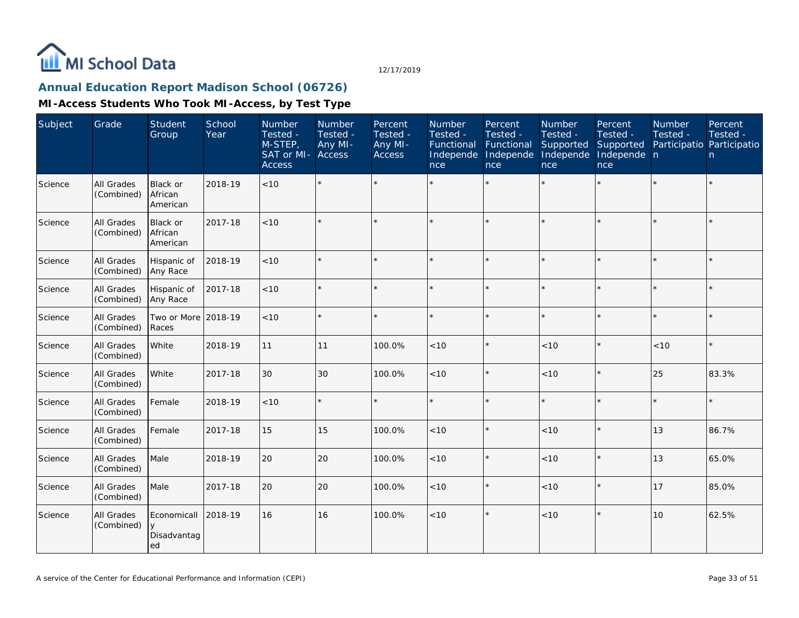

## **Annual Education Report Madison School (06726)**

| Subject | Grade                    | Student<br>Group                       | School<br>Year | Number<br>Tested -<br>$M-STEP$<br>SAT or MI-<br><b>Access</b> | Number<br>Tested -<br>Any MI-<br><b>Access</b> | Percent<br>Tested -<br>Any MI-<br>Access | Number<br>Tested -<br>Functional<br>Independe<br>nce | Percent<br>Tested -<br>Functional<br>Independe<br>nce | Number<br>Tested -<br>Supported<br>Independe<br>nce | Percent<br>Tested -<br>Supported<br>Independe n<br>nce | Number<br>Tested - | Percent<br>Tested -<br>Participatio Participatio<br>n. |
|---------|--------------------------|----------------------------------------|----------------|---------------------------------------------------------------|------------------------------------------------|------------------------------------------|------------------------------------------------------|-------------------------------------------------------|-----------------------------------------------------|--------------------------------------------------------|--------------------|--------------------------------------------------------|
| Science | All Grades<br>(Combined) | <b>Black or</b><br>African<br>American | 2018-19        | $<10$                                                         | $\star$                                        |                                          |                                                      |                                                       |                                                     | $\star$                                                |                    |                                                        |
| Science | All Grades<br>(Combined) | Black or<br>African<br>American        | 2017-18        | $<10$                                                         | $\star$                                        |                                          |                                                      | $\star$                                               |                                                     | $\star$                                                |                    |                                                        |
| Science | All Grades<br>(Combined) | Hispanic of<br>Any Race                | 2018-19        | < 10                                                          | $\star$                                        |                                          |                                                      | $\star$                                               | $\star$                                             | $\star$                                                |                    |                                                        |
| Science | All Grades<br>(Combined) | Hispanic of<br>Any Race                | 2017-18        | < 10                                                          | $\star$                                        |                                          |                                                      | $\star$                                               | ÷                                                   | $\star$                                                |                    |                                                        |
| Science | All Grades<br>(Combined) | Two or More 2018-19<br>Races           |                | < 10                                                          | $\star$                                        | $\star$                                  |                                                      | $\star$                                               | ÷.                                                  | $\star$                                                |                    |                                                        |
| Science | All Grades<br>(Combined) | White                                  | 2018-19        | 11                                                            | 11                                             | 100.0%                                   | < 10                                                 | $\star$                                               | < 10                                                | $\star$                                                | $<10$              |                                                        |
| Science | All Grades<br>(Combined) | White                                  | 2017-18        | 30                                                            | 30                                             | 100.0%                                   | < 10                                                 | $\star$                                               | < 10                                                | $\star$                                                | 25                 | 83.3%                                                  |
| Science | All Grades<br>(Combined) | Female                                 | 2018-19        | < 10                                                          | $\star$                                        |                                          |                                                      | $\star$                                               | ÷.                                                  | $\star$                                                |                    |                                                        |
| Science | All Grades<br>(Combined) | Female                                 | 2017-18        | 15                                                            | 15                                             | 100.0%                                   | < 10                                                 | $\star$                                               | < 10                                                | $\star$                                                | 13                 | 86.7%                                                  |
| Science | All Grades<br>(Combined) | Male                                   | 2018-19        | 20                                                            | 20                                             | 100.0%                                   | < 10                                                 | $\star$                                               | < 10                                                | $\star$                                                | 13                 | 65.0%                                                  |
| Science | All Grades<br>(Combined) | Male                                   | 2017-18        | 20                                                            | 20                                             | 100.0%                                   | < 10                                                 | $\star$                                               | < 10                                                | $\star$                                                | 17                 | 85.0%                                                  |
| Science | All Grades<br>(Combined) | Economicall<br>y<br>Disadvantag<br>ed  | 2018-19        | 16                                                            | 16                                             | 100.0%                                   | < 10                                                 | $\star$                                               | < 10                                                | $\star$                                                | 10                 | 62.5%                                                  |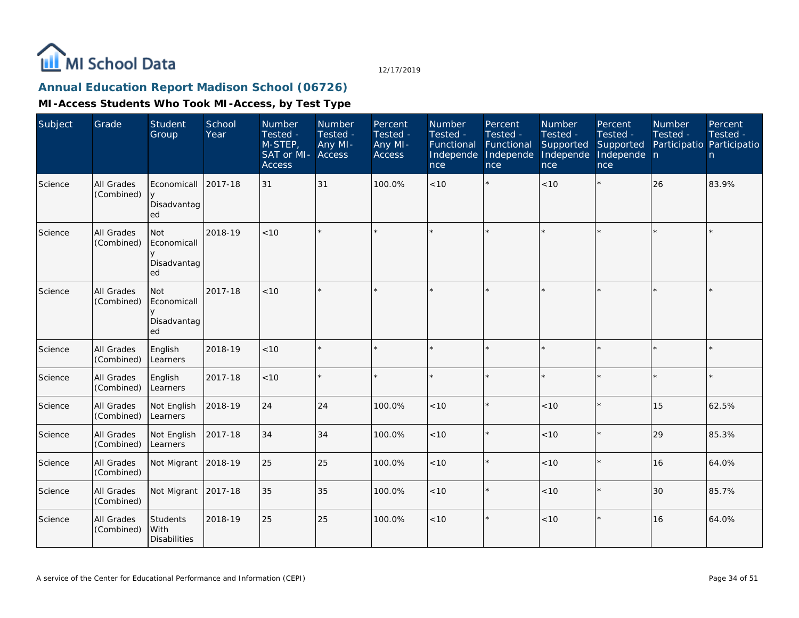

## **Annual Education Report Madison School (06726)**

| Subject | Grade                    | Student<br>Group                               | School<br>Year | Number<br>Tested -<br>M-STEP,<br>SAT or MI- Access<br><b>Access</b> | Number<br>Tested -<br>Any MI- | Percent<br>Tested -<br>Any MI-<br><b>Access</b> | Number<br>Tested -<br>Functional<br>Independe<br>nce | Percent<br>Tested -<br>Functional<br>Independe<br>nce | Number<br>Tested -<br>Supported<br>Independe<br>nce | Percent<br>Tested -<br>Supported<br>Independe n<br>nce | <b>Number</b><br>Tested - | Percent<br>Tested -<br>Participatio Participatio<br>n |
|---------|--------------------------|------------------------------------------------|----------------|---------------------------------------------------------------------|-------------------------------|-------------------------------------------------|------------------------------------------------------|-------------------------------------------------------|-----------------------------------------------------|--------------------------------------------------------|---------------------------|-------------------------------------------------------|
| Science | All Grades<br>(Combined) | Economicall<br>Disadvantag<br>ed               | 2017-18        | 31                                                                  | 31                            | 100.0%                                          | < 10                                                 |                                                       | < 10                                                | $\star$                                                | 26                        | 83.9%                                                 |
| Science | All Grades<br>(Combined) | <b>Not</b><br>Economicall<br>Disadvantag<br>ed | 2018-19        | < 10                                                                |                               |                                                 |                                                      |                                                       |                                                     | $\star$                                                | $\star$                   | $\star$                                               |
| Science | All Grades<br>(Combined) | Not<br>Economicall<br>Disadvantag<br>ed        | 2017-18        | < 10                                                                | $\star$                       |                                                 |                                                      | $\star$                                               |                                                     | $\star$                                                | $\star$                   | $\star$                                               |
| Science | All Grades<br>(Combined) | English<br>Learners                            | 2018-19        | < 10                                                                |                               |                                                 |                                                      |                                                       |                                                     | $\star$                                                |                           | $\star$                                               |
| Science | All Grades<br>(Combined) | English<br>Learners                            | 2017-18        | < 10                                                                |                               |                                                 |                                                      | $\star$                                               |                                                     | $\star$                                                | $\star$                   | $\star$                                               |
| Science | All Grades<br>(Combined) | Not English<br>Learners                        | 2018-19        | 24                                                                  | 24                            | 100.0%                                          | < 10                                                 | $\star$                                               | < 10                                                | $\star$                                                | 15                        | 62.5%                                                 |
| Science | All Grades<br>(Combined) | Not English<br>Learners                        | 2017-18        | 34                                                                  | 34                            | 100.0%                                          | < 10                                                 | $\star$                                               | < 10                                                | $\star$                                                | 29                        | 85.3%                                                 |
| Science | All Grades<br>(Combined) | Not Migrant                                    | 2018-19        | 25                                                                  | 25                            | 100.0%                                          | < 10                                                 | $\star$                                               | < 10                                                | $\star$                                                | 16                        | 64.0%                                                 |
| Science | All Grades<br>(Combined) | Not Migrant                                    | 2017-18        | 35                                                                  | 35                            | 100.0%                                          | < 10                                                 | $\star$                                               | $<10$                                               | $\star$                                                | 30                        | 85.7%                                                 |
| Science | All Grades<br>(Combined) | Students<br>l With<br>Disabilities             | 2018-19        | 25                                                                  | 25                            | 100.0%                                          | < 10                                                 | $\star$                                               | < 10                                                | $\star$                                                | <b>16</b>                 | 64.0%                                                 |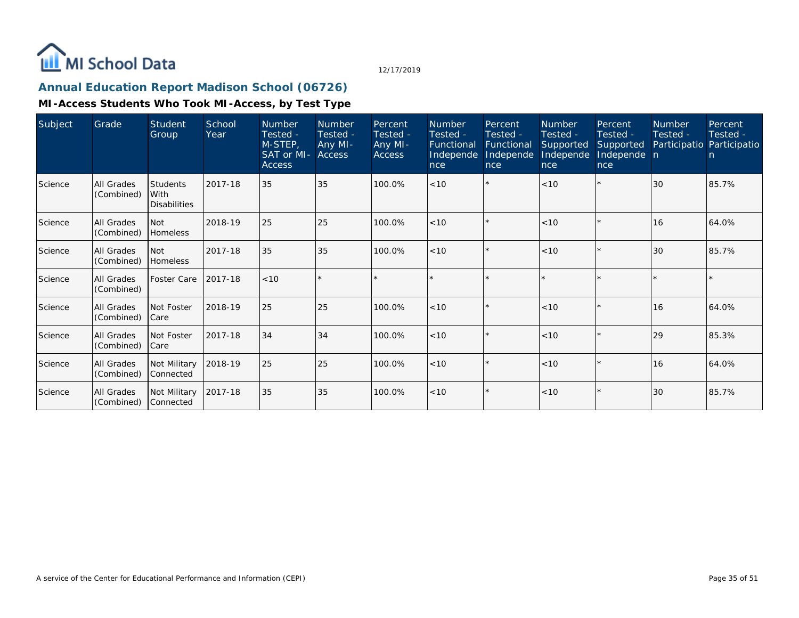

## **Annual Education Report Madison School (06726)**

| Subject | Grade                           | Student<br>Group                                 | School<br>Year | <b>Number</b><br>Tested -<br>M-STEP,<br>SAT or MI-<br><b>Access</b> | <b>Number</b><br>Tested -<br>Any MI-<br><b>Access</b> | Percent<br>Tested -<br>Any MI-<br>Access | <b>Number</b><br>Tested -<br>Functional<br>Independe<br>nce | Percent<br>Tested -<br>Functional<br>Independe<br>nce | Number<br>Tested -<br>Supported<br>Independe<br>nce | Percent<br>Tested -<br>Supported<br>Independe n<br>nce | <b>Number</b><br>Tested - | Percent<br>Tested -<br>Participatio Participatio<br>n |
|---------|---------------------------------|--------------------------------------------------|----------------|---------------------------------------------------------------------|-------------------------------------------------------|------------------------------------------|-------------------------------------------------------------|-------------------------------------------------------|-----------------------------------------------------|--------------------------------------------------------|---------------------------|-------------------------------------------------------|
| Science | All Grades<br>(Combined)        | <b>Students</b><br>l With<br><b>Disabilities</b> | 2017-18        | 35                                                                  | 35                                                    | 100.0%                                   | < 10                                                        | $\star$                                               | < 10                                                | $\star$                                                | 30                        | 85.7%                                                 |
| Science | <b>All Grades</b><br>(Combined) | l Not<br><b>Homeless</b>                         | 2018-19        | 25                                                                  | 25                                                    | 100.0%                                   | < 10                                                        | $\star$                                               | < 10                                                |                                                        | 16                        | 64.0%                                                 |
| Science | All Grades<br>(Combined)        | l Not<br><b>Homeless</b>                         | 2017-18        | 35                                                                  | 35                                                    | 100.0%                                   | < 10                                                        | $\star$                                               | < 10                                                | $\star$                                                | 30                        | 85.7%                                                 |
| Science | All Grades<br>(Combined)        | Foster Care                                      | 2017-18        | < 10                                                                |                                                       |                                          |                                                             | $\star$                                               |                                                     |                                                        | $\star$                   | $\star$                                               |
| Science | <b>All Grades</b><br>(Combined) | Not Foster<br> Care                              | 2018-19        | 25                                                                  | 25                                                    | 100.0%                                   | < 10                                                        | $\star$                                               | $<10$                                               | $\star$                                                | 16                        | 64.0%                                                 |
| Science | <b>All Grades</b><br>(Combined) | Not Foster<br> Care                              | 2017-18        | 34                                                                  | 34                                                    | 100.0%                                   | < 10                                                        | $\star$                                               | < 10                                                |                                                        | 29                        | 85.3%                                                 |
| Science | All Grades<br>(Combined)        | Not Military<br>l Connected                      | 2018-19        | 25                                                                  | 25                                                    | 100.0%                                   | < 10                                                        | $\star$                                               | < 10                                                | $\star$                                                | 16                        | 64.0%                                                 |
| Science | <b>All Grades</b><br>(Combined) | Not Military<br>Connected                        | 2017-18        | 35                                                                  | 35                                                    | 100.0%                                   | < 10                                                        | $\star$                                               | < 10                                                |                                                        | 30                        | 85.7%                                                 |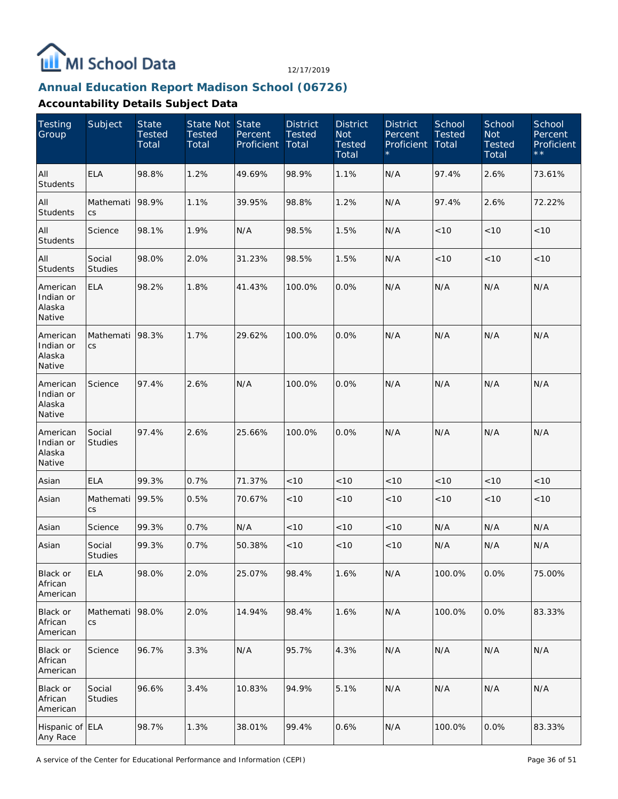

## **Annual Education Report Madison School (06726)**

| <b>Testing</b><br>Group                   | Subject                  | <b>State</b><br><b>Tested</b><br>Total | State Not State<br><b>Tested</b><br>Total | Percent<br>Proficient | <b>District</b><br><b>Tested</b><br>Total | <b>District</b><br><b>Not</b><br><b>Tested</b><br>Total | <b>District</b><br>Percent<br>Proficient | School<br><b>Tested</b><br>Total | School<br><b>Not</b><br><b>Tested</b><br>Total | School<br>Percent<br>Proficient<br>$\star\star$ |
|-------------------------------------------|--------------------------|----------------------------------------|-------------------------------------------|-----------------------|-------------------------------------------|---------------------------------------------------------|------------------------------------------|----------------------------------|------------------------------------------------|-------------------------------------------------|
| All<br>Students                           | <b>ELA</b>               | 98.8%                                  | 1.2%                                      | 49.69%                | 98.9%                                     | 1.1%                                                    | N/A                                      | 97.4%                            | 2.6%                                           | 73.61%                                          |
| All<br><b>Students</b>                    | Mathemati<br>CS          | 98.9%                                  | 1.1%                                      | 39.95%                | 98.8%                                     | 1.2%                                                    | N/A                                      | 97.4%                            | 2.6%                                           | 72.22%                                          |
| All<br>Students                           | Science                  | 98.1%                                  | 1.9%                                      | N/A                   | 98.5%                                     | 1.5%                                                    | N/A                                      | < 10                             | < 10                                           | < 10                                            |
| All<br>Students                           | Social<br><b>Studies</b> | 98.0%                                  | 2.0%                                      | 31.23%                | 98.5%                                     | 1.5%                                                    | N/A                                      | < 10                             | < 10                                           | < 10                                            |
| American<br>Indian or<br>Alaska<br>Native | <b>ELA</b>               | 98.2%                                  | 1.8%                                      | 41.43%                | 100.0%                                    | 0.0%                                                    | N/A                                      | N/A                              | N/A                                            | N/A                                             |
| American<br>Indian or<br>Alaska<br>Native | Mathemati<br>CS          | 98.3%                                  | 1.7%                                      | 29.62%                | 100.0%                                    | 0.0%                                                    | N/A                                      | N/A                              | N/A                                            | N/A                                             |
| American<br>Indian or<br>Alaska<br>Native | Science                  | 97.4%                                  | 2.6%                                      | N/A                   | 100.0%                                    | 0.0%                                                    | N/A                                      | N/A                              | N/A                                            | N/A                                             |
| American<br>Indian or<br>Alaska<br>Native | Social<br>Studies        | 97.4%                                  | 2.6%                                      | 25.66%                | 100.0%                                    | 0.0%                                                    | N/A                                      | N/A                              | N/A                                            | N/A                                             |
| Asian                                     | <b>ELA</b>               | 99.3%                                  | 0.7%                                      | 71.37%                | < 10                                      | < 10                                                    | < 10                                     | < 10                             | < 10                                           | $<10$                                           |
| Asian                                     | Mathemati<br>CS          | 99.5%                                  | 0.5%                                      | 70.67%                | < 10                                      | $<10$                                                   | < 10                                     | $<10$                            | < 10                                           | $<10$                                           |
| Asian                                     | Science                  | 99.3%                                  | 0.7%                                      | N/A                   | < 10                                      | < 10                                                    | < 10                                     | N/A                              | N/A                                            | N/A                                             |
| Asian                                     | Social<br><b>Studies</b> | 99.3%                                  | 0.7%                                      | 50.38%                | < 10                                      | < 10                                                    | < 10                                     | N/A                              | N/A                                            | N/A                                             |
| Black or<br>African<br>American           | <b>ELA</b>               | 98.0%                                  | 2.0%                                      | 25.07%                | 98.4%                                     | 1.6%                                                    | N/A                                      | 100.0%                           | 0.0%                                           | 75.00%                                          |
| Black or<br>African<br>American           | Mathemati<br>CS          | 98.0%                                  | 2.0%                                      | 14.94%                | 98.4%                                     | 1.6%                                                    | N/A                                      | 100.0%                           | 0.0%                                           | 83.33%                                          |
| Black or<br>African<br>American           | Science                  | 96.7%                                  | 3.3%                                      | N/A                   | 95.7%                                     | 4.3%                                                    | N/A                                      | N/A                              | N/A                                            | N/A                                             |
| Black or<br>African<br>American           | Social<br><b>Studies</b> | 96.6%                                  | 3.4%                                      | 10.83%                | 94.9%                                     | 5.1%                                                    | N/A                                      | N/A                              | N/A                                            | N/A                                             |
| Hispanic of ELA<br>Any Race               |                          | 98.7%                                  | 1.3%                                      | 38.01%                | 99.4%                                     | 0.6%                                                    | N/A                                      | 100.0%                           | 0.0%                                           | 83.33%                                          |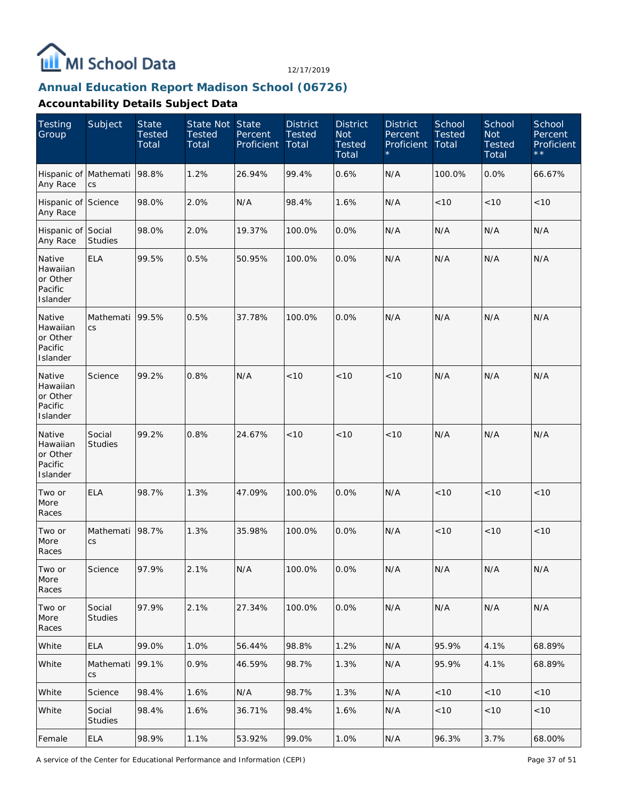

## **Annual Education Report Madison School (06726)**

| <b>Testing</b><br>Group                               | Subject                           | <b>State</b><br><b>Tested</b><br>Total | State Not State<br><b>Tested</b><br>Total | Percent<br>Proficient | <b>District</b><br><b>Tested</b><br>Total | <b>District</b><br><b>Not</b><br><b>Tested</b><br>Total | <b>District</b><br>Percent<br>Proficient | School<br><b>Tested</b><br>Total | School<br><b>Not</b><br><b>Tested</b><br>Total | School<br>Percent<br>Proficient<br>$\star\star$ |
|-------------------------------------------------------|-----------------------------------|----------------------------------------|-------------------------------------------|-----------------------|-------------------------------------------|---------------------------------------------------------|------------------------------------------|----------------------------------|------------------------------------------------|-------------------------------------------------|
| Hispanic of<br>Any Race                               | Mathemati<br>$\mathsf{CS}\xspace$ | 98.8%                                  | 1.2%                                      | 26.94%                | 99.4%                                     | 0.6%                                                    | N/A                                      | 100.0%                           | 0.0%                                           | 66.67%                                          |
| Hispanic of Science<br>Any Race                       |                                   | 98.0%                                  | 2.0%                                      | N/A                   | 98.4%                                     | 1.6%                                                    | N/A                                      | < 10                             | $<10$                                          | < 10                                            |
| Hispanic of Social<br>Any Race                        | <b>Studies</b>                    | 98.0%                                  | 2.0%                                      | 19.37%                | 100.0%                                    | 0.0%                                                    | N/A                                      | N/A                              | N/A                                            | N/A                                             |
| Native<br>Hawaiian<br>or Other<br>Pacific<br>Islander | <b>ELA</b>                        | 99.5%                                  | 0.5%                                      | 50.95%                | 100.0%                                    | 0.0%                                                    | N/A                                      | N/A                              | N/A                                            | N/A                                             |
| Native<br>Hawaiian<br>or Other<br>Pacific<br>Islander | Mathemati<br>CS                   | 99.5%                                  | 0.5%                                      | 37.78%                | 100.0%                                    | 0.0%                                                    | N/A                                      | N/A                              | N/A                                            | N/A                                             |
| Native<br>Hawaiian<br>or Other<br>Pacific<br>Islander | Science                           | 99.2%                                  | 0.8%                                      | N/A                   | < 10                                      | < 10                                                    | < 10                                     | N/A                              | N/A                                            | N/A                                             |
| Native<br>Hawaiian<br>or Other<br>Pacific<br>Islander | Social<br><b>Studies</b>          | 99.2%                                  | 0.8%                                      | 24.67%                | < 10                                      | < 10                                                    | < 10                                     | N/A                              | N/A                                            | N/A                                             |
| Two or<br>More<br>Races                               | <b>ELA</b>                        | 98.7%                                  | 1.3%                                      | 47.09%                | 100.0%                                    | 0.0%                                                    | N/A                                      | < 10                             | < 10                                           | < 10                                            |
| Two or<br>More<br>Races                               | Mathemati<br>$\mathsf{CS}\,$      | 98.7%                                  | 1.3%                                      | 35.98%                | 100.0%                                    | 0.0%                                                    | N/A                                      | < 10                             | < 10                                           | < 10                                            |
| Two or<br>More<br>Races                               | Science                           | 97.9%                                  | 2.1%                                      | N/A                   | 100.0%                                    | $ 0.0\%$                                                | N/A                                      | N/A                              | N/A                                            | N/A                                             |
| Two or<br>More<br>Races                               | Social<br><b>Studies</b>          | 97.9%                                  | 2.1%                                      | 27.34%                | 100.0%                                    | 0.0%                                                    | N/A                                      | N/A                              | N/A                                            | N/A                                             |
| White                                                 | <b>ELA</b>                        | 99.0%                                  | 1.0%                                      | 56.44%                | 98.8%                                     | 1.2%                                                    | N/A                                      | 95.9%                            | 4.1%                                           | 68.89%                                          |
| White                                                 | Mathemati<br>CS                   | 99.1%                                  | 0.9%                                      | 46.59%                | 98.7%                                     | 1.3%                                                    | N/A                                      | 95.9%                            | 4.1%                                           | 68.89%                                          |
| White                                                 | Science                           | 98.4%                                  | 1.6%                                      | N/A                   | 98.7%                                     | 1.3%                                                    | N/A                                      | $<10$                            | $<10$                                          | $<10$                                           |
| White                                                 | Social<br><b>Studies</b>          | 98.4%                                  | 1.6%                                      | 36.71%                | 98.4%                                     | 1.6%                                                    | N/A                                      | < 10                             | $<10$                                          | < 10                                            |
| Female                                                | ELA                               | 98.9%                                  | 1.1%                                      | 53.92%                | 99.0%                                     | 1.0%                                                    | N/A                                      | 96.3%                            | 3.7%                                           | 68.00%                                          |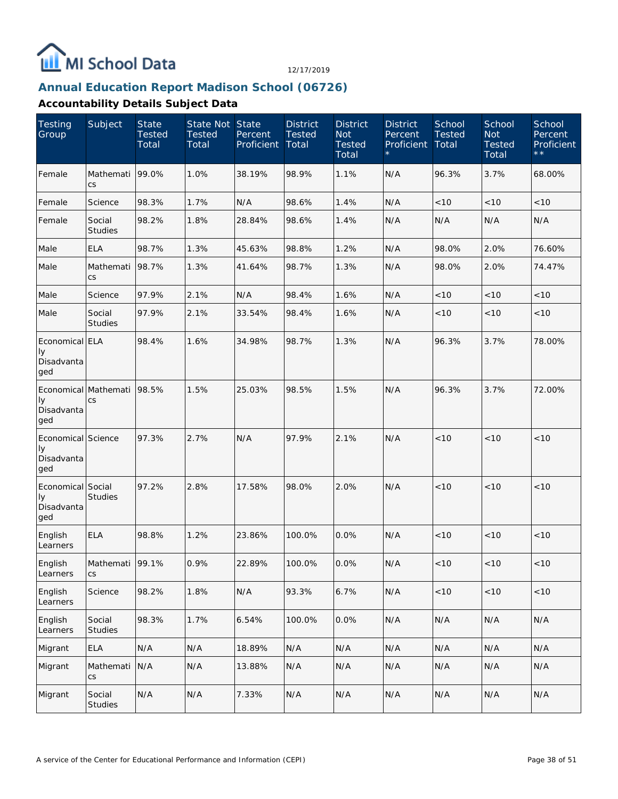

## **Annual Education Report Madison School (06726)**

| <b>Testing</b><br>Group                         | Subject                            | <b>State</b><br><b>Tested</b><br>Total | State Not State<br><b>Tested</b><br>Total | Percent<br>Proficient | <b>District</b><br><b>Tested</b><br>Total | <b>District</b><br><b>Not</b><br><b>Tested</b><br>Total | <b>District</b><br>Percent<br>Proficient | School<br><b>Tested</b><br>Total | School<br><b>Not</b><br><b>Tested</b><br>Total | School<br>Percent<br>Proficient<br>$\star \star$ |
|-------------------------------------------------|------------------------------------|----------------------------------------|-------------------------------------------|-----------------------|-------------------------------------------|---------------------------------------------------------|------------------------------------------|----------------------------------|------------------------------------------------|--------------------------------------------------|
| Female                                          | Mathemati<br>$\mathsf{CS}\,$       | 99.0%                                  | 1.0%                                      | 38.19%                | 98.9%                                     | 1.1%                                                    | N/A                                      | 96.3%                            | 3.7%                                           | 68.00%                                           |
| Female                                          | Science                            | 98.3%                                  | 1.7%                                      | N/A                   | 98.6%                                     | 1.4%                                                    | N/A                                      | < 10                             | $<10$                                          | < 10                                             |
| Female                                          | Social<br><b>Studies</b>           | 98.2%                                  | 1.8%                                      | 28.84%                | 98.6%                                     | 1.4%                                                    | N/A                                      | N/A                              | N/A                                            | N/A                                              |
| Male                                            | <b>ELA</b>                         | 98.7%                                  | 1.3%                                      | 45.63%                | 98.8%                                     | 1.2%                                                    | N/A                                      | 98.0%                            | 2.0%                                           | 76.60%                                           |
| Male                                            | Mathemati<br><b>CS</b>             | 98.7%                                  | 1.3%                                      | 41.64%                | 98.7%                                     | 1.3%                                                    | N/A                                      | 98.0%                            | 2.0%                                           | 74.47%                                           |
| Male                                            | Science                            | 97.9%                                  | 2.1%                                      | N/A                   | 98.4%                                     | 1.6%                                                    | N/A                                      | < 10                             | < 10                                           | < 10                                             |
| Male                                            | Social<br>Studies                  | 97.9%                                  | 2.1%                                      | 33.54%                | 98.4%                                     | 1.6%                                                    | N/A                                      | < 10                             | < 10                                           | < 10                                             |
| Economical ELA<br>Iу<br>Disadvanta<br>ged       |                                    | 98.4%                                  | 1.6%                                      | 34.98%                | 98.7%                                     | 1.3%                                                    | N/A                                      | 96.3%                            | 3.7%                                           | 78.00%                                           |
| Economical Mathemati<br>Iу<br>Disadvanta<br>ged | CS                                 | 98.5%                                  | 1.5%                                      | 25.03%                | 98.5%                                     | 1.5%                                                    | N/A                                      | 96.3%                            | 3.7%                                           | 72.00%                                           |
| Economical Science<br>Iу<br>Disadvanta<br>ged   |                                    | 97.3%                                  | 2.7%                                      | N/A                   | 97.9%                                     | 2.1%                                                    | N/A                                      | < 10                             | < 10                                           | < 10                                             |
| Economical Social<br>Iу<br>Disadvanta<br>ged    | <b>Studies</b>                     | 97.2%                                  | 2.8%                                      | 17.58%                | 98.0%                                     | 2.0%                                                    | N/A                                      | < 10                             | < 10                                           | < 10                                             |
| English<br>Learners                             | <b>ELA</b>                         | 98.8%                                  | 1.2%                                      | 23.86%                | 100.0%                                    | 0.0%                                                    | N/A                                      | < 10                             | < 10                                           | < 10                                             |
| English<br>Learners                             | Mathemati 99.1%<br>$\mathsf{CS}\,$ |                                        | 0.9%                                      | 22.89%                | 100.0%                                    | 0.0%                                                    | N/A                                      | < 10                             | ~10                                            | < 10                                             |
| English<br>Learners                             | Science                            | 98.2%                                  | 1.8%                                      | N/A                   | 93.3%                                     | 6.7%                                                    | N/A                                      | < 10                             | $<10$                                          | $<10$                                            |
| English<br>Learners                             | Social<br>Studies                  | 98.3%                                  | 1.7%                                      | 6.54%                 | 100.0%                                    | 0.0%                                                    | N/A                                      | N/A                              | N/A                                            | N/A                                              |
| Migrant                                         | ELA                                | N/A                                    | N/A                                       | 18.89%                | N/A                                       | N/A                                                     | N/A                                      | N/A                              | N/A                                            | N/A                                              |
| Migrant                                         | Mathemati<br><b>CS</b>             | N/A                                    | N/A                                       | 13.88%                | N/A                                       | N/A                                                     | N/A                                      | N/A                              | N/A                                            | N/A                                              |
| Migrant                                         | Social<br>Studies                  | N/A                                    | N/A                                       | 7.33%                 | N/A                                       | N/A                                                     | N/A                                      | N/A                              | N/A                                            | N/A                                              |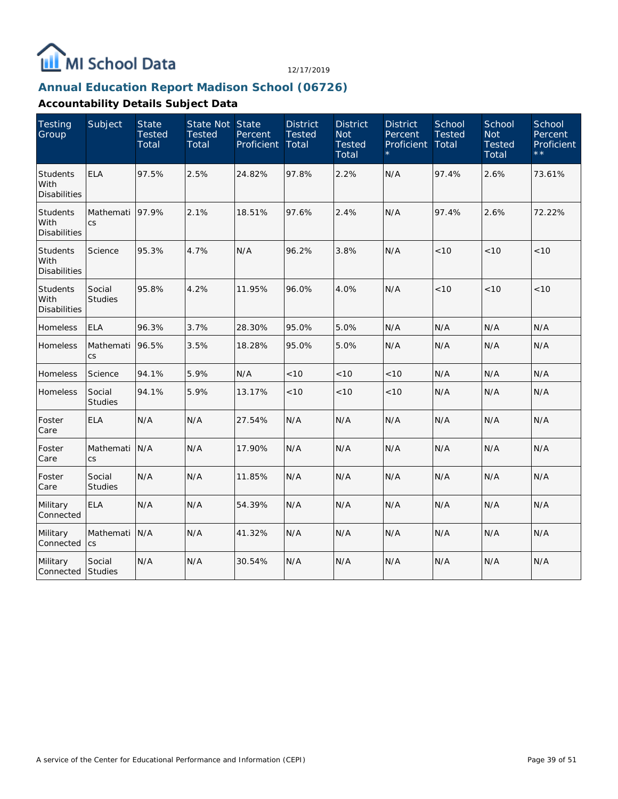

## **Annual Education Report Madison School (06726)**

| <b>Testing</b><br>Group                        | Subject                  | <b>State</b><br><b>Tested</b><br>Total | State Not State<br><b>Tested</b><br>Total | Percent<br>Proficient | <b>District</b><br><b>Tested</b><br>Total | <b>District</b><br><b>Not</b><br><b>Tested</b><br>Total | <b>District</b><br>Percent<br>Proficient | School<br><b>Tested</b><br>Total | School<br><b>Not</b><br><b>Tested</b><br>Total | School<br>Percent<br>Proficient<br>$\star \star$ |
|------------------------------------------------|--------------------------|----------------------------------------|-------------------------------------------|-----------------------|-------------------------------------------|---------------------------------------------------------|------------------------------------------|----------------------------------|------------------------------------------------|--------------------------------------------------|
| <b>Students</b><br>With<br><b>Disabilities</b> | <b>ELA</b>               | 97.5%                                  | 2.5%                                      | 24.82%                | 97.8%                                     | 2.2%                                                    | N/A                                      | 97.4%                            | 2.6%                                           | 73.61%                                           |
| Students<br>With<br><b>Disabilities</b>        | Mathemati<br><b>CS</b>   | 97.9%                                  | 2.1%                                      | 18.51%                | 97.6%                                     | 2.4%                                                    | N/A                                      | 97.4%                            | 2.6%                                           | 72.22%                                           |
| <b>Students</b><br>With<br><b>Disabilities</b> | Science                  | 95.3%                                  | 4.7%                                      | N/A                   | 96.2%                                     | 3.8%                                                    | N/A                                      | 10<                              | < 10                                           | < 10                                             |
| <b>Students</b><br>With<br><b>Disabilities</b> | Social<br><b>Studies</b> | 95.8%                                  | 4.2%                                      | 11.95%                | 96.0%                                     | 4.0%                                                    | N/A                                      | < 10                             | < 10                                           | < 10                                             |
| Homeless                                       | <b>ELA</b>               | 96.3%                                  | 3.7%                                      | 28.30%                | 95.0%                                     | 5.0%                                                    | N/A                                      | N/A                              | N/A                                            | N/A                                              |
| Homeless                                       | Mathemati<br><b>CS</b>   | 96.5%                                  | 3.5%                                      | 18.28%                | 95.0%                                     | 5.0%                                                    | N/A                                      | N/A                              | N/A                                            | N/A                                              |
| Homeless                                       | Science                  | 94.1%                                  | 5.9%                                      | N/A                   | < 10                                      | < 10                                                    | < 10                                     | N/A                              | N/A                                            | N/A                                              |
| Homeless                                       | Social<br><b>Studies</b> | 94.1%                                  | 5.9%                                      | 13.17%                | < 10                                      | < 10                                                    | < 10                                     | N/A                              | N/A                                            | N/A                                              |
| Foster<br>Care                                 | <b>ELA</b>               | N/A                                    | N/A                                       | 27.54%                | N/A                                       | N/A                                                     | N/A                                      | N/A                              | N/A                                            | N/A                                              |
| Foster<br>Care                                 | Mathemati<br>CS          | N/A                                    | N/A                                       | 17.90%                | N/A                                       | N/A                                                     | N/A                                      | N/A                              | N/A                                            | N/A                                              |
| Foster<br>Care                                 | Social<br><b>Studies</b> | N/A                                    | N/A                                       | 11.85%                | N/A                                       | N/A                                                     | N/A                                      | N/A                              | N/A                                            | N/A                                              |
| Military<br>Connected                          | <b>ELA</b>               | N/A                                    | N/A                                       | 54.39%                | N/A                                       | N/A                                                     | N/A                                      | N/A                              | N/A                                            | N/A                                              |
| Military<br>Connected                          | Mathemati<br>CS          | N/A                                    | N/A                                       | 41.32%                | N/A                                       | N/A                                                     | N/A                                      | N/A                              | N/A                                            | N/A                                              |
| Military<br>Connected                          | Social<br><b>Studies</b> | N/A                                    | N/A                                       | 30.54%                | N/A                                       | N/A                                                     | N/A                                      | N/A                              | N/A                                            | N/A                                              |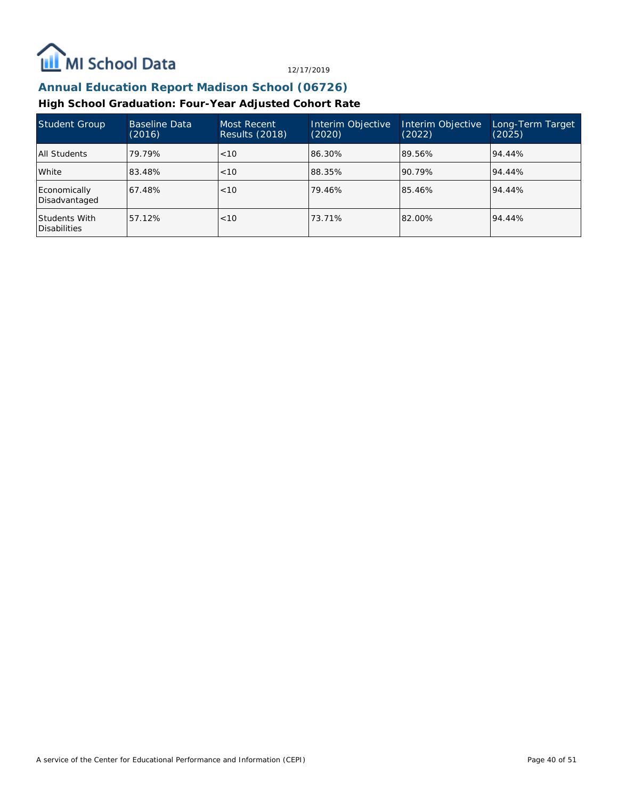

# **Annual Education Report Madison School (06726)**

## **High School Graduation: Four-Year Adjusted Cohort Rate**

| Student Group                        | Baseline Data<br>(2016) | Most Recent<br>Results (2018) | Interim Objective<br>(2020) | Interim Objective<br>(2022) | Long-Term Target<br>(2025) |
|--------------------------------------|-------------------------|-------------------------------|-----------------------------|-----------------------------|----------------------------|
| All Students                         | 79.79%                  | <10                           | 86.30%                      | 89.56%                      | 94.44%                     |
| White                                | 83.48%                  | < 10                          | 88.35%                      | 90.79%                      | 94.44%                     |
| Economically<br>Disadvantaged        | 67.48%                  | < 10                          | 79.46%                      | 85.46%                      | 94.44%                     |
| Students With<br><b>Disabilities</b> | 57.12%                  | < 10                          | 73.71%                      | 82.00%                      | 94.44%                     |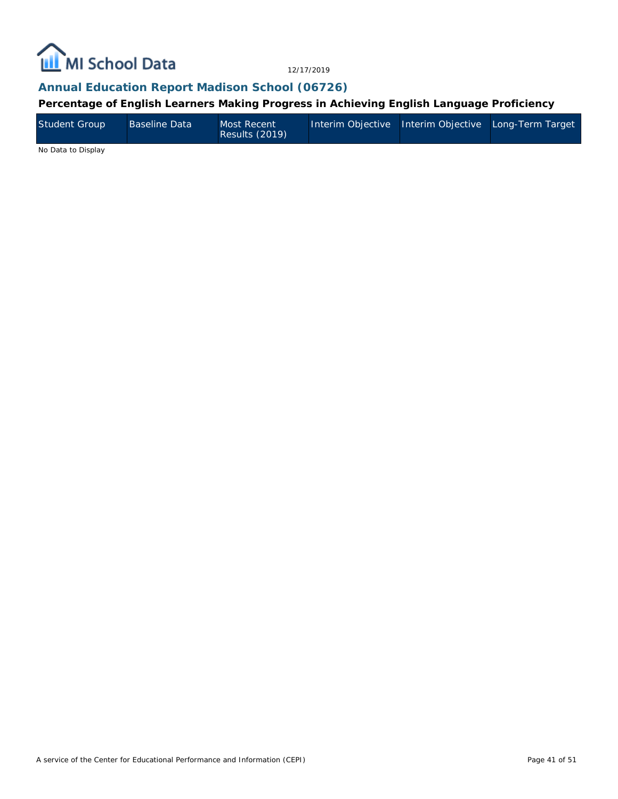

**Annual Education Report Madison School (06726)**

**Percentage of English Learners Making Progress in Achieving English Language Proficiency**

| <b>Student Group</b><br>Baseline Data<br>Most Recent<br>Results (2019) | Interim Objective   Interim Objective   Long-Term Target |
|------------------------------------------------------------------------|----------------------------------------------------------|
|------------------------------------------------------------------------|----------------------------------------------------------|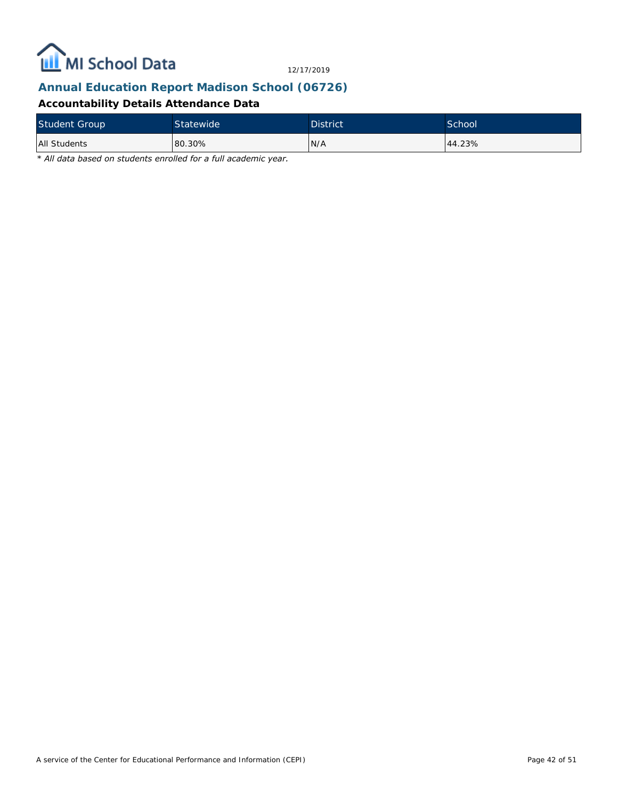

# **Annual Education Report Madison School (06726)**

## **Accountability Details Attendance Data**

| <b>Student Group</b> | <b>Statewide</b> | <b>District</b> | School |
|----------------------|------------------|-----------------|--------|
| <b>All Students</b>  | 80.30%           | N/A             | 44.23% |

*\* All data based on students enrolled for a full academic year.*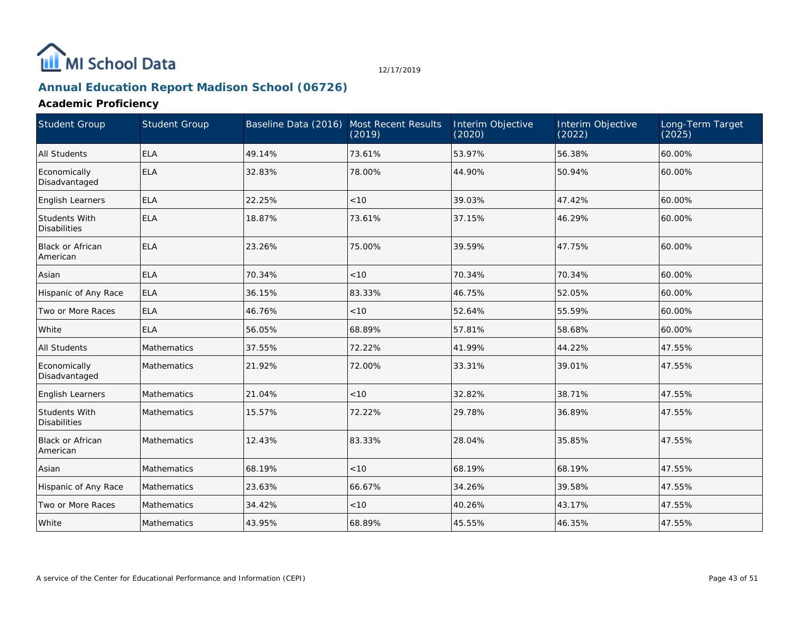# MI School Data

12/17/2019

# **Annual Education Report Madison School (06726)**

## **Academic Proficiency**

| <b>Student Group</b>                 | <b>Student Group</b> | Baseline Data (2016) Most Recent Results | (2019) | Interim Objective<br>(2020) | Interim Objective<br>(2022) | Long-Term Target<br>(2025) |
|--------------------------------------|----------------------|------------------------------------------|--------|-----------------------------|-----------------------------|----------------------------|
| All Students                         | <b>ELA</b>           | 49.14%                                   | 73.61% | 53.97%                      | 56.38%                      | 60.00%                     |
| Economically<br>Disadvantaged        | <b>ELA</b>           | 32.83%                                   | 78.00% | 44.90%                      | 50.94%                      | 60.00%                     |
| English Learners                     | <b>ELA</b>           | 22.25%                                   | < 10   | 39.03%                      | 47.42%                      | 60.00%                     |
| Students With<br><b>Disabilities</b> | <b>ELA</b>           | 18.87%                                   | 73.61% | 37.15%                      | 46.29%                      | 60.00%                     |
| <b>Black or African</b><br>American  | <b>ELA</b>           | 23.26%                                   | 75.00% | 39.59%                      | 47.75%                      | 60.00%                     |
| Asian                                | <b>ELA</b>           | 70.34%                                   | < 10   | 70.34%                      | 70.34%                      | 60.00%                     |
| Hispanic of Any Race                 | <b>ELA</b>           | 36.15%                                   | 83.33% | 46.75%                      | 52.05%                      | 60.00%                     |
| Two or More Races                    | <b>ELA</b>           | 46.76%                                   | < 10   | 52.64%                      | 55.59%                      | 60.00%                     |
| White                                | <b>ELA</b>           | 56.05%                                   | 68.89% | 57.81%                      | 58.68%                      | 60.00%                     |
| All Students                         | Mathematics          | 37.55%                                   | 72.22% | 41.99%                      | 44.22%                      | 47.55%                     |
| Economically<br>Disadvantaged        | Mathematics          | 21.92%                                   | 72.00% | 33.31%                      | 39.01%                      | 47.55%                     |
| English Learners                     | <b>Mathematics</b>   | 21.04%                                   | < 10   | 32.82%                      | 38.71%                      | 47.55%                     |
| Students With<br>Disabilities        | Mathematics          | 15.57%                                   | 72.22% | 29.78%                      | 36.89%                      | 47.55%                     |
| Black or African<br>American         | Mathematics          | 12.43%                                   | 83.33% | 28.04%                      | 35.85%                      | 47.55%                     |
| Asian                                | Mathematics          | 68.19%                                   | < 10   | 68.19%                      | 68.19%                      | 47.55%                     |
| Hispanic of Any Race                 | Mathematics          | 23.63%                                   | 66.67% | 34.26%                      | 39.58%                      | 47.55%                     |
| Two or More Races                    | <b>Mathematics</b>   | 34.42%                                   | < 10   | 40.26%                      | 43.17%                      | 47.55%                     |
| White                                | Mathematics          | 43.95%                                   | 68.89% | 45.55%                      | 46.35%                      | 47.55%                     |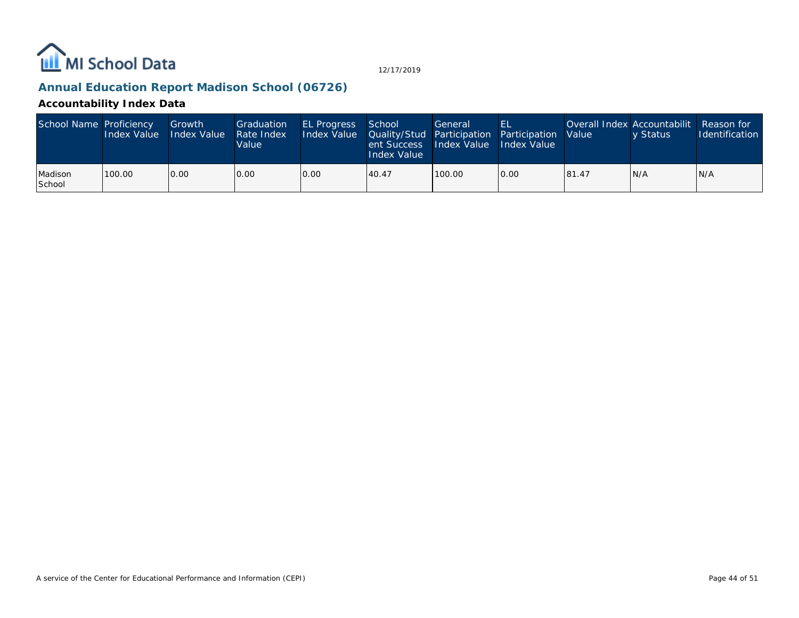

## **Annual Education Report Madison School (06726)**

## **Accountability Index Data**

| School Name Proficiency | <b>Index Value</b> | Growth<br><b>Index Value</b> | Graduation<br>Rate Index<br>Value | <b>EL Progress</b><br>Index Value   Quality/Stud   Participation   Participation   Value | School<br>ent Success<br>Index Value | General<br>Index Value Index Value | EL   |       | Overall Index Accountabilit<br>v Status | Reason for<br><b>Identification</b> |
|-------------------------|--------------------|------------------------------|-----------------------------------|------------------------------------------------------------------------------------------|--------------------------------------|------------------------------------|------|-------|-----------------------------------------|-------------------------------------|
| Madison<br>School       | 100.00             | 0.00                         | 0.00                              | 0.00                                                                                     | 40.47                                | 100.00                             | 0.00 | 81.47 | IN/A                                    | N/A                                 |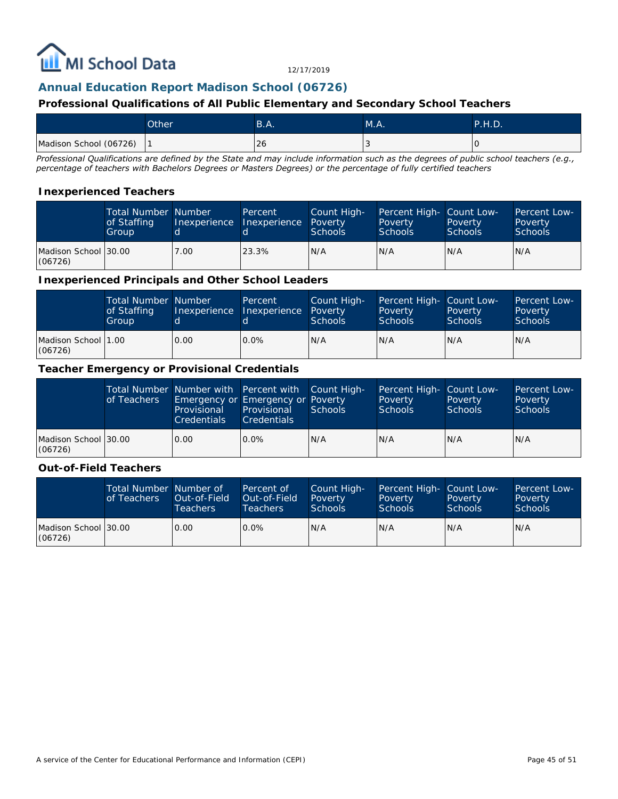

## **Annual Education Report Madison School (06726)**

#### **Professional Qualifications of All Public Elementary and Secondary School Teachers**

|                        | Other <sup>1</sup> | B.A. | M.A. | <b>P.H.D.</b> |
|------------------------|--------------------|------|------|---------------|
| Madison School (06726) |                    | ∣ 26 |      | ١U            |

*Professional Qualifications are defined by the State and may include information such as the degrees of public school teachers (e.g., percentage of teachers with Bachelors Degrees or Masters Degrees) or the percentage of fully certified teachers*

#### **Inexperienced Teachers**

|                                  | <b>Total Number Number</b><br>of Staffing<br>Group |      | Percent<br>Inexperience Inexperience Poverty | Count High-<br><b>Schools</b> | Percent High- Count Low-<br>Poverty<br><b>Schools</b> | Poverty<br><b>Schools</b> | <b>Percent Low-</b><br>Poverty<br>Schools |
|----------------------------------|----------------------------------------------------|------|----------------------------------------------|-------------------------------|-------------------------------------------------------|---------------------------|-------------------------------------------|
| Madison School 130.00<br>(06726) |                                                    | 7.00 | 23.3%                                        | N/A                           | N/A                                                   | N/A                       | IN/A                                      |

#### **Inexperienced Principals and Other School Leaders**

|                                 | <b>Total Number Number</b><br>of Staffing<br>Group |      | Percent<br>Inexperience Inexperience | Count High-<br>Poverty<br><b>Schools</b> | Percent High- Count Low-<br>Poverty<br><b>Schools</b> | Poverty<br><b>Schools</b> | Percent Low-<br>Poverty<br><b>Schools</b> |
|---------------------------------|----------------------------------------------------|------|--------------------------------------|------------------------------------------|-------------------------------------------------------|---------------------------|-------------------------------------------|
| Madison School 11.00<br>(06726) |                                                    | 0.00 | $0.0\%$                              | N/A                                      | N/A                                                   | N/A                       | IN/A                                      |

#### **Teacher Emergency or Provisional Credentials**

|                                 | of Teachers | Total Number Number with Percent with Count High-<br>Emergency or Emergency or Poverty<br>Provisional<br><b>Credentials</b> | Provisional<br><b>Credentials</b> | Schools | Percent High- Count Low-<br>Poverty<br><b>Schools</b> | Poverty<br><b>Schools</b> | <b>Percent Low-</b><br>Poverty<br>Schools |
|---------------------------------|-------------|-----------------------------------------------------------------------------------------------------------------------------|-----------------------------------|---------|-------------------------------------------------------|---------------------------|-------------------------------------------|
| Madison School 30.00<br>(06726) |             | 0.00                                                                                                                        | $0.0\%$                           | IN/A    | N/A                                                   | IN/A                      | IN/A                                      |

#### **Out-of-Field Teachers**

|                                 | Total Number Number of<br>of Teachers | Out-of-Field<br><b>Teachers</b> | Percent of<br>Out-of-Field<br>Teachers | Count High-<br>Poverty<br><b>Schools</b> | Percent High- Count Low-<br>Poverty<br>Schools | Poverty<br><b>Schools</b> | <b>Percent Low-</b><br>Poverty<br>Schools |
|---------------------------------|---------------------------------------|---------------------------------|----------------------------------------|------------------------------------------|------------------------------------------------|---------------------------|-------------------------------------------|
| Madison School 30.00<br>(06726) |                                       | 0.00                            | $0.0\%$                                | N/A                                      | N/A                                            | IN/A                      | IN/A                                      |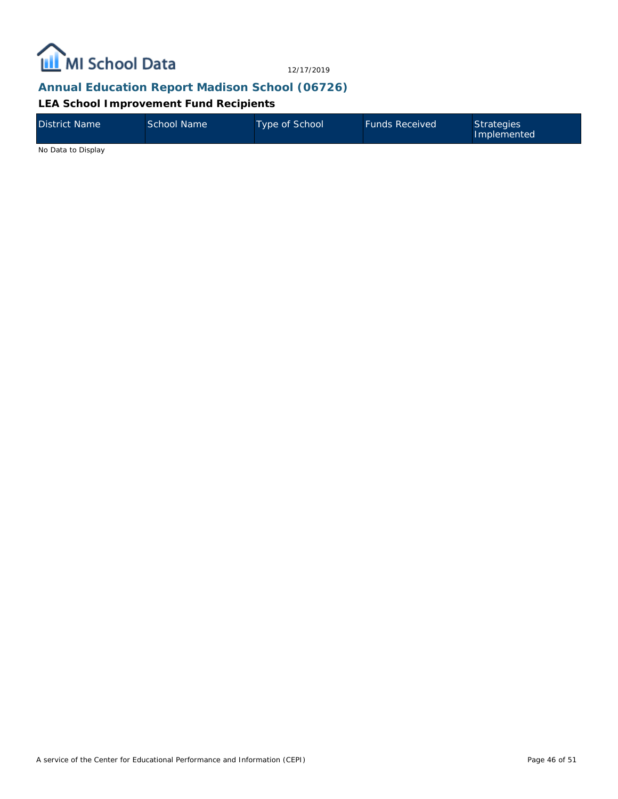

## **Annual Education Report Madison School (06726)**

**LEA School Improvement Fund Recipients**

| <b>District Name</b> | School Name | <b>Type of School</b> | <b>Funds Received</b> | Strategies<br>Implemented |
|----------------------|-------------|-----------------------|-----------------------|---------------------------|
| No Data to Display   |             |                       |                       |                           |

A service of the Center for Educational Performance and Information (CEPI)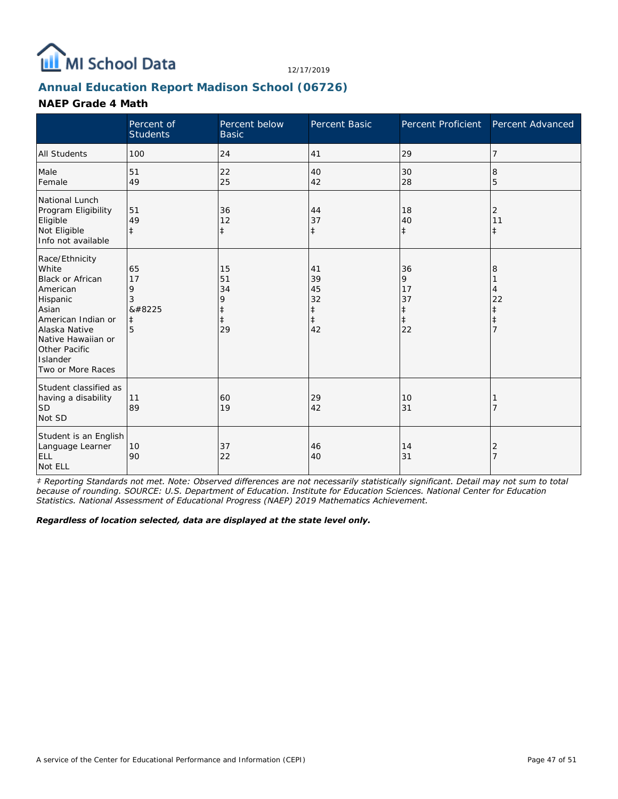

# **Annual Education Report Madison School (06726)**

#### **NAEP Grade 4 Math**

|                                                                                                                                                                                                    | Percent of<br><b>Students</b>              | Percent below<br><b>Basic</b>                         | Percent Basic                                          | Percent Proficient                                    | Percent Advanced         |
|----------------------------------------------------------------------------------------------------------------------------------------------------------------------------------------------------|--------------------------------------------|-------------------------------------------------------|--------------------------------------------------------|-------------------------------------------------------|--------------------------|
| <b>All Students</b>                                                                                                                                                                                | 100                                        | 24                                                    | 41                                                     | 29                                                    | 7                        |
| Male<br>Female                                                                                                                                                                                     | 51<br>49                                   | 22<br>25                                              | 40<br>42                                               | 30<br>28                                              | 8<br>5                   |
| National Lunch<br>Program Eligibility<br>Eligible<br>Not Eligible<br>Info not available                                                                                                            | 51<br>49<br>$\pm$                          | 36<br>12<br>$\ddagger$                                | 44<br>37<br>$\ddagger$                                 | 18<br>40<br>$\ddagger$                                | 2<br>11<br>$^{\ddagger}$ |
| Race/Ethnicity<br>White<br><b>Black or African</b><br>American<br>Hispanic<br>Asian<br>American Indian or<br>Alaska Native<br>Native Hawaiian or<br>Other Pacific<br>Islander<br>Two or More Races | 65<br>17<br>9<br>3<br>‡<br>$\ddagger$<br>5 | 15<br>51<br>34<br>9<br>$\ddagger$<br>$\ddagger$<br>29 | 41<br>39<br>45<br>32<br>$\ddagger$<br>$\ddagger$<br>42 | 36<br>9<br>17<br>37<br>$\ddagger$<br>$\ddagger$<br>22 | 8<br>4<br>22<br>ŧ        |
| Student classified as<br>having a disability<br><b>SD</b><br>Not SD                                                                                                                                | 11<br>89                                   | 60<br>19                                              | 29<br>42                                               | 10<br>31                                              |                          |
| Student is an English<br>Language Learner<br><b>ELL</b><br>Not ELL                                                                                                                                 | 10<br>90                                   | 37<br>22                                              | 46<br>40                                               | 14<br>31                                              | 2                        |

*‡ Reporting Standards not met. Note: Observed differences are not necessarily statistically significant. Detail may not sum to total because of rounding. SOURCE: U.S. Department of Education. Institute for Education Sciences. National Center for Education Statistics. National Assessment of Educational Progress (NAEP) 2019 Mathematics Achievement.*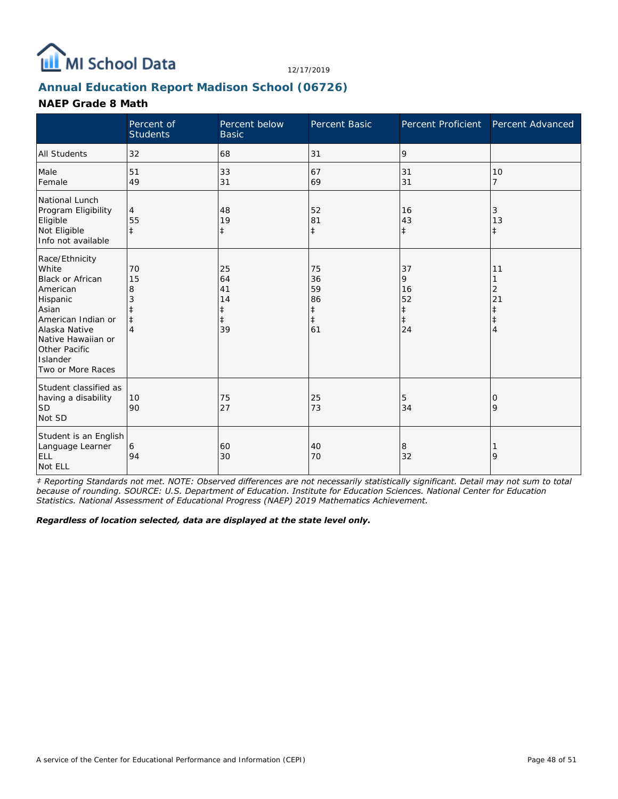

# **Annual Education Report Madison School (06726)**

#### **NAEP Grade 8 Math**

|                                                                                                                                                                                                    | Percent of<br><b>Students</b>         | Percent below<br><b>Basic</b>            | Percent Basic                                          | Percent Proficient                                    | Percent Advanced        |
|----------------------------------------------------------------------------------------------------------------------------------------------------------------------------------------------------|---------------------------------------|------------------------------------------|--------------------------------------------------------|-------------------------------------------------------|-------------------------|
| <b>All Students</b>                                                                                                                                                                                | 32                                    | 68                                       | 31                                                     | 9                                                     |                         |
| Male<br>Female                                                                                                                                                                                     | 51<br>49                              | 33<br>31                                 | 67<br>69                                               | 31<br>31                                              | 10<br>$\overline{7}$    |
| National Lunch<br>Program Eligibility<br>Eligible<br>Not Eligible<br>Info not available                                                                                                            | $\overline{4}$<br>55<br>$\ddagger$    | 48<br>19<br>$\ddagger$                   | 52<br>81<br>$\ddagger$                                 | 16<br>43<br>$\ddagger$                                | 3<br>13<br>$\ddagger$   |
| Race/Ethnicity<br>White<br><b>Black or African</b><br>American<br>Hispanic<br>Asian<br>American Indian or<br>Alaska Native<br>Native Hawaiian or<br>Other Pacific<br>Islander<br>Two or More Races | 70<br>15<br>8<br>3<br>$\ddagger$<br>4 | 25<br>64<br>41<br>14<br>$\ddagger$<br>39 | 75<br>36<br>59<br>86<br>$\ddagger$<br>$\ddagger$<br>61 | 37<br>9<br>16<br>52<br>$\ddagger$<br>$\ddagger$<br>24 | 11<br>2<br>21<br>⇟<br>4 |
| Student classified as<br>having a disability<br><b>SD</b><br>Not SD                                                                                                                                | 10<br>90                              | 75<br>27                                 | 25<br>73                                               | 5<br>34                                               | 0<br>9                  |
| Student is an English<br>Language Learner<br><b>ELL</b><br>Not ELL                                                                                                                                 | 6<br>94                               | 60<br>30                                 | 40<br>70                                               | 8<br>32                                               | 9                       |

*‡ Reporting Standards not met. NOTE: Observed differences are not necessarily statistically significant. Detail may not sum to total because of rounding. SOURCE: U.S. Department of Education. Institute for Education Sciences. National Center for Education Statistics. National Assessment of Educational Progress (NAEP) 2019 Mathematics Achievement.*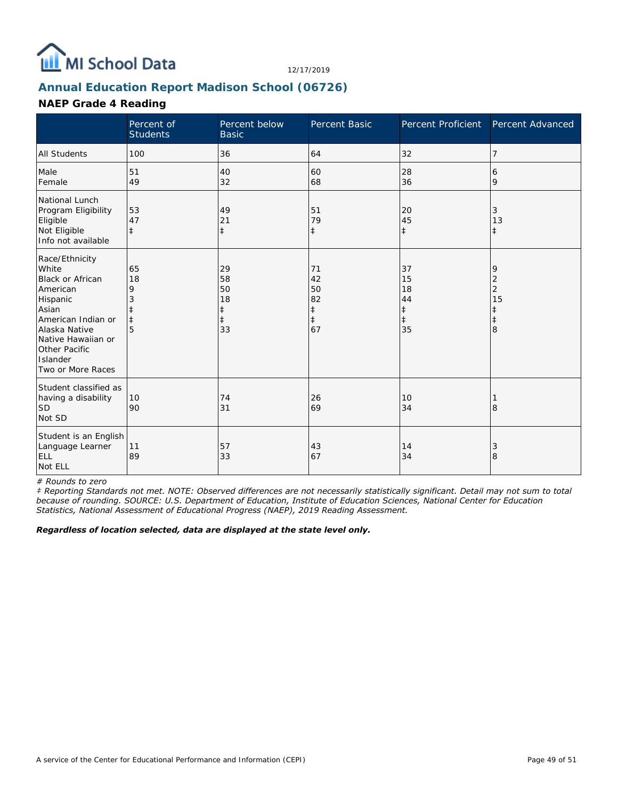

# **Annual Education Report Madison School (06726)**

#### **NAEP Grade 4 Reading**

|                                                                                                                                                                                                    | Percent of<br><b>Students</b> | Percent below<br><b>Basic</b>                          | Percent Basic                                          | Percent Proficient                                     | Percent Advanced                         |
|----------------------------------------------------------------------------------------------------------------------------------------------------------------------------------------------------|-------------------------------|--------------------------------------------------------|--------------------------------------------------------|--------------------------------------------------------|------------------------------------------|
| <b>All Students</b>                                                                                                                                                                                | 100                           | 36                                                     | 64                                                     | 32                                                     | 7                                        |
| Male<br>Female                                                                                                                                                                                     | 51<br>49                      | 40<br>32                                               | 60<br>68                                               | 28<br>36                                               | 6<br>9                                   |
| National Lunch<br>Program Eligibility<br>Eligible<br>Not Eligible<br>Info not available                                                                                                            | 53<br>47<br>$\pm$             | 49<br>21<br>$\ddagger$                                 | 51<br>79<br>$\ddagger$                                 | 20<br>45<br>$\ddagger$                                 | 3<br>13<br>$\pm$                         |
| Race/Ethnicity<br>White<br><b>Black or African</b><br>American<br>Hispanic<br>Asian<br>American Indian or<br>Alaska Native<br>Native Hawaiian or<br>Other Pacific<br>Islander<br>Two or More Races | 65<br>18<br>9<br>$\ddagger$   | 29<br>58<br>50<br>18<br>$\ddagger$<br>$\ddagger$<br>33 | 71<br>42<br>50<br>82<br>$\ddagger$<br>$\ddagger$<br>67 | 37<br>15<br>18<br>44<br>$\ddagger$<br>$\ddagger$<br>35 | 9<br>2<br>$\overline{2}$<br>15<br>⇟<br>8 |
| Student classified as<br>having a disability<br><b>SD</b><br>Not SD                                                                                                                                | 10<br>90                      | 74<br>31                                               | 26<br>69                                               | 10<br>34                                               | 8                                        |
| Student is an English<br>Language Learner<br><b>ELL</b><br>Not ELL                                                                                                                                 | 11<br>89                      | 57<br>33                                               | 43<br>67                                               | 14<br>34                                               | 3<br>8                                   |

*# Rounds to zero*

*‡ Reporting Standards not met. NOTE: Observed differences are not necessarily statistically significant. Detail may not sum to total because of rounding. SOURCE: U.S. Department of Education, Institute of Education Sciences, National Center for Education Statistics, National Assessment of Educational Progress (NAEP), 2019 Reading Assessment.*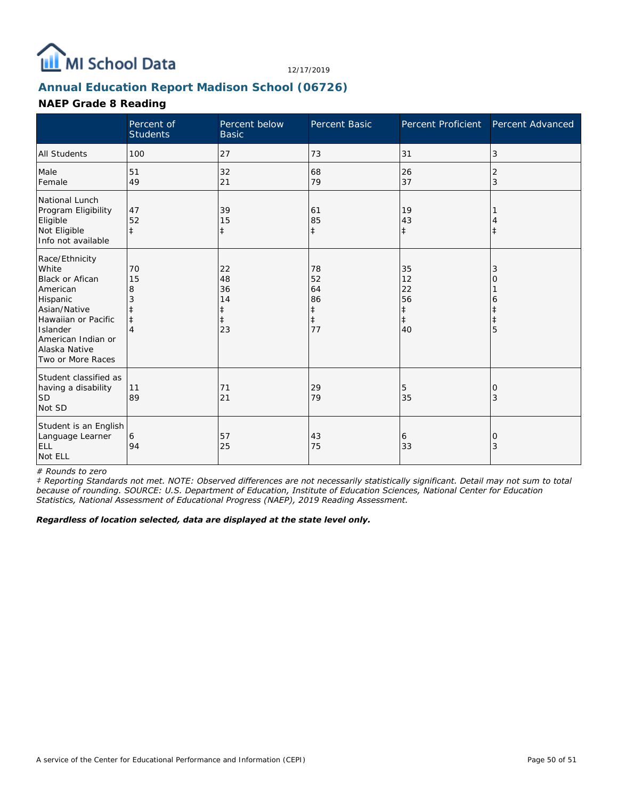

# **Annual Education Report Madison School (06726)**

#### **NAEP Grade 8 Reading**

|                                                                                                                                                                                          | Percent of<br><b>Students</b> | Percent below<br><b>Basic</b>                          | Percent Basic                                          | Percent Proficient                                     | Percent Advanced |
|------------------------------------------------------------------------------------------------------------------------------------------------------------------------------------------|-------------------------------|--------------------------------------------------------|--------------------------------------------------------|--------------------------------------------------------|------------------|
| <b>All Students</b>                                                                                                                                                                      | 100                           | 27                                                     | 73                                                     | 31                                                     | 3                |
| Male<br>Female                                                                                                                                                                           | 51<br>49                      | 32<br>21                                               | 68<br>79                                               | 26<br>37                                               | 2<br>3           |
| National Lunch<br>Program Eligibility<br>Eligible<br>Not Eligible<br>Info not available                                                                                                  | 47<br>52<br>$\pm$             | 39<br>15<br>$\ddagger$                                 | 61<br>85<br>$\ddagger$                                 | 19<br>43<br>$\ddagger$                                 | İ                |
| Race/Ethnicity<br>White<br><b>Black or Afican</b><br>American<br>Hispanic<br>Asian/Native<br>Hawaiian or Pacific<br>Islander<br>American Indian or<br>Alaska Native<br>Two or More Races | 70<br>15<br>8                 | 22<br>48<br>36<br>14<br>$\ddagger$<br>$\ddagger$<br>23 | 78<br>52<br>64<br>86<br>$\ddagger$<br>$\ddagger$<br>77 | 35<br>12<br>22<br>56<br>$\ddagger$<br>$\ddagger$<br>40 | 3<br>Ω<br>6<br>5 |
| Student classified as<br>having a disability<br><b>SD</b><br>Not SD                                                                                                                      | 11<br>89                      | 71<br>21                                               | 29<br>79                                               | 5<br>35                                                | 0<br>3           |
| Student is an English<br>Language Learner<br><b>ELL</b><br>Not ELL                                                                                                                       | 6<br>94                       | 57<br>25                                               | 43<br>75                                               | 6<br>33                                                | 0<br>3           |

*# Rounds to zero*

*‡ Reporting Standards not met. NOTE: Observed differences are not necessarily statistically significant. Detail may not sum to total because of rounding. SOURCE: U.S. Department of Education, Institute of Education Sciences, National Center for Education Statistics, National Assessment of Educational Progress (NAEP), 2019 Reading Assessment.*